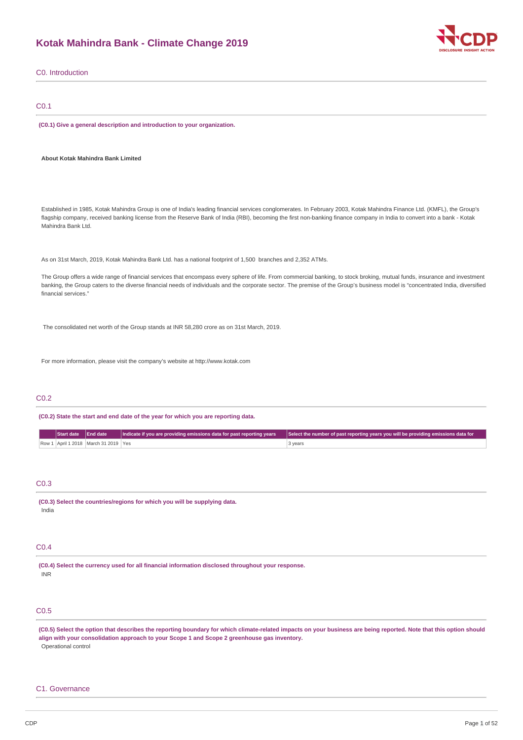# **Kotak Mahindra Bank - Climate Change 2019**



|                                                                                                                                                                                                                                                                                                                                                                                       | <b>DISCLOSURE INSIGHT ACTIO</b>                                                    |
|---------------------------------------------------------------------------------------------------------------------------------------------------------------------------------------------------------------------------------------------------------------------------------------------------------------------------------------------------------------------------------------|------------------------------------------------------------------------------------|
| C0. Introduction                                                                                                                                                                                                                                                                                                                                                                      |                                                                                    |
| C <sub>0.1</sub>                                                                                                                                                                                                                                                                                                                                                                      |                                                                                    |
| (C0.1) Give a general description and introduction to your organization.                                                                                                                                                                                                                                                                                                              |                                                                                    |
| About Kotak Mahindra Bank Limited                                                                                                                                                                                                                                                                                                                                                     |                                                                                    |
| Established in 1985, Kotak Mahindra Group is one of India's leading financial services conglomerates. In February 2003, Kotak Mahindra Finance Ltd. (KMFL), the Group's<br>flagship company, received banking license from the Reserve Bank of India (RBI), becoming the first non-banking finance company in India to convert into a bank - Kotak<br>Mahindra Bank Ltd.              |                                                                                    |
| As on 31st March, 2019, Kotak Mahindra Bank Ltd. has a national footprint of 1,500 branches and 2,352 ATMs.                                                                                                                                                                                                                                                                           |                                                                                    |
| The Group offers a wide range of financial services that encompass every sphere of life. From commercial banking, to stock broking, mutual funds, insurance and investment<br>banking, the Group caters to the diverse financial needs of individuals and the corporate sector. The premise of the Group's business model is "concentrated India, diversified<br>financial services." |                                                                                    |
| The consolidated net worth of the Group stands at INR 58,280 crore as on 31st March, 2019.                                                                                                                                                                                                                                                                                            |                                                                                    |
| For more information, please visit the company's website at http://www.kotak.com                                                                                                                                                                                                                                                                                                      |                                                                                    |
| CO.2                                                                                                                                                                                                                                                                                                                                                                                  |                                                                                    |
| (C0.2) State the start and end date of the year for which you are reporting data.                                                                                                                                                                                                                                                                                                     |                                                                                    |
| <b>End date</b><br><b>Start date</b><br>Indicate if you are providing emissions data for past reporting years<br>Row 1   April 1 2018   March 31 2019   Yes<br>3 years                                                                                                                                                                                                                | Select the number of past reporting years you will be providing emissions data for |
| CO.3                                                                                                                                                                                                                                                                                                                                                                                  |                                                                                    |
| (C0.3) Select the countries/regions for which you will be supplying data.<br>India                                                                                                                                                                                                                                                                                                    |                                                                                    |
| CO.4                                                                                                                                                                                                                                                                                                                                                                                  |                                                                                    |
| (C0.4) Select the currency used for all financial information disclosed throughout your response.<br><b>INR</b>                                                                                                                                                                                                                                                                       |                                                                                    |

# C0.5

(C0.5) Select the option that describes the reporting boundary for which climate-related impacts on your business are being reported. Note that this option should **align with your consolidation approach to your Scope 1 and Scope 2 greenhouse gas inventory.** Operational control

# C1. Governance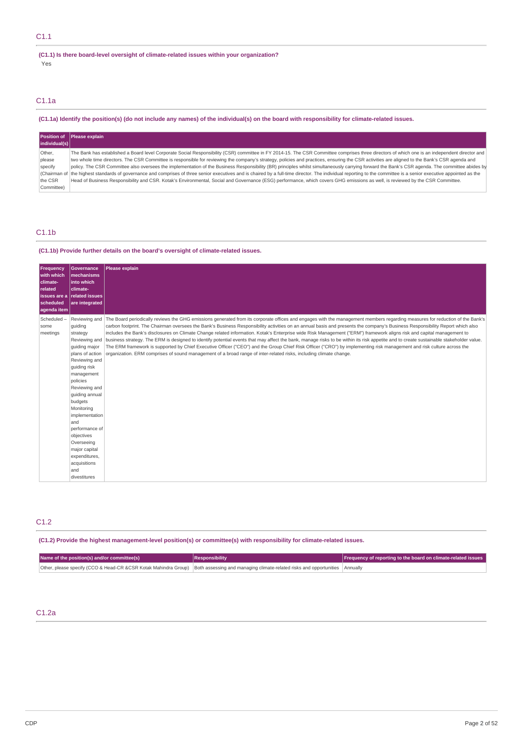### **(C1.1) Is there board-level oversight of climate-related issues within your organization?** Yes

# C1.1a

### (C1.1a) Identify the position(s) (do not include any names) of the individual(s) on the board with responsibility for climate-related issues.

|               | Position of Please explain                                                                                                                                                                                        |
|---------------|-------------------------------------------------------------------------------------------------------------------------------------------------------------------------------------------------------------------|
| individual(s) |                                                                                                                                                                                                                   |
| Other.        | The Bank has established a Board level Corporate Social Responsibility (CSR) committee in FY 2014-15. The CSR Committee comprises three directors of which one is an independent director and                     |
| please        | wo whole time directors. The CSR Committee is responsible for reviewing the company's strategy, policies and practices, ensuring the CSR activities are aligned to the Bank's CSR agenda and                      |
| specify       | policy. The CSR Committee also oversees the implementation of the Business Responsibility (BR) principles whilst simultaneously carrying forward the Bank's CSR agenda. The committee abides by                   |
|               | Chairman of the highest standards of governance and comprises of three senior executives and is chaired by a full-time director. The individual reporting to the committee is a senior executive appointed as the |
| the CSR       | Head of Business Responsibility and CSR. Kotak's Environmental, Social and Governance (ESG) performance, which covers GHG emissions as well, is reviewed by the CSR Committee.                                    |
| Committee)    |                                                                                                                                                                                                                   |

### C1.1b

### **(C1.1b) Provide further details on the board's oversight of climate-related issues.**

| Frequency<br>with which<br>climate-<br>into which<br>related<br>climate-<br>issues are a related issues<br>scheduled<br>aqenda item                                                  | <b>Governance</b><br>mechanisms<br>are integrated                                                                                                                                         | Please explain                                                                                                                                                                                                                                                                                                                                                                                                                                                                                                                                                                                                                                                                                                                                                                                                                                                                                                                                                                                                                                  |
|--------------------------------------------------------------------------------------------------------------------------------------------------------------------------------------|-------------------------------------------------------------------------------------------------------------------------------------------------------------------------------------------|-------------------------------------------------------------------------------------------------------------------------------------------------------------------------------------------------------------------------------------------------------------------------------------------------------------------------------------------------------------------------------------------------------------------------------------------------------------------------------------------------------------------------------------------------------------------------------------------------------------------------------------------------------------------------------------------------------------------------------------------------------------------------------------------------------------------------------------------------------------------------------------------------------------------------------------------------------------------------------------------------------------------------------------------------|
| Scheduled-<br>quiding<br>some<br>meetings<br>strategy<br>quiding risk<br>policies<br>budgets<br>Monitoring<br>and<br>objectives<br>Overseeing<br>acquisitions<br>and<br>divestitures | Reviewing and<br>quiding major<br>plans of action<br>Reviewing and<br>management<br>Reviewing and<br>quiding annual<br>implementation<br>performance of<br>major capital<br>expenditures, | Reviewing and The Board periodically reviews the GHG emissions generated from its corporate offices and engages with the management members regarding measures for reduction of the Bank's<br>carbon footprint. The Chairman oversees the Bank's Business Responsibility activities on an annual basis and presents the company's Business Responsibility Report which also<br>includes the Bank's disclosures on Climate Change related information. Kotak's Enterprise wide Risk Management ("ERM") framework aligns risk and capital management to<br>business strategy. The ERM is designed to identify potential events that may affect the bank, manage risks to be within its risk appetite and to create sustainable stakeholder value.<br>The ERM framework is supported by Chief Executive Officer ("CEO") and the Group Chief Risk Officer ("CRO") by implementing risk management and risk culture across the<br>organization. ERM comprises of sound management of a broad range of inter-related risks, including climate change. |

# C1.2

**(C1.2) Provide the highest management-level position(s) or committee(s) with responsibility for climate-related issues.**

| Name of the position(s) and/or committee(s)                                                                                                  | Responsibility | <b>Frequency of reporting to the board on climate-related issues</b> |
|----------------------------------------------------------------------------------------------------------------------------------------------|----------------|----------------------------------------------------------------------|
| Other, please specify (CCO & Head-CR &CSR Kotak Mahindra Group) Both assessing and managing climate-related risks and opportunities Annually |                |                                                                      |

# C1.2a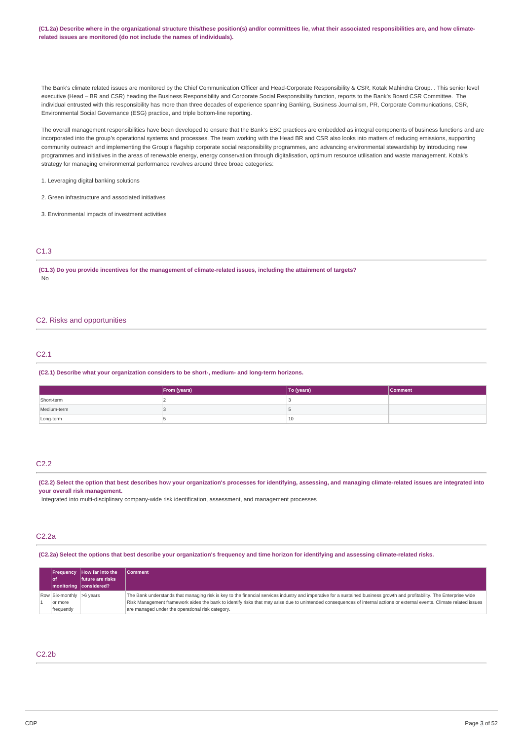(C1.2a) Describe where in the organizational structure this/these position(s) and/or committees lie, what their associated responsibilities are, and how climate**related issues are monitored (do not include the names of individuals).**

The Bank's climate related issues are monitored by the Chief Communication Officer and Head-Corporate Responsibility & CSR, Kotak Mahindra Group. . This senior level executive (Head – BR and CSR) heading the Business Responsibility and Corporate Social Responsibility function, reports to the Bank's Board CSR Committee. The individual entrusted with this responsibility has more than three decades of experience spanning Banking, Business Journalism, PR, Corporate Communications, CSR, Environmental Social Governance (ESG) practice, and triple bottom-line reporting.

The overall management responsibilities have been developed to ensure that the Bank's ESG practices are embedded as integral components of business functions and are incorporated into the group's operational systems and processes. The team working with the Head BR and CSR also looks into matters of reducing emissions, supporting community outreach and implementing the Group's flagship corporate social responsibility programmes, and advancing environmental stewardship by introducing new programmes and initiatives in the areas of renewable energy, energy conservation through digitalisation, optimum resource utilisation and waste management. Kotak's strategy for managing environmental performance revolves around three broad categories:

1. Leveraging digital banking solutions

2. Green infrastructure and associated initiatives

3. Environmental impacts of investment activities

### C1.3

(C1.3) Do you provide incentives for the management of climate-related issues, including the attainment of targets? No

#### C2. Risks and opportunities

### C2.1

**(C2.1) Describe what your organization considers to be short-, medium- and long-term horizons.**

|             | From (years) | To (years) | <b>Comment</b> |
|-------------|--------------|------------|----------------|
| Short-term  |              |            |                |
| Medium-term |              |            |                |
| Long-term   |              | 10         |                |

#### C2.2

(C2.2) Select the option that best describes how your organization's processes for identifying, assessing, and managing climate-related issues are integrated into **your overall risk management.**

Integrated into multi-disciplinary company-wide risk identification, assessment, and management processes

### C2.2a

(C2.2a) Select the options that best describe your organization's frequency and time horizon for identifying and assessing climate-related risks.

| l of                                              | <b>Frequency How far into the</b><br>future are risks<br>  monitoring   considered? | <b>Comment</b>                                                                                                                                                                                                                                                                                                                                                                                         |
|---------------------------------------------------|-------------------------------------------------------------------------------------|--------------------------------------------------------------------------------------------------------------------------------------------------------------------------------------------------------------------------------------------------------------------------------------------------------------------------------------------------------------------------------------------------------|
| Row Six-monthly >6 years<br>or more<br>frequently |                                                                                     | The Bank understands that managing risk is key to the financial services industry and imperative for a sustained business growth and profitability. The Enterprise wide<br>Risk Management framework aides the bank to identify risks that may arise due to unintended consequences of internal actions or external events. Climate related issues<br>are managed under the operational risk category. |

### C2.2b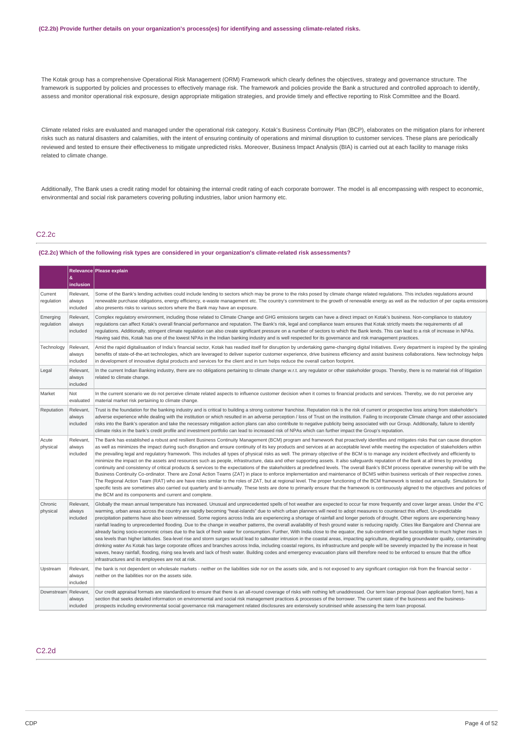The Kotak group has a comprehensive Operational Risk Management (ORM) Framework which clearly defines the objectives, strategy and governance structure. The framework is supported by policies and processes to effectively manage risk. The framework and policies provide the Bank a structured and controlled approach to identify, assess and monitor operational risk exposure, design appropriate mitigation strategies, and provide timely and effective reporting to Risk Committee and the Board.

Climate related risks are evaluated and managed under the operational risk category. Kotak's Business Continuity Plan (BCP), elaborates on the mitigation plans for inherent risks such as natural disasters and calamities, with the intent of ensuring continuity of operations and minimal disruption to customer services. These plans are periodically reviewed and tested to ensure their effectiveness to mitigate unpredicted risks. Moreover, Business Impact Analysis (BIA) is carried out at each facility to manage risks related to climate change.

Additionally, The Bank uses a credit rating model for obtaining the internal credit rating of each corporate borrower. The model is all encompassing with respect to economic, environmental and social risk parameters covering polluting industries, labor union harmony etc.

### C2.2c

#### **(C2.2c) Which of the following risk types are considered in your organization's climate-related risk assessments?**

|                        | &<br>inclusion                  | Relevance Please explain                                                                                                                                                                                                                                                                                                                                                                                                                                                                                                                                                                                                                                                                                                                                                                                                                                                                                                                                                                                                                                                                                                                                                                                                                                                                                                                                                                                                                                                                                                                                                                                                 |
|------------------------|---------------------------------|--------------------------------------------------------------------------------------------------------------------------------------------------------------------------------------------------------------------------------------------------------------------------------------------------------------------------------------------------------------------------------------------------------------------------------------------------------------------------------------------------------------------------------------------------------------------------------------------------------------------------------------------------------------------------------------------------------------------------------------------------------------------------------------------------------------------------------------------------------------------------------------------------------------------------------------------------------------------------------------------------------------------------------------------------------------------------------------------------------------------------------------------------------------------------------------------------------------------------------------------------------------------------------------------------------------------------------------------------------------------------------------------------------------------------------------------------------------------------------------------------------------------------------------------------------------------------------------------------------------------------|
| Current<br>regulation  | Relevant,<br>always<br>included | Some of the Bank's lending activities could include lending to sectors which may be prone to the risks posed by climate change related regulations. This includes regulations around<br>renewable purchase obligations, energy efficiency, e-waste management etc. The country's commitment to the growth of renewable energy as well as the reduction of per capita emissions<br>also presents risks to various sectors where the Bank may have an exposure.                                                                                                                                                                                                                                                                                                                                                                                                                                                                                                                                                                                                                                                                                                                                                                                                                                                                                                                                                                                                                                                                                                                                                            |
| Emerging<br>regulation | Relevant.<br>always<br>included | Complex requlatory environment, including those related to Climate Change and GHG emissions targets can have a direct impact on Kotak's business. Non-compliance to statutory<br>requlations can affect Kotak's overall financial performance and reputation. The Bank's risk, legal and compliance team ensures that Kotak strictly meets the requirements of all<br>regulations. Additionally, stringent climate regulation can also create significant pressure on a number of sectors to which the Bank lends. This can lead to a risk of increase in NPAs.<br>Having said this, Kotak has one of the lowest NPAs in the Indian banking industry and is well respected for its governance and risk management practices.                                                                                                                                                                                                                                                                                                                                                                                                                                                                                                                                                                                                                                                                                                                                                                                                                                                                                             |
| Technology             | Relevant,<br>always<br>included | Amid the rapid digitalisaation of India's financial sector, Kotak has readied itself for disruption by undertaking game-changing digital Initiatives. Every department is inspired by the spiraling<br>benefits of state-of-the-art technologies, which are leveraged to deliver superior customer experience, drive business efficiency and assist business collaborations. New technology helps<br>in development of innovative digital products and services for the client and in turn helps reduce the overall carbon footprint.                                                                                                                                                                                                                                                                                                                                                                                                                                                                                                                                                                                                                                                                                                                                                                                                                                                                                                                                                                                                                                                                                    |
| Legal                  | Relevant,<br>always<br>included | In the current Indian Banking industry, there are no obligations pertaining to climate change w.r.t. any regulator or other stakeholder groups. Thereby, there is no material risk of litigation<br>related to climate change.                                                                                                                                                                                                                                                                                                                                                                                                                                                                                                                                                                                                                                                                                                                                                                                                                                                                                                                                                                                                                                                                                                                                                                                                                                                                                                                                                                                           |
| Market                 | Not<br>evaluated                | In the current scenario we do not perceive climate related aspects to influence customer decision when it comes to financial products and services. Thereby, we do not perceive any<br>material market risk pertaining to climate change.                                                                                                                                                                                                                                                                                                                                                                                                                                                                                                                                                                                                                                                                                                                                                                                                                                                                                                                                                                                                                                                                                                                                                                                                                                                                                                                                                                                |
| Reputation             | Relevant,<br>always<br>included | Trust is the foundation for the banking industry and is critical to building a strong customer franchise. Reputation risk is the risk of current or prospective loss arising from stakeholder's<br>adverse experience while dealing with the institution or which resulted in an adverse perception / loss of Trust on the institution. Failing to incorporate Climate change and other associated<br>risks into the Bank's operation and take the necessary mitigation action plans can also contribute to negative publicity being associated with our Group. Additionally, failure to identify<br>climate risks in the bank's credit profile and investment portfolio can lead to increased risk of NPAs which can further impact the Group's reputation.                                                                                                                                                                                                                                                                                                                                                                                                                                                                                                                                                                                                                                                                                                                                                                                                                                                             |
| Acute<br>physical      | Relevant.<br>always<br>included | The Bank has established a robust and resilient Business Continuity Management (BCM) program and framework that proactively identifies and mitigates risks that can cause disruption<br>as well as minimizes the impact during such disruption and ensure continuity of its key products and services at an acceptable level while meeting the expectation of stakeholders within<br>the prevailing legal and regulatory framework. This includes all types of physical risks as well. The primary objective of the BCM is to manage any incident effectively and efficiently to<br>minimize the impact on the assets and resources such as people, infrastructure, data and other supporting assets. It also safeguards reputation of the Bank at all times by providing<br>continuity and consistency of critical products & services to the expectations of the stakeholders at predefined levels. The overall Bank's BCM process operative ownership will be with the<br>Business Continuity Co-ordinator. There are Zonal Action Teams (ZAT) in place to enforce implementation and maintenance of BCMS within business verticals of their respective zones.<br>The Regional Action Team (RAT) who are have roles similar to the roles of ZAT, but at regional level. The proper functioning of the BCM framework is tested out annually. Simulations for<br>specific tests are sometimes also carried out quarterly and bi-annually. These tests are done to primarily ensure that the framework is continuously aligned to the objectives and policies of<br>the BCM and its components and current and complete. |
| Chronic<br>physical    | Relevant,<br>always<br>included | Globally the mean annual temperature has increased. Unusual and unprecedented spells of hot weather are expected to occur far more frequently and cover larger areas. Under the 4°C<br>warming, urban areas across the country are rapidly becoming "heat-islands" due to which urban planners will need to adopt measures to counteract this effect. Un-predictable<br>precipitation patterns have also been witnessed. Some regions across India are experiencing a shortage of rainfall and longer periods of drought. Other regions are experiencing heavy<br>rainfall leading to unprecedented flooding. Due to the change in weather patterns, the overall availability of fresh ground water is reducing rapidly. Cities like Bangalore and Chennai are<br>already facing socio-economic crises due to the lack of fresh water for consumption. Further, With India close to the equator, the sub-continent will be susceptible to much higher rises in<br>sea levels than higher latitudes. Sea-level rise and storm surges would lead to saltwater intrusion in the coastal areas, impacting agriculture, degrading groundwater quality, contaminating<br>drinking water As Kotak has large corporate offices and branches across India, including coastal regions, its infrastructure and people will be severely impacted by the increase in heat<br>waves, heavy rainfall, flooding, rising sea levels and lack of fresh water. Building codes and emergency evacuation plans will therefore need to be enforced to ensure that the office<br>infrastructures and its employees are not at risk.             |
| Upstream               | Relevant,<br>always<br>included | the bank is not dependent on wholesale markets - neither on the liabilities side nor on the assets side, and is not exposed to any significant contagion risk from the financial sector -<br>neither on the liabilities nor on the assets side.                                                                                                                                                                                                                                                                                                                                                                                                                                                                                                                                                                                                                                                                                                                                                                                                                                                                                                                                                                                                                                                                                                                                                                                                                                                                                                                                                                          |
| Downstream Relevant,   | always<br>included              | Our credit appraisal formats are standardized to ensure that there is an all-round coverage of risks with nothing left unaddressed. Our term loan proposal (loan application form), has a<br>section that seeks detailed information on environmental and social risk management practices & processes of the borrower. The current state of the business and the business-<br>prospects including environmental social governance risk management related disclosures are extensively scrutinised while assessing the term loan proposal.                                                                                                                                                                                                                                                                                                                                                                                                                                                                                                                                                                                                                                                                                                                                                                                                                                                                                                                                                                                                                                                                               |

C2.2d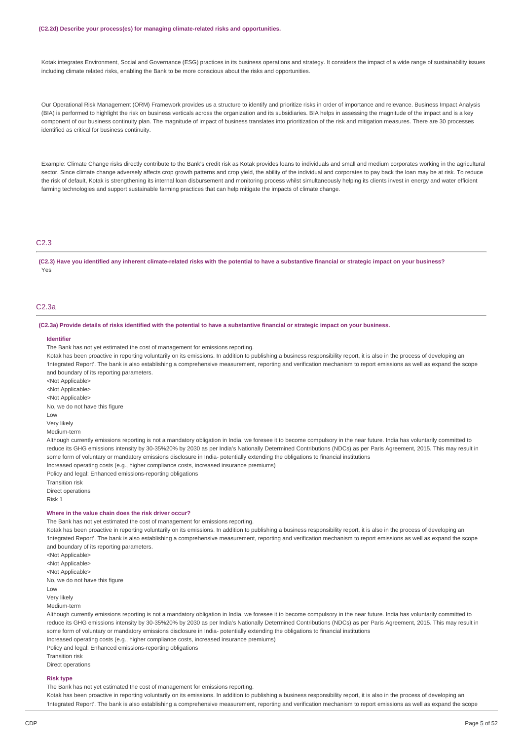#### **(C2.2d) Describe your process(es) for managing climate-related risks and opportunities.**

Kotak integrates Environment, Social and Governance (ESG) practices in its business operations and strategy. It considers the impact of a wide range of sustainability issues including climate related risks, enabling the Bank to be more conscious about the risks and opportunities.

Our Operational Risk Management (ORM) Framework provides us a structure to identify and prioritize risks in order of importance and relevance. Business Impact Analysis (BIA) is performed to highlight the risk on business verticals across the organization and its subsidiaries. BIA helps in assessing the magnitude of the impact and is a key component of our business continuity plan. The magnitude of impact of business translates into prioritization of the risk and mitigation measures. There are 30 processes identified as critical for business continuity.

Example: Climate Change risks directly contribute to the Bank's credit risk as Kotak provides loans to individuals and small and medium corporates working in the agricultural sector. Since climate change adversely affects crop growth patterns and crop yield, the ability of the individual and corporates to pay back the loan may be at risk. To reduce the risk of default, Kotak is strengthening its internal loan disbursement and monitoring process whilst simultaneously helping its clients invest in energy and water efficient farming technologies and support sustainable farming practices that can help mitigate the impacts of climate change.

#### C2.3

(C2.3) Have you identified any inherent climate-related risks with the potential to have a substantive financial or strategic impact on your business? Yes

### C2.3a

(C2.3a) Provide details of risks identified with the potential to have a substantive financial or strategic impact on your business.

#### **Identifier**

The Bank has not yet estimated the cost of management for emissions reporting.

Kotak has been proactive in reporting voluntarily on its emissions. In addition to publishing a business responsibility report, it is also in the process of developing an 'Integrated Report'. The bank is also establishing a comprehensive measurement, reporting and verification mechanism to report emissions as well as expand the scope and boundary of its reporting parameters.

<Not Applicable>

<Not Applicable>

<Not Applicable>

No, we do not have this figure

Low

Very likely

Medium-term

Although currently emissions reporting is not a mandatory obligation in India, we foresee it to become compulsory in the near future. India has voluntarily committed to reduce its GHG emissions intensity by 30-35%20% by 2030 as per India's Nationally Determined Contributions (NDCs) as per Paris Agreement, 2015. This may result in some form of voluntary or mandatory emissions disclosure in India- potentially extending the obligations to financial institutions Increased operating costs (e.g., higher compliance costs, increased insurance premiums)

Policy and legal: Enhanced emissions-reporting obligations

Transition risk Direct operations Risk 1

#### **Where in the value chain does the risk driver occur?**

The Bank has not yet estimated the cost of management for emissions reporting.

Kotak has been proactive in reporting voluntarily on its emissions. In addition to publishing a business responsibility report, it is also in the process of developing an 'Integrated Report'. The bank is also establishing a comprehensive measurement, reporting and verification mechanism to report emissions as well as expand the scope and boundary of its reporting parameters.

<Not Applicable> <Not Applicable> <Not Applicable> No, we do not have this figure Low Very likely Medium-term

Although currently emissions reporting is not a mandatory obligation in India, we foresee it to become compulsory in the near future. India has voluntarily committed to reduce its GHG emissions intensity by 30-35%20% by 2030 as per India's Nationally Determined Contributions (NDCs) as per Paris Agreement, 2015. This may result in some form of voluntary or mandatory emissions disclosure in India- potentially extending the obligations to financial institutions Increased operating costs (e.g., higher compliance costs, increased insurance premiums)

Policy and legal: Enhanced emissions-reporting obligations

Transition risk

Direct operations

### **Risk type**

The Bank has not yet estimated the cost of management for emissions reporting.

Kotak has been proactive in reporting voluntarily on its emissions. In addition to publishing a business responsibility report, it is also in the process of developing an 'Integrated Report'. The bank is also establishing a comprehensive measurement, reporting and verification mechanism to report emissions as well as expand the scope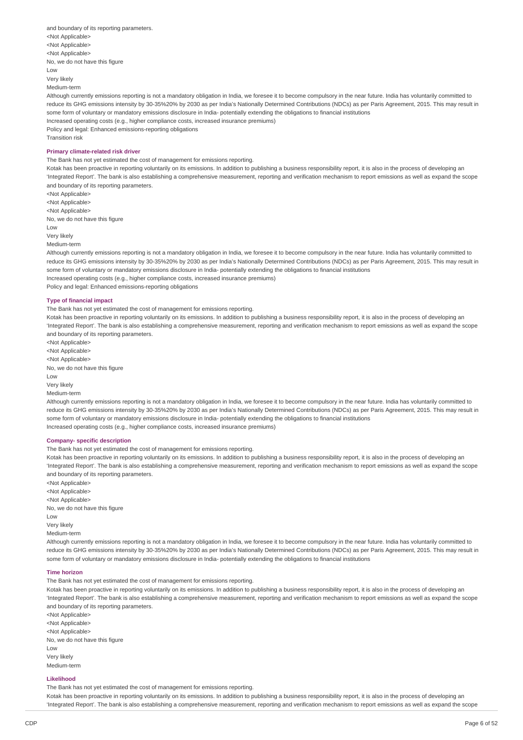| and boundary of its reporting parameters.                 |
|-----------------------------------------------------------|
| <not applicable=""></not>                                 |
| <not applicable=""></not>                                 |
| <not applicable=""></not>                                 |
| No, we do not have this figure                            |
| Low                                                       |
| Very likely                                               |
| Medium-term                                               |
| Although currently emissions reporting is not a mandatory |

obligation in India, we foresee it to become compulsory in the near future. India has voluntarily committed to reduce its GHG emissions intensity by 30-35%20% by 2030 as per India's Nationally Determined Contributions (NDCs) as per Paris Agreement, 2015. This may result in some form of voluntary or mandatory emissions disclosure in India- potentially extending the obligations to financial institutions

Increased operating costs (e.g., higher compliance costs, increased insurance premiums)

Policy and legal: Enhanced emissions-reporting obligations Transition risk

### **Primary climate-related risk driver**

The Bank has not yet estimated the cost of management for emissions reporting.

Kotak has been proactive in reporting voluntarily on its emissions. In addition to publishing a business responsibility report, it is also in the process of developing an 'Integrated Report'. The bank is also establishing a comprehensive measurement, reporting and verification mechanism to report emissions as well as expand the scope and boundary of its reporting parameters.

<Not Applicable> <Not Applicable> <Not Applicable> No, we do not have this figure Low Very likely Medium-term

Although currently emissions reporting is not a mandatory obligation in India, we foresee it to become compulsory in the near future. India has voluntarily committed to reduce its GHG emissions intensity by 30-35%20% by 2030 as per India's Nationally Determined Contributions (NDCs) as per Paris Agreement, 2015. This may result in some form of voluntary or mandatory emissions disclosure in India- potentially extending the obligations to financial institutions Increased operating costs (e.g., higher compliance costs, increased insurance premiums) Policy and legal: Enhanced emissions-reporting obligations

#### **Type of financial impact**

The Bank has not yet estimated the cost of management for emissions reporting.

Kotak has been proactive in reporting voluntarily on its emissions. In addition to publishing a business responsibility report, it is also in the process of developing an 'Integrated Report'. The bank is also establishing a comprehensive measurement, reporting and verification mechanism to report emissions as well as expand the scope and boundary of its reporting parameters.

<Not Applicable> <Not Applicable> <Not Applicable> No, we do not have this figure  $\overline{L}$   $\Omega M$ Very likely Medium-term

Although currently emissions reporting is not a mandatory obligation in India, we foresee it to become compulsory in the near future. India has voluntarily committed to reduce its GHG emissions intensity by 30-35%20% by 2030 as per India's Nationally Determined Contributions (NDCs) as per Paris Agreement, 2015. This may result in some form of voluntary or mandatory emissions disclosure in India- potentially extending the obligations to financial institutions Increased operating costs (e.g., higher compliance costs, increased insurance premiums)

#### **Company- specific description**

The Bank has not yet estimated the cost of management for emissions reporting.

Kotak has been proactive in reporting voluntarily on its emissions. In addition to publishing a business responsibility report, it is also in the process of developing an 'Integrated Report'. The bank is also establishing a comprehensive measurement, reporting and verification mechanism to report emissions as well as expand the scope and boundary of its reporting parameters.

<Not Applicable> <Not Applicable> <Not Applicable> No, we do not have this figure Low Very likely Medium-term

Although currently emissions reporting is not a mandatory obligation in India, we foresee it to become compulsory in the near future. India has voluntarily committed to reduce its GHG emissions intensity by 30-35%20% by 2030 as per India's Nationally Determined Contributions (NDCs) as per Paris Agreement, 2015. This may result in some form of voluntary or mandatory emissions disclosure in India- potentially extending the obligations to financial institutions

#### **Time horizon**

The Bank has not yet estimated the cost of management for emissions reporting.

Kotak has been proactive in reporting voluntarily on its emissions. In addition to publishing a business responsibility report, it is also in the process of developing an 'Integrated Report'. The bank is also establishing a comprehensive measurement, reporting and verification mechanism to report emissions as well as expand the scope and boundary of its reporting parameters.

<Not Applicable> <Not Applicable> <Not Applicable> No, we do not have this figure Low Very likely Medium-term

#### **Likelihood**

The Bank has not yet estimated the cost of management for emissions reporting.

Kotak has been proactive in reporting voluntarily on its emissions. In addition to publishing a business responsibility report, it is also in the process of developing an 'Integrated Report'. The bank is also establishing a comprehensive measurement, reporting and verification mechanism to report emissions as well as expand the scope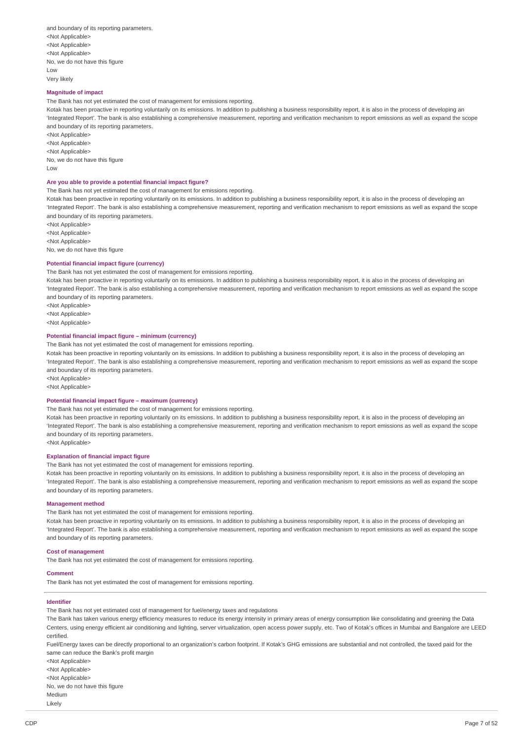and boundary of its reporting parameters. <Not Applicable> <Not Applicable> <Not Applicable> No, we do not have this figure Low Very likely

#### **Magnitude of impact**

The Bank has not yet estimated the cost of management for emissions reporting.

Kotak has been proactive in reporting voluntarily on its emissions. In addition to publishing a business responsibility report, it is also in the process of developing an 'Integrated Report'. The bank is also establishing a comprehensive measurement, reporting and verification mechanism to report emissions as well as expand the scope and boundary of its reporting parameters.

<Not Applicable> <Not Applicable> <Not Applicable> No, we do not have this figure Low

#### **Are you able to provide a potential financial impact figure?**

The Bank has not yet estimated the cost of management for emissions reporting.

Kotak has been proactive in reporting voluntarily on its emissions. In addition to publishing a business responsibility report, it is also in the process of developing an 'Integrated Report'. The bank is also establishing a comprehensive measurement, reporting and verification mechanism to report emissions as well as expand the scope and boundary of its reporting parameters.

<Not Applicable> <Not Applicable>

<Not Applicable>

No, we do not have this figure

### **Potential financial impact figure (currency)**

#### The Bank has not yet estimated the cost of management for emissions reporting.

Kotak has been proactive in reporting voluntarily on its emissions. In addition to publishing a business responsibility report, it is also in the process of developing an 'Integrated Report'. The bank is also establishing a comprehensive measurement, reporting and verification mechanism to report emissions as well as expand the scope and boundary of its reporting parameters.

<Not Applicable>

<Not Applicable>

<Not Applicable>

### **Potential financial impact figure – minimum (currency)**

The Bank has not yet estimated the cost of management for emissions reporting.

Kotak has been proactive in reporting voluntarily on its emissions. In addition to publishing a business responsibility report, it is also in the process of developing an 'Integrated Report'. The bank is also establishing a comprehensive measurement, reporting and verification mechanism to report emissions as well as expand the scope and boundary of its reporting parameters. <Not Applicable>

<Not Applicable>

#### **Potential financial impact figure – maximum (currency)**

The Bank has not yet estimated the cost of management for emissions reporting.

Kotak has been proactive in reporting voluntarily on its emissions. In addition to publishing a business responsibility report, it is also in the process of developing an 'Integrated Report'. The bank is also establishing a comprehensive measurement, reporting and verification mechanism to report emissions as well as expand the scope and boundary of its reporting parameters. <Not Applicable>

#### **Explanation of financial impact figure**

The Bank has not yet estimated the cost of management for emissions reporting.

Kotak has been proactive in reporting voluntarily on its emissions. In addition to publishing a business responsibility report, it is also in the process of developing an 'Integrated Report'. The bank is also establishing a comprehensive measurement, reporting and verification mechanism to report emissions as well as expand the scope and boundary of its reporting parameters.

#### **Management method**

The Bank has not yet estimated the cost of management for emissions reporting.

Kotak has been proactive in reporting voluntarily on its emissions. In addition to publishing a business responsibility report, it is also in the process of developing an 'Integrated Report'. The bank is also establishing a comprehensive measurement, reporting and verification mechanism to report emissions as well as expand the scope and boundary of its reporting parameters.

#### **Cost of management**

The Bank has not yet estimated the cost of management for emissions reporting.

#### **Comment**

The Bank has not yet estimated the cost of management for emissions reporting.

### **Identifier**

The Bank has not yet estimated cost of management for fuel/energy taxes and regulations

The Bank has taken various energy efficiency measures to reduce its energy intensity in primary areas of energy consumption like consolidating and greening the Data Centers, using energy efficient air conditioning and lighting, server virtualization, open access power supply, etc. Two of Kotak's offices in Mumbai and Bangalore are LEED certified.

Fuel/Energy taxes can be directly proportional to an organization's carbon footprint. If Kotak's GHG emissions are substantial and not controlled, the taxed paid for the same can reduce the Bank's profit margin

<Not Applicable> <Not Applicable> <Not Applicable> No, we do not have this figure Medium Likely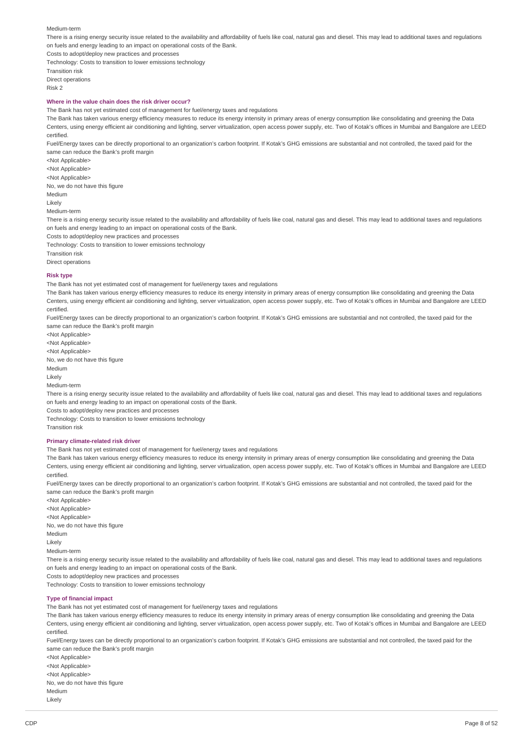#### Medium-term

There is a rising energy security issue related to the availability and affordability of fuels like coal, natural gas and diesel. This may lead to additional taxes and regulations on fuels and energy leading to an impact on operational costs of the Bank.

Costs to adopt/deploy new practices and processes Technology: Costs to transition to lower emissions technology

Transition risk Direct operations Risk 2

### **Where in the value chain does the risk driver occur?**

The Bank has not yet estimated cost of management for fuel/energy taxes and regulations

The Bank has taken various energy efficiency measures to reduce its energy intensity in primary areas of energy consumption like consolidating and greening the Data Centers, using energy efficient air conditioning and lighting, server virtualization, open access power supply, etc. Two of Kotak's offices in Mumbai and Bangalore are LEED certified.

Fuel/Energy taxes can be directly proportional to an organization's carbon footprint. If Kotak's GHG emissions are substantial and not controlled, the taxed paid for the same can reduce the Bank's profit margin

<Not Applicable> <Not Applicable> <Not Applicable> No, we do not have this figure Medium Likely Medium-term

There is a rising energy security issue related to the availability and affordability of fuels like coal, natural gas and diesel. This may lead to additional taxes and regulations on fuels and energy leading to an impact on operational costs of the Bank.

Costs to adopt/deploy new practices and processes

Technology: Costs to transition to lower emissions technology

Transition risk

Direct operations

#### **Risk type**

The Bank has not yet estimated cost of management for fuel/energy taxes and regulations

The Bank has taken various energy efficiency measures to reduce its energy intensity in primary areas of energy consumption like consolidating and greening the Data Centers, using energy efficient air conditioning and lighting, server virtualization, open access power supply, etc. Two of Kotak's offices in Mumbai and Bangalore are LEED certified.

Fuel/Energy taxes can be directly proportional to an organization's carbon footprint. If Kotak's GHG emissions are substantial and not controlled, the taxed paid for the same can reduce the Bank's profit margin

<Not Applicable>

<Not Applicable>

<Not Applicable>

No, we do not have this figure

Medium

Likely

Medium-term

There is a rising energy security issue related to the availability and affordability of fuels like coal, natural gas and diesel. This may lead to additional taxes and regulations on fuels and energy leading to an impact on operational costs of the Bank.

Costs to adopt/deploy new practices and processes

Technology: Costs to transition to lower emissions technology Transition risk

#### **Primary climate-related risk driver**

The Bank has not yet estimated cost of management for fuel/energy taxes and regulations

The Bank has taken various energy efficiency measures to reduce its energy intensity in primary areas of energy consumption like consolidating and greening the Data Centers, using energy efficient air conditioning and lighting, server virtualization, open access power supply, etc. Two of Kotak's offices in Mumbai and Bangalore are LEED certified.

Fuel/Energy taxes can be directly proportional to an organization's carbon footprint. If Kotak's GHG emissions are substantial and not controlled, the taxed paid for the same can reduce the Bank's profit margin

<Not Applicable> <Not Applicable> <Not Applicable> No, we do not have this figure Medium Likely Medium-term There is a rising energy security issue related to the availability and affordability of fuels like coal, natural gas and diesel. This may lead to additional taxes and regulations on fuels and energy leading to an impact on operational costs of the Bank.

Costs to adopt/deploy new practices and processes

Technology: Costs to transition to lower emissions technology

#### **Type of financial impact**

The Bank has not yet estimated cost of management for fuel/energy taxes and regulations

The Bank has taken various energy efficiency measures to reduce its energy intensity in primary areas of energy consumption like consolidating and greening the Data Centers, using energy efficient air conditioning and lighting, server virtualization, open access power supply, etc. Two of Kotak's offices in Mumbai and Bangalore are LEED certified.

Fuel/Energy taxes can be directly proportional to an organization's carbon footprint. If Kotak's GHG emissions are substantial and not controlled, the taxed paid for the same can reduce the Bank's profit margin

<Not Applicable> <Not Applicable> <Not Applicable> No, we do not have this figure Medium Likely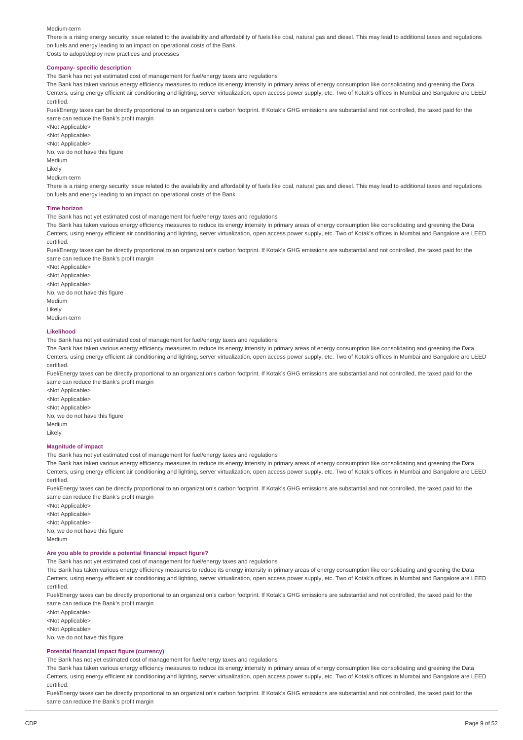#### Medium-term

There is a rising energy security issue related to the availability and affordability of fuels like coal, natural gas and diesel. This may lead to additional taxes and regulations on fuels and energy leading to an impact on operational costs of the Bank.

Costs to adopt/deploy new practices and processes

### **Company- specific description**

The Bank has not yet estimated cost of management for fuel/energy taxes and regulations

The Bank has taken various energy efficiency measures to reduce its energy intensity in primary areas of energy consumption like consolidating and greening the Data Centers, using energy efficient air conditioning and lighting, server virtualization, open access power supply, etc. Two of Kotak's offices in Mumbai and Bangalore are LEED certified.

Fuel/Energy taxes can be directly proportional to an organization's carbon footprint. If Kotak's GHG emissions are substantial and not controlled, the taxed paid for the same can reduce the Bank's profit margin

<Not Applicable> <Not Applicable> <Not Applicable> No, we do not have this figure Medium Likely Medium-term

There is a rising energy security issue related to the availability and affordability of fuels like coal, natural gas and diesel. This may lead to additional taxes and regulations on fuels and energy leading to an impact on operational costs of the Bank.

#### **Time horizon**

The Bank has not yet estimated cost of management for fuel/energy taxes and regulations

The Bank has taken various energy efficiency measures to reduce its energy intensity in primary areas of energy consumption like consolidating and greening the Data Centers, using energy efficient air conditioning and lighting, server virtualization, open access power supply, etc. Two of Kotak's offices in Mumbai and Bangalore are LEED certified.

Fuel/Energy taxes can be directly proportional to an organization's carbon footprint. If Kotak's GHG emissions are substantial and not controlled, the taxed paid for the same can reduce the Bank's profit margin

<Not Applicable> <Not Applicable> <Not Applicable> No, we do not have this figure Medium Likely Medium-term

#### **Likelihood**

The Bank has not yet estimated cost of management for fuel/energy taxes and regulations

The Bank has taken various energy efficiency measures to reduce its energy intensity in primary areas of energy consumption like consolidating and greening the Data Centers, using energy efficient air conditioning and lighting, server virtualization, open access power supply, etc. Two of Kotak's offices in Mumbai and Bangalore are LEED certified.

Fuel/Energy taxes can be directly proportional to an organization's carbon footprint. If Kotak's GHG emissions are substantial and not controlled, the taxed paid for the same can reduce the Bank's profit margin

<Not Applicable> <Not Applicable> <Not Applicable> No, we do not have this figure Medium Likely

### **Magnitude of impact**

The Bank has not yet estimated cost of management for fuel/energy taxes and regulations

The Bank has taken various energy efficiency measures to reduce its energy intensity in primary areas of energy consumption like consolidating and greening the Data Centers, using energy efficient air conditioning and lighting, server virtualization, open access power supply, etc. Two of Kotak's offices in Mumbai and Bangalore are LEED certified.

Fuel/Energy taxes can be directly proportional to an organization's carbon footprint. If Kotak's GHG emissions are substantial and not controlled, the taxed paid for the same can reduce the Bank's profit margin

<Not Applicable> <Not Applicable> <Not Applicable> No, we do not have this figure

Medium

### **Are you able to provide a potential financial impact figure?**

The Bank has not yet estimated cost of management for fuel/energy taxes and regulations

The Bank has taken various energy efficiency measures to reduce its energy intensity in primary areas of energy consumption like consolidating and greening the Data Centers, using energy efficient air conditioning and lighting, server virtualization, open access power supply, etc. Two of Kotak's offices in Mumbai and Bangalore are LEED certified.

Fuel/Energy taxes can be directly proportional to an organization's carbon footprint. If Kotak's GHG emissions are substantial and not controlled, the taxed paid for the same can reduce the Bank's profit margin

<Not Applicable>

<Not Applicable>

<Not Applicable>

No, we do not have this figure

### **Potential financial impact figure (currency)**

The Bank has not yet estimated cost of management for fuel/energy taxes and regulations

The Bank has taken various energy efficiency measures to reduce its energy intensity in primary areas of energy consumption like consolidating and greening the Data Centers, using energy efficient air conditioning and lighting, server virtualization, open access power supply, etc. Two of Kotak's offices in Mumbai and Bangalore are LEED certified.

Fuel/Energy taxes can be directly proportional to an organization's carbon footprint. If Kotak's GHG emissions are substantial and not controlled, the taxed paid for the same can reduce the Bank's profit margin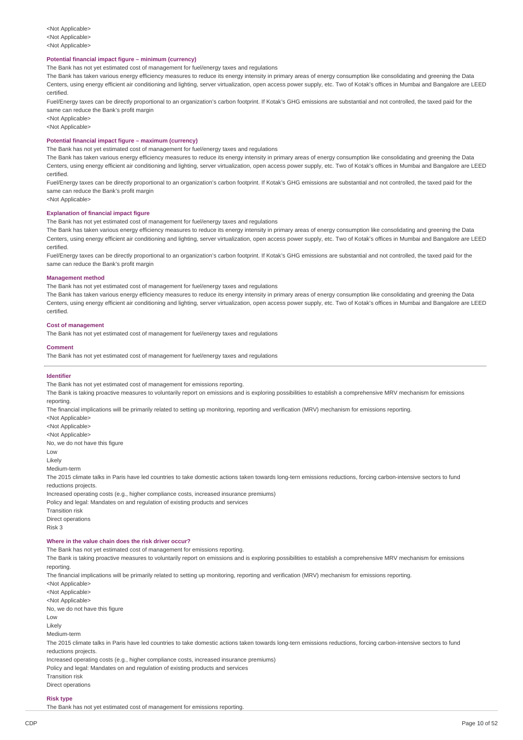#### **Potential financial impact figure – minimum (currency)**

The Bank has not yet estimated cost of management for fuel/energy taxes and regulations

The Bank has taken various energy efficiency measures to reduce its energy intensity in primary areas of energy consumption like consolidating and greening the Data Centers, using energy efficient air conditioning and lighting, server virtualization, open access power supply, etc. Two of Kotak's offices in Mumbai and Bangalore are LEED certified.

Fuel/Energy taxes can be directly proportional to an organization's carbon footprint. If Kotak's GHG emissions are substantial and not controlled, the taxed paid for the same can reduce the Bank's profit margin

<Not Applicable>

<Not Applicable>

### **Potential financial impact figure – maximum (currency)**

The Bank has not yet estimated cost of management for fuel/energy taxes and regulations

The Bank has taken various energy efficiency measures to reduce its energy intensity in primary areas of energy consumption like consolidating and greening the Data Centers, using energy efficient air conditioning and lighting, server virtualization, open access power supply, etc. Two of Kotak's offices in Mumbai and Bangalore are LEED certified.

Fuel/Energy taxes can be directly proportional to an organization's carbon footprint. If Kotak's GHG emissions are substantial and not controlled, the taxed paid for the same can reduce the Bank's profit margin

<Not Applicable>

#### **Explanation of financial impact figure**

The Bank has not yet estimated cost of management for fuel/energy taxes and regulations

The Bank has taken various energy efficiency measures to reduce its energy intensity in primary areas of energy consumption like consolidating and greening the Data Centers, using energy efficient air conditioning and lighting, server virtualization, open access power supply, etc. Two of Kotak's offices in Mumbai and Bangalore are LEED certified.

Fuel/Energy taxes can be directly proportional to an organization's carbon footprint. If Kotak's GHG emissions are substantial and not controlled, the taxed paid for the same can reduce the Bank's profit margin

#### **Management method**

The Bank has not yet estimated cost of management for fuel/energy taxes and regulations

The Bank has taken various energy efficiency measures to reduce its energy intensity in primary areas of energy consumption like consolidating and greening the Data Centers, using energy efficient air conditioning and lighting, server virtualization, open access power supply, etc. Two of Kotak's offices in Mumbai and Bangalore are LEED certified.

#### **Cost of management**

The Bank has not yet estimated cost of management for fuel/energy taxes and regulations

#### **Comment**

The Bank has not yet estimated cost of management for fuel/energy taxes and regulations

#### **Identifier**

The Bank has not yet estimated cost of management for emissions reporting. The Bank is taking proactive measures to voluntarily report on emissions and is exploring possibilities to establish a comprehensive MRV mechanism for emissions reporting. The financial implications will be primarily related to setting up monitoring, reporting and verification (MRV) mechanism for emissions reporting. <Not Applicable> <Not Applicable> <Not Applicable> No, we do not have this figure Low Likely Medium-term The 2015 climate talks in Paris have led countries to take domestic actions taken towards long-tern emissions reductions, forcing carbon-intensive sectors to fund reductions projects. Increased operating costs (e.g., higher compliance costs, increased insurance premiums) Policy and legal: Mandates on and regulation of existing products and services Transition risk Direct operations Risk 3

### **Where in the value chain does the risk driver occur?**

The Bank has not yet estimated cost of management for emissions reporting.

The Bank is taking proactive measures to voluntarily report on emissions and is exploring possibilities to establish a comprehensive MRV mechanism for emissions reporting.

The financial implications will be primarily related to setting up monitoring, reporting and verification (MRV) mechanism for emissions reporting.

<Not Applicable> <Not Applicable> <Not Applicable> No, we do not have this figure Low Likely Medium-term The 2015 climate talks in Paris have led countries to take domestic actions taken towards long-tern emissions reductions, forcing carbon-intensive sectors to fund reductions projects. Increased operating costs (e.g., higher compliance costs, increased insurance premiums) Policy and legal: Mandates on and regulation of existing products and services

Transition risk

Direct operations

# **Risk type**

The Bank has not yet estimated cost of management for emissions reporting.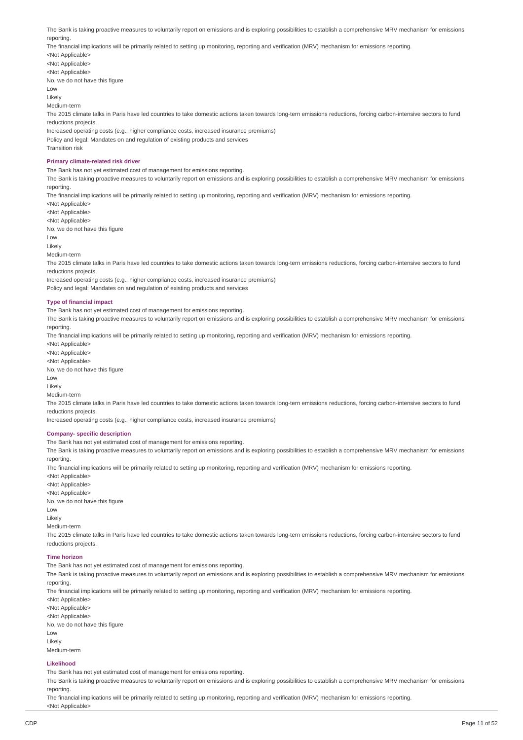The Bank is taking proactive measures to voluntarily report on emissions and is exploring possibilities to establish a comprehensive MRV mechanism for emissions reporting. The financial implications will be primarily related to setting up monitoring, reporting and verification (MRV) mechanism for emissions reporting. <Not Applicable> <Not Applicable> <Not Applicable> No, we do not have this figure Low Likely Medium-term The 2015 climate talks in Paris have led countries to take domestic actions taken towards long-tern emissions reductions, forcing carbon-intensive sectors to fund reductions projects. Increased operating costs (e.g., higher compliance costs, increased insurance premiums) Policy and legal: Mandates on and regulation of existing products and services Transition risk **Primary climate-related risk driver** The Bank has not yet estimated cost of management for emissions reporting. The Bank is taking proactive measures to voluntarily report on emissions and is exploring possibilities to establish a comprehensive MRV mechanism for emissions reporting. The financial implications will be primarily related to setting up monitoring, reporting and verification (MRV) mechanism for emissions reporting. <Not Applicable> <Not Applicable> <Not Applicable> No, we do not have this figure Low Likely Medium-term The 2015 climate talks in Paris have led countries to take domestic actions taken towards long-tern emissions reductions, forcing carbon-intensive sectors to fund reductions projects. Increased operating costs (e.g., higher compliance costs, increased insurance premiums) Policy and legal: Mandates on and regulation of existing products and services

#### **Type of financial impact**

The Bank has not yet estimated cost of management for emissions reporting.

The Bank is taking proactive measures to voluntarily report on emissions and is exploring possibilities to establish a comprehensive MRV mechanism for emissions reporting.

The financial implications will be primarily related to setting up monitoring, reporting and verification (MRV) mechanism for emissions reporting.

<Not Applicable> <Not Applicable> <Not Applicable> No, we do not have this figure Low Likely Medium-term The 2015 climate talks in Paris have led countries to take domestic actions taken towards long-tern emissions reductions, forcing carbon-intensive sectors to fund reductions projects. Increased operating costs (e.g., higher compliance costs, increased insurance premiums) **Company- specific description** The Bank has not yet estimated cost of management for emissions reporting.

The Bank is taking proactive measures to voluntarily report on emissions and is exploring possibilities to establish a comprehensive MRV mechanism for emissions reporting. The financial implications will be primarily related to setting up monitoring, reporting and verification (MRV) mechanism for emissions reporting.

<Not Applicable> <Not Applicable> <Not Applicable> No, we do not have this figure Low Likely Medium-term The 2015 climate talks in Paris have led countries to take domestic actions taken towards long-tern emissions reductions, forcing carbon-intensive sectors to fund reductions projects. **Time horizon** The Bank has not yet estimated cost of management for emissions reporting.

The Bank is taking proactive measures to voluntarily report on emissions and is exploring possibilities to establish a comprehensive MRV mechanism for emissions reporting.

The financial implications will be primarily related to setting up monitoring, reporting and verification (MRV) mechanism for emissions reporting.

<Not Applicable> <Not Applicable> <Not Applicable> No, we do not have this figure Low Likely Medium-term

#### **Likelihood**

The Bank has not yet estimated cost of management for emissions reporting.

The Bank is taking proactive measures to voluntarily report on emissions and is exploring possibilities to establish a comprehensive MRV mechanism for emissions reporting.

The financial implications will be primarily related to setting up monitoring, reporting and verification (MRV) mechanism for emissions reporting. <Not Applicable>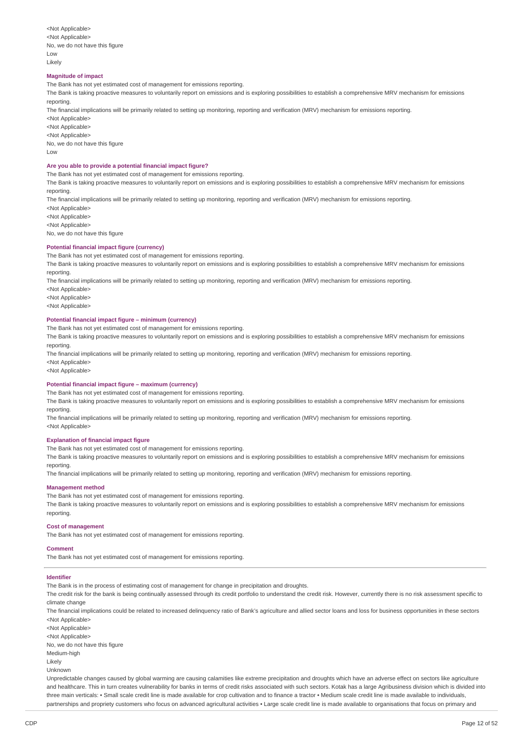<Not Applicable> <Not Applicable> No, we do not have this figure Low Likely

#### **Magnitude of impact**

The Bank has not yet estimated cost of management for emissions reporting.

The Bank is taking proactive measures to voluntarily report on emissions and is exploring possibilities to establish a comprehensive MRV mechanism for emissions reporting.

The financial implications will be primarily related to setting up monitoring, reporting and verification (MRV) mechanism for emissions reporting.

<Not Applicable> <Not Applicable> <Not Applicable> No, we do not have this figure

 $\overline{L}$  OW

#### **Are you able to provide a potential financial impact figure?**

The Bank has not yet estimated cost of management for emissions reporting.

The Bank is taking proactive measures to voluntarily report on emissions and is exploring possibilities to establish a comprehensive MRV mechanism for emissions reporting.

The financial implications will be primarily related to setting up monitoring, reporting and verification (MRV) mechanism for emissions reporting.

<Not Applicable>

<Not Applicable>

<Not Applicable>

No, we do not have this figure

### **Potential financial impact figure (currency)**

The Bank has not yet estimated cost of management for emissions reporting.

The Bank is taking proactive measures to voluntarily report on emissions and is exploring possibilities to establish a comprehensive MRV mechanism for emissions reporting.

The financial implications will be primarily related to setting up monitoring, reporting and verification (MRV) mechanism for emissions reporting.

- <Not Applicable>
- <Not Applicable>

<Not Applicable>

#### **Potential financial impact figure – minimum (currency)**

The Bank has not yet estimated cost of management for emissions reporting.

The Bank is taking proactive measures to voluntarily report on emissions and is exploring possibilities to establish a comprehensive MRV mechanism for emissions reporting.

The financial implications will be primarily related to setting up monitoring, reporting and verification (MRV) mechanism for emissions reporting. <Not Applicable>

<Not Applicable>

#### **Potential financial impact figure – maximum (currency)**

The Bank has not yet estimated cost of management for emissions reporting.

The Bank is taking proactive measures to voluntarily report on emissions and is exploring possibilities to establish a comprehensive MRV mechanism for emissions reporting.

The financial implications will be primarily related to setting up monitoring, reporting and verification (MRV) mechanism for emissions reporting. <Not Applicable>

#### **Explanation of financial impact figure**

The Bank has not yet estimated cost of management for emissions reporting.

The Bank is taking proactive measures to voluntarily report on emissions and is exploring possibilities to establish a comprehensive MRV mechanism for emissions reporting.

The financial implications will be primarily related to setting up monitoring, reporting and verification (MRV) mechanism for emissions reporting.

#### **Management method**

The Bank has not yet estimated cost of management for emissions reporting.

The Bank is taking proactive measures to voluntarily report on emissions and is exploring possibilities to establish a comprehensive MRV mechanism for emissions reporting.

#### **Cost of management**

The Bank has not yet estimated cost of management for emissions reporting.

#### **Comment**

The Bank has not yet estimated cost of management for emissions reporting.

#### **Identifier**

The Bank is in the process of estimating cost of management for change in precipitation and droughts.

The credit risk for the bank is being continually assessed through its credit portfolio to understand the credit risk. However, currently there is no risk assessment specific to climate change

The financial implications could be related to increased delinquency ratio of Bank's agriculture and allied sector loans and loss for business opportunities in these sectors <Not Applicable>

<Not Applicable>

<Not Applicable>

No, we do not have this figure

Medium-high

Likely

Unknown

Unpredictable changes caused by global warming are causing calamities like extreme precipitation and droughts which have an adverse effect on sectors like agriculture and healthcare. This in turn creates vulnerability for banks in terms of credit risks associated with such sectors. Kotak has a large Agribusiness division which is divided into three main verticals: • Small scale credit line is made available for crop cultivation and to finance a tractor • Medium scale credit line is made available to individuals partnerships and propriety customers who focus on advanced agricultural activities • Large scale credit line is made available to organisations that focus on primary and and proportions that focus on primary and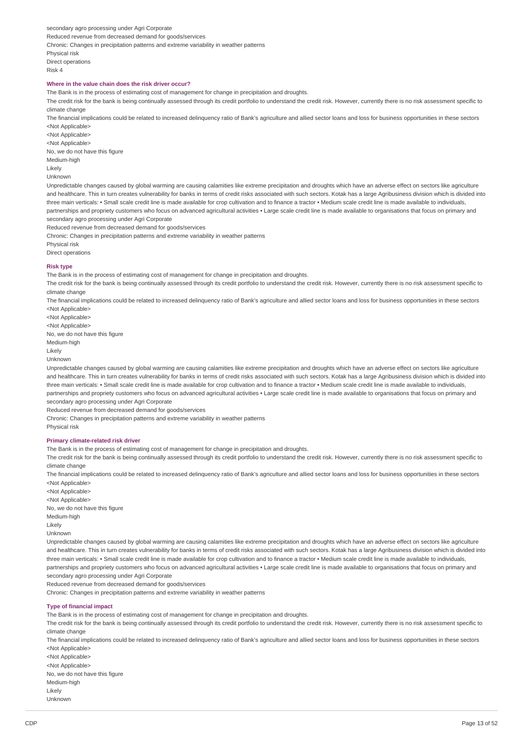secondary agro processing under Agri Corporate Reduced revenue from decreased demand for goods/services Chronic: Changes in precipitation patterns and extreme variability in weather patterns Physical risk Direct operations Risk 4

### **Where in the value chain does the risk driver occur?**

The Bank is in the process of estimating cost of management for change in precipitation and droughts.

The credit risk for the bank is being continually assessed through its credit portfolio to understand the credit risk. However, currently there is no risk assessment specific to climate change

The financial implications could be related to increased delinquency ratio of Bank's agriculture and allied sector loans and loss for business opportunities in these sectors <Not Applicable>

<Not Applicable>

<Not Applicable> No, we do not have this figure

Medium-high

Likely

Unknown

Unpredictable changes caused by global warming are causing calamities like extreme precipitation and droughts which have an adverse effect on sectors like agriculture and healthcare. This in turn creates vulnerability for banks in terms of credit risks associated with such sectors. Kotak has a large Agribusiness division which is divided into three main verticals: • Small scale credit line is made available for crop cultivation and to finance a tractor • Medium scale credit line is made available to individuals, partnerships and propriety customers who focus on advanced agricultural activities • Large scale credit line is made available to organisations that focus on primary and secondary agro processing under Agri Corporate

Reduced revenue from decreased demand for goods/services

Chronic: Changes in precipitation patterns and extreme variability in weather patterns

Physical risk

Direct operations

### **Risk type**

The Bank is in the process of estimating cost of management for change in precipitation and droughts.

The credit risk for the bank is being continually assessed through its credit portfolio to understand the credit risk. However, currently there is no risk assessment specific to climate change

The financial implications could be related to increased delinquency ratio of Bank's agriculture and allied sector loans and loss for business opportunities in these sectors <Not Applicable>

<Not Applicable> <Not Applicable> No, we do not have this figure Medium-high Likely

Unknown

Unpredictable changes caused by global warming are causing calamities like extreme precipitation and droughts which have an adverse effect on sectors like agriculture and healthcare. This in turn creates vulnerability for banks in terms of credit risks associated with such sectors. Kotak has a large Agribusiness division which is divided into three main verticals: • Small scale credit line is made available for crop cultivation and to finance a tractor • Medium scale credit line is made available to individuals partnerships and propriety customers who focus on advanced agricultural activities • Large scale credit line is made available to organisations that focus on primary and secondary agro processing under Agri Corporate

Reduced revenue from decreased demand for goods/services

Chronic: Changes in precipitation patterns and extreme variability in weather patterns

Physical risk

#### **Primary climate-related risk driver**

The Bank is in the process of estimating cost of management for change in precipitation and droughts.

The credit risk for the bank is being continually assessed through its credit portfolio to understand the credit risk. However, currently there is no risk assessment specific to climate change

The financial implications could be related to increased delinquency ratio of Bank's agriculture and allied sector loans and loss for business opportunities in these sectors <Not Applicable>

- <Not Applicable> <Not Applicable> No, we do not have this figure
- Medium-high

Likely

Unknown

Unpredictable changes caused by global warming are causing calamities like extreme precipitation and droughts which have an adverse effect on sectors like agriculture and healthcare. This in turn creates vulnerability for banks in terms of credit risks associated with such sectors. Kotak has a large Agribusiness division which is divided into three main verticals: • Small scale credit line is made available for crop cultivation and to finance a tractor • Medium scale credit line is made available to individuals, partnerships and propriety customers who focus on advanced agricultural activities • Large scale credit line is made available to organisations that focus on primary and secondary agro processing under Agri Corporate

Reduced revenue from decreased demand for goods/services

Chronic: Changes in precipitation patterns and extreme variability in weather patterns

#### **Type of financial impact**

The Bank is in the process of estimating cost of management for change in precipitation and droughts.

The credit risk for the bank is being continually assessed through its credit portfolio to understand the credit risk. However, currently there is no risk assessment specific to climate change

The financial implications could be related to increased delinquency ratio of Bank's agriculture and allied sector loans and loss for business opportunities in these sectors <Not Applicable>

<Not Applicable> <Not Applicable> No, we do not have this figure Medium-high Likely Unknown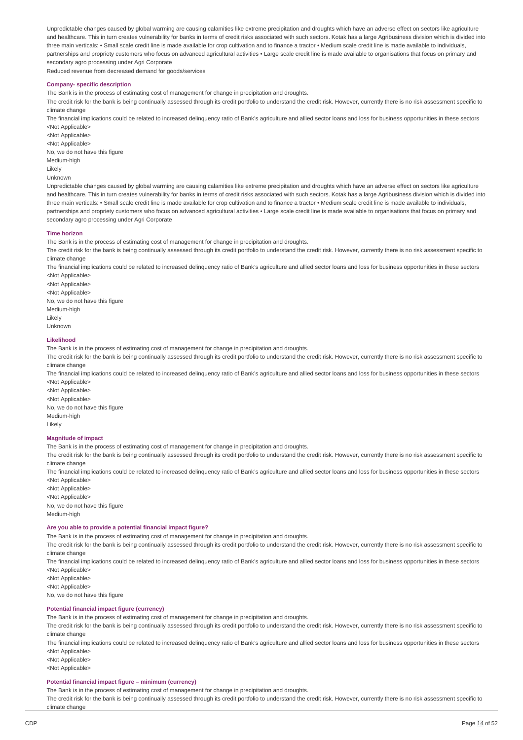Unpredictable changes caused by global warming are causing calamities like extreme precipitation and droughts which have an adverse effect on sectors like agriculture and healthcare. This in turn creates vulnerability for banks in terms of credit risks associated with such sectors. Kotak has a large Agribusiness division which is divided into three main verticals: • Small scale credit line is made available for crop cultivation and to finance a tractor • Medium scale credit line is made available to individuals, partnerships and propriety customers who focus on advanced agricultural activities • Large scale credit line is made available to organisations that focus on primary and secondary agro processing under Agri Corporate

Reduced revenue from decreased demand for goods/services

#### **Company- specific description**

The Bank is in the process of estimating cost of management for change in precipitation and droughts.

The credit risk for the bank is being continually assessed through its credit portfolio to understand the credit risk. However, currently there is no risk assessment specific to climate change

The financial implications could be related to increased delinquency ratio of Bank's agriculture and allied sector loans and loss for business opportunities in these sectors <Not Applicable>

<Not Applicable> <Not Applicable> No, we do not have this figure Medium-high Likely

Unknown

Unpredictable changes caused by global warming are causing calamities like extreme precipitation and droughts which have an adverse effect on sectors like agriculture and healthcare. This in turn creates vulnerability for banks in terms of credit risks associated with such sectors. Kotak has a large Agribusiness division which is divided into three main verticals: • Small scale credit line is made available for crop cultivation and to finance a tractor • Medium scale credit line is made available to individuals, partnerships and propriety customers who focus on advanced agricultural activities • Large scale credit line is made available to organisations that focus on primary and secondary agro processing under Agri Corporate

#### **Time horizon**

The Bank is in the process of estimating cost of management for change in precipitation and droughts.

The credit risk for the bank is being continually assessed through its credit portfolio to understand the credit risk. However, currently there is no risk assessment specific to climate change

The financial implications could be related to increased delinquency ratio of Bank's agriculture and allied sector loans and loss for business opportunities in these sectors <Not Applicable>

<Not Applicable> <Not Applicable> No, we do not have this figure Medium-high Likely Unknown

#### **Likelihood**

The Bank is in the process of estimating cost of management for change in precipitation and droughts.

The credit risk for the bank is being continually assessed through its credit portfolio to understand the credit risk. However, currently there is no risk assessment specific to climate change

The financial implications could be related to increased delinquency ratio of Bank's agriculture and allied sector loans and loss for business opportunities in these sectors <Not Applicable>

<Not Applicable> <Not Applicable> No, we do not have this figure Medium-high Likely

#### **Magnitude of impact**

The Bank is in the process of estimating cost of management for change in precipitation and droughts.

The credit risk for the bank is being continually assessed through its credit portfolio to understand the credit risk. However, currently there is no risk assessment specific to climate change

The financial implications could be related to increased delinquency ratio of Bank's agriculture and allied sector loans and loss for business opportunities in these sectors <Not Applicable>

<Not Applicable> <Not Applicable> No, we do not have this figure Medium-high

#### **Are you able to provide a potential financial impact figure?**

The Bank is in the process of estimating cost of management for change in precipitation and droughts.

The credit risk for the bank is being continually assessed through its credit portfolio to understand the credit risk. However, currently there is no risk assessment specific to climate change

The financial implications could be related to increased delinquency ratio of Bank's agriculture and allied sector loans and loss for business opportunities in these sectors <Not Applicable>

<Not Applicable> <Not Applicable>

### No, we do not have this figure

### **Potential financial impact figure (currency)**

The Bank is in the process of estimating cost of management for change in precipitation and droughts.

The credit risk for the bank is being continually assessed through its credit portfolio to understand the credit risk. However, currently there is no risk assessment specific to climate change

The financial implications could be related to increased delinquency ratio of Bank's agriculture and allied sector loans and loss for business opportunities in these sectors <Not Applicable>

<Not Applicable> <Not Applicable>

### **Potential financial impact figure – minimum (currency)**

The Bank is in the process of estimating cost of management for change in precipitation and droughts.

The credit risk for the bank is being continually assessed through its credit portfolio to understand the credit risk. However, currently there is no risk assessment specific to climate change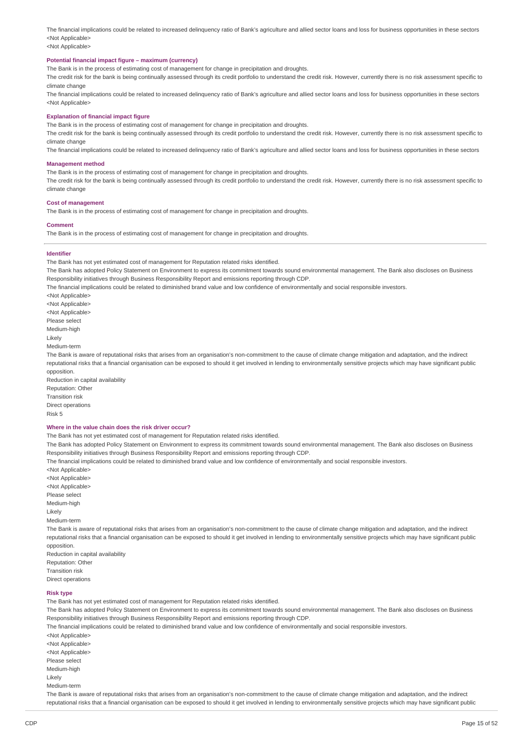The financial implications could be related to increased delinquency ratio of Bank's agriculture and allied sector loans and loss for business opportunities in these sectors <Not Applicable>

### <Not Applicable>

#### **Potential financial impact figure – maximum (currency)**

The Bank is in the process of estimating cost of management for change in precipitation and droughts.

The credit risk for the bank is being continually assessed through its credit portfolio to understand the credit risk. However, currently there is no risk assessment specific to climate change

The financial implications could be related to increased delinquency ratio of Bank's agriculture and allied sector loans and loss for business opportunities in these sectors <Not Applicable>

#### **Explanation of financial impact figure**

The Bank is in the process of estimating cost of management for change in precipitation and droughts.

The credit risk for the bank is being continually assessed through its credit portfolio to understand the credit risk. However, currently there is no risk assessment specific to climate change

The financial implications could be related to increased delinquency ratio of Bank's agriculture and allied sector loans and loss for business opportunities in these sectors

#### **Management method**

The Bank is in the process of estimating cost of management for change in precipitation and droughts.

The credit risk for the bank is being continually assessed through its credit portfolio to understand the credit risk. However, currently there is no risk assessment specific to climate change

#### **Cost of management**

The Bank is in the process of estimating cost of management for change in precipitation and droughts.

#### **Comment**

The Bank is in the process of estimating cost of management for change in precipitation and droughts.

#### **Identifier**

The Bank has not yet estimated cost of management for Reputation related risks identified.

The Bank has adopted Policy Statement on Environment to express its commitment towards sound environmental management. The Bank also discloses on Business Responsibility initiatives through Business Responsibility Report and emissions reporting through CDP.

The financial implications could be related to diminished brand value and low confidence of environmentally and social responsible investors.

<Not Applicable> <Not Applicable> <Not Applicable> Please select Medium-high Likely Medium-term The Bank is aware of reputational risks that arises from an organisation's non-commitment to the cause of climate change mitigation and adaptation, and the indirect reputational risks that a financial organisation can be exposed to should it get involved in lending to environmentally sensitive projects which may have significant public opposition.

Reduction in capital availability Reputation: Other Transition risk Direct operations Risk 5

#### **Where in the value chain does the risk driver occur?**

The Bank has not yet estimated cost of management for Reputation related risks identified.

The Bank has adopted Policy Statement on Environment to express its commitment towards sound environmental management. The Bank also discloses on Business Responsibility initiatives through Business Responsibility Report and emissions reporting through CDP.

The financial implications could be related to diminished brand value and low confidence of environmentally and social responsible investors.

<Not Applicable> <Not Applicable> <Not Applicable> Please select Medium-high Likely Medium-term The Bank is aware of reputational risks that arises from an organisation's non-commitment to the cause of climate change mitigation and adaptation, and the indirect reputational risks that a financial organisation can be exposed to should it get involved in lending to environmentally sensitive projects which may have significant public opposition. Reduction in capital availability Reputation: Other Transition risk

Direct operations

### **Risk type**

The Bank has not yet estimated cost of management for Reputation related risks identified.

The Bank has adopted Policy Statement on Environment to express its commitment towards sound environmental management. The Bank also discloses on Business Responsibility initiatives through Business Responsibility Report and emissions reporting through CDP.

The financial implications could be related to diminished brand value and low confidence of environmentally and social responsible investors.

<Not Applicable> <Not Applicable> <Not Applicable> Please select Medium-high Likely Medium-term

The Bank is aware of reputational risks that arises from an organisation's non-commitment to the cause of climate change mitigation and adaptation, and the indirect reputational risks that a financial organisation can be exposed to should it get involved in lending to environmentally sensitive projects which may have significant public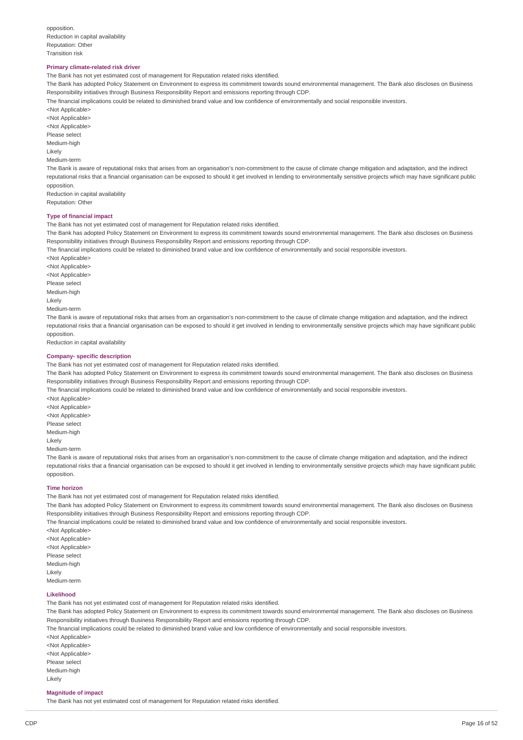opposition Reduction in capital availability Reputation: Other Transition risk

### **Primary climate-related risk driver**

The Bank has not yet estimated cost of management for Reputation related risks identified.

The Bank has adopted Policy Statement on Environment to express its commitment towards sound environmental management. The Bank also discloses on Business Responsibility initiatives through Business Responsibility Report and emissions reporting through CDP.

The financial implications could be related to diminished brand value and low confidence of environmentally and social responsible investors.

<Not Applicable> <Not Applicable> <Not Applicable> Please select Medium-high Likely

Medium-term

The Bank is aware of reputational risks that arises from an organisation's non-commitment to the cause of climate change mitigation and adaptation, and the indirect reputational risks that a financial organisation can be exposed to should it get involved in lending to environmentally sensitive projects which may have significant public opposition.

Reduction in capital availability Reputation: Other

#### **Type of financial impact**

The Bank has not yet estimated cost of management for Reputation related risks identified.

The Bank has adopted Policy Statement on Environment to express its commitment towards sound environmental management. The Bank also discloses on Business Responsibility initiatives through Business Responsibility Report and emissions reporting through CDP.

The financial implications could be related to diminished brand value and low confidence of environmentally and social responsible investors.

<Not Applicable> <Not Applicable> <Not Applicable> Please select Medium-high Likely Medium-term The Bank is aware of reputational risks that arises from an organisation's non-commitment to the cause of climate change mitigation and adaptation, and the indirect reputational risks that a financial organisation can be exposed to should it get involved in lending to environmentally sensitive projects which may have significant public opposition.

Reduction in capital availability

#### **Company- specific description**

The Bank has not yet estimated cost of management for Reputation related risks identified.

The Bank has adopted Policy Statement on Environment to express its commitment towards sound environmental management. The Bank also discloses on Business Responsibility initiatives through Business Responsibility Report and emissions reporting through CDP.

The financial implications could be related to diminished brand value and low confidence of environmentally and social responsible investors.

<Not Applicable> <Not Applicable> <Not Applicable> Please select Medium-high Likely Medium-term

The Bank is aware of reputational risks that arises from an organisation's non-commitment to the cause of climate change mitigation and adaptation, and the indirect reputational risks that a financial organisation can be exposed to should it get involved in lending to environmentally sensitive projects which may have significant public opposition.

#### **Time horizon**

The Bank has not yet estimated cost of management for Reputation related risks identified.

The Bank has adopted Policy Statement on Environment to express its commitment towards sound environmental management. The Bank also discloses on Business Responsibility initiatives through Business Responsibility Report and emissions reporting through CDP.

The financial implications could be related to diminished brand value and low confidence of environmentally and social responsible investors.

<Not Applicable> <Not Applicable> <Not Applicable> Please select Medium-high Likely Medium-term

### **Likelihood**

The Bank has not yet estimated cost of management for Reputation related risks identified.

The Bank has adopted Policy Statement on Environment to express its commitment towards sound environmental management. The Bank also discloses on Business Responsibility initiatives through Business Responsibility Report and emissions reporting through CDP.

The financial implications could be related to diminished brand value and low confidence of environmentally and social responsible investors.

<Not Applicable> <Not Applicable> <Not Applicable> Please select Medium-high Likely

#### **Magnitude of impact**

The Bank has not yet estimated cost of management for Reputation related risks identified.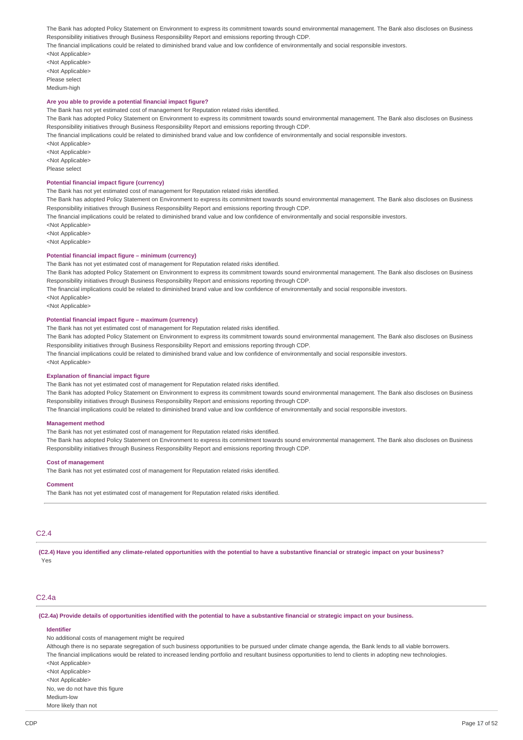The Bank has adopted Policy Statement on Environment to express its commitment towards sound environmental management. The Bank also discloses on Business Responsibility initiatives through Business Responsibility Report and emissions reporting through CDP.

The financial implications could be related to diminished brand value and low confidence of environmentally and social responsible investors.

<Not Applicable>

<Not Applicable> <Not Applicable> Please select Medium-high

### **Are you able to provide a potential financial impact figure?**

The Bank has not yet estimated cost of management for Reputation related risks identified.

The Bank has adopted Policy Statement on Environment to express its commitment towards sound environmental management. The Bank also discloses on Business Responsibility initiatives through Business Responsibility Report and emissions reporting through CDP.

The financial implications could be related to diminished brand value and low confidence of environmentally and social responsible investors.

<Not Applicable>

<Not Applicable>

<Not Applicable>

Please select

### **Potential financial impact figure (currency)**

The Bank has not yet estimated cost of management for Reputation related risks identified.

The Bank has adopted Policy Statement on Environment to express its commitment towards sound environmental management. The Bank also discloses on Business Responsibility initiatives through Business Responsibility Report and emissions reporting through CDP.

The financial implications could be related to diminished brand value and low confidence of environmentally and social responsible investors.

<Not Applicable>

<Not Applicable>

<Not Applicable>

#### **Potential financial impact figure – minimum (currency)**

The Bank has not yet estimated cost of management for Reputation related risks identified.

The Bank has adopted Policy Statement on Environment to express its commitment towards sound environmental management. The Bank also discloses on Business Responsibility initiatives through Business Responsibility Report and emissions reporting through CDP.

The financial implications could be related to diminished brand value and low confidence of environmentally and social responsible investors.

<Not Applicable>

<Not Applicable>

#### **Potential financial impact figure – maximum (currency)**

The Bank has not yet estimated cost of management for Reputation related risks identified. The Bank has adopted Policy Statement on Environment to express its commitment towards sound environmental management. The Bank also discloses on Business Responsibility initiatives through Business Responsibility Report and emissions reporting through CDP. The financial implications could be related to diminished brand value and low confidence of environmentally and social responsible investors. <Not Applicable>

#### **Explanation of financial impact figure**

The Bank has not yet estimated cost of management for Reputation related risks identified.

The Bank has adopted Policy Statement on Environment to express its commitment towards sound environmental management. The Bank also discloses on Business Responsibility initiatives through Business Responsibility Report and emissions reporting through CDP.

The financial implications could be related to diminished brand value and low confidence of environmentally and social responsible investors.

### **Management method**

The Bank has not yet estimated cost of management for Reputation related risks identified.

The Bank has adopted Policy Statement on Environment to express its commitment towards sound environmental management. The Bank also discloses on Business Responsibility initiatives through Business Responsibility Report and emissions reporting through CDP.

#### **Cost of management**

The Bank has not yet estimated cost of management for Reputation related risks identified.

#### **Comment**

The Bank has not yet estimated cost of management for Reputation related risks identified.

# C2.4

(C2.4) Have you identified any climate-related opportunities with the potential to have a substantive financial or strategic impact on your business? Yes

### C2.4a

(C2.4a) Provide details of opportunities identified with the potential to have a substantive financial or strategic impact on your business.

#### **Identifier**

More likely than not

No additional costs of management might be required

Although there is no separate segregation of such business opportunities to be pursued under climate change agenda, the Bank lends to all viable borrowers. The financial implications would be related to increased lending portfolio and resultant business opportunities to lend to clients in adopting new technologies. <Not Applicable> <Not Applicable> <Not Applicable> No, we do not have this figure Medium-low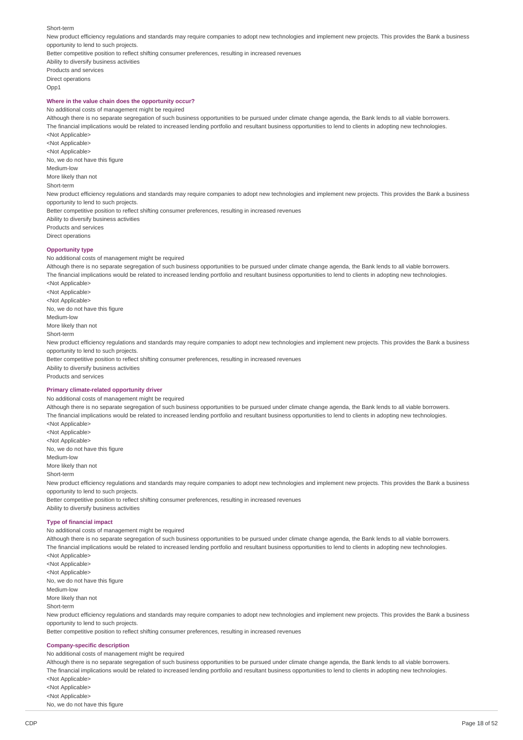Short-term

New product efficiency regulations and standards may require companies to adopt new technologies and implement new projects. This provides the Bank a business opportunity to lend to such projects. Better competitive position to reflect shifting consumer preferences, resulting in increased revenues Ability to diversify business activities Products and services Direct operations Opp1 **Where in the value chain does the opportunity occur?**

No additional costs of management might be required

Although there is no separate segregation of such business opportunities to be pursued under climate change agenda, the Bank lends to all viable borrowers. The financial implications would be related to increased lending portfolio and resultant business opportunities to lend to clients in adopting new technologies. <Not Applicable>

<Not Applicable> <Not Applicable> No, we do not have this figure Medium-low More likely than not Short-term New product efficiency regulations and standards may require companies to adopt new technologies and implement new projects. This provides the Bank a business opportunity to lend to such projects. Better competitive position to reflect shifting consumer preferences, resulting in increased revenues Ability to diversify business activities Products and services

Direct operations

#### **Opportunity type**

No additional costs of management might be required

Although there is no separate segregation of such business opportunities to be pursued under climate change agenda, the Bank lends to all viable borrowers. The financial implications would be related to increased lending portfolio and resultant business opportunities to lend to clients in adopting new technologies. <Not Applicable> <Not Applicable> <Not Applicable> No, we do not have this figure Medium-low More likely than not Short-term New product efficiency regulations and standards may require companies to adopt new technologies and implement new projects. This provides the Bank a business opportunity to lend to such projects. Better competitive position to reflect shifting consumer preferences, resulting in increased revenues Ability to diversify business activities Products and services

#### **Primary climate-related opportunity driver**

No additional costs of management might be required Although there is no separate segregation of such business opportunities to be pursued under climate change agenda, the Bank lends to all viable borrowers. The financial implications would be related to increased lending portfolio and resultant business opportunities to lend to clients in adopting new technologies. <Not Applicable> <Not Applicable> <Not Applicable> No, we do not have this figure Medium-low More likely than not Short-term New product efficiency regulations and standards may require companies to adopt new technologies and implement new projects. This provides the Bank a business opportunity to lend to such projects. Better competitive position to reflect shifting consumer preferences, resulting in increased revenues Ability to diversify business activities

### **Type of financial impact**

No additional costs of management might be required

Although there is no separate segregation of such business opportunities to be pursued under climate change agenda, the Bank lends to all viable borrowers. The financial implications would be related to increased lending portfolio and resultant business opportunities to lend to clients in adopting new technologies. <Not Applicable> <Not Applicable> <Not Applicable> No, we do not have this figure Medium-low More likely than not Short-term New product efficiency regulations and standards may require companies to adopt new technologies and implement new projects. This provides the Bank a business opportunity to lend to such projects. Better competitive position to reflect shifting consumer preferences, resulting in increased revenues **Company-specific description** No additional costs of management might be required Although there is no separate segregation of such business opportunities to be pursued under climate change agenda, the Bank lends to all viable borrowers. The financial implications would be related to increased lending portfolio and resultant business opportunities to lend to clients in adopting new technologies.

<Not Applicable> <Not Applicable>

<Not Applicable>

No, we do not have this figure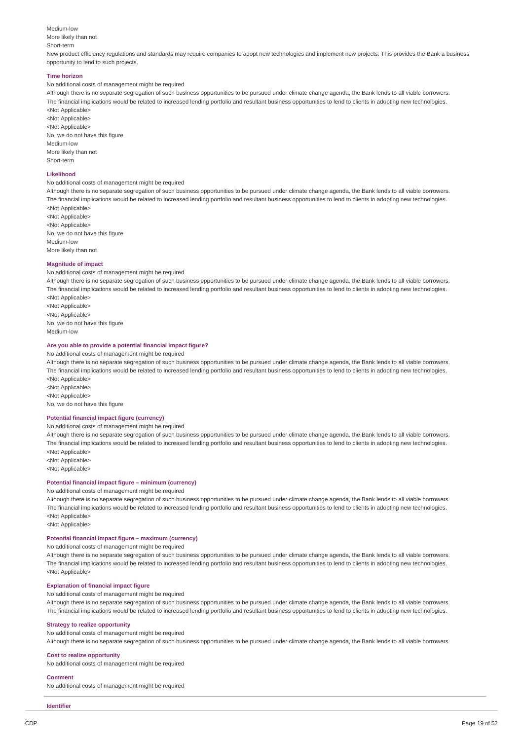### Medium-low More likely than not Short-term

New product efficiency regulations and standards may require companies to adopt new technologies and implement new projects. This provides the Bank a business opportunity to lend to such projects.

### **Time horizon**

No additional costs of management might be required

Although there is no separate segregation of such business opportunities to be pursued under climate change agenda, the Bank lends to all viable borrowers. The financial implications would be related to increased lending portfolio and resultant business opportunities to lend to clients in adopting new technologies. <Not Applicable>

<Not Applicable> <Not Applicable> No, we do not have this figure Medium-low More likely than not Short-term

#### **Likelihood**

#### No additional costs of management might be required

Although there is no separate segregation of such business opportunities to be pursued under climate change agenda, the Bank lends to all viable borrowers. The financial implications would be related to increased lending portfolio and resultant business opportunities to lend to clients in adopting new technologies. <Not Applicable>

<Not Applicable> <Not Applicable> No, we do not have this figure Medium-low More likely than not

#### **Magnitude of impact**

#### No additional costs of management might be required

Although there is no separate segregation of such business opportunities to be pursued under climate change agenda, the Bank lends to all viable borrowers. The financial implications would be related to increased lending portfolio and resultant business opportunities to lend to clients in adopting new technologies. <Not Applicable>

<Not Applicable> <Not Applicable> No, we do not have this figure Medium-low

### **Are you able to provide a potential financial impact figure?**

No additional costs of management might be required

Although there is no separate segregation of such business opportunities to be pursued under climate change agenda, the Bank lends to all viable borrowers. The financial implications would be related to increased lending portfolio and resultant business opportunities to lend to clients in adopting new technologies. <Not Applicable>

<Not Applicable> <Not Applicable>

No, we do not have this figure

#### **Potential financial impact figure (currency)**

No additional costs of management might be required

Although there is no separate segregation of such business opportunities to be pursued under climate change agenda, the Bank lends to all viable borrowers. The financial implications would be related to increased lending portfolio and resultant business opportunities to lend to clients in adopting new technologies. <Not Applicable>

<Not Applicable>

<Not Applicable>

### **Potential financial impact figure – minimum (currency)**

# No additional costs of management might be required

Although there is no separate segregation of such business opportunities to be pursued under climate change agenda, the Bank lends to all viable borrowers. The financial implications would be related to increased lending portfolio and resultant business opportunities to lend to clients in adopting new technologies. <Not Applicable>

<Not Applicable>

#### **Potential financial impact figure – maximum (currency)**

No additional costs of management might be required

Although there is no separate segregation of such business opportunities to be pursued under climate change agenda, the Bank lends to all viable borrowers. The financial implications would be related to increased lending portfolio and resultant business opportunities to lend to clients in adopting new technologies. <Not Applicable>

### **Explanation of financial impact figure**

No additional costs of management might be required

Although there is no separate segregation of such business opportunities to be pursued under climate change agenda, the Bank lends to all viable borrowers. The financial implications would be related to increased lending portfolio and resultant business opportunities to lend to clients in adopting new technologies.

#### **Strategy to realize opportunity**

No additional costs of management might be required Although there is no separate segregation of such business opportunities to be pursued under climate change agenda, the Bank lends to all viable borrowers.

#### **Cost to realize opportunity**

No additional costs of management might be required

#### **Comment**

No additional costs of management might be required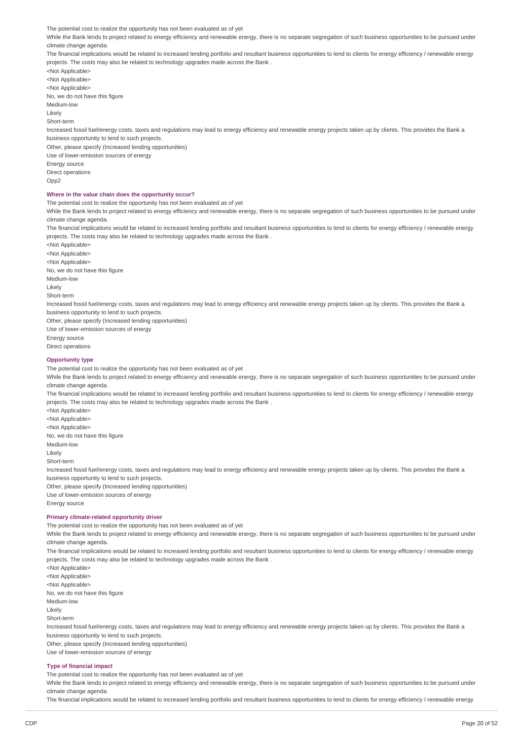The potential cost to realize the opportunity has not been evaluated as of yet

While the Bank lends to project related to energy efficiency and renewable energy, there is no separate segregation of such business opportunities to be pursued under climate change agenda.

The financial implications would be related to increased lending portfolio and resultant business opportunities to lend to clients for energy efficiency / renewable energy projects. The costs may also be related to technology upgrades made across the Bank .

<Not Applicable> <Not Applicable> <Not Annlicable> No, we do not have this figure Medium-low Likely Short-term Increased fossil fuel/energy costs, taxes and regulations may lead to energy efficiency and renewable energy projects taken up by clients. This provides the Bank a business opportunity to lend to such projects. Other, please specify (Increased lending opportunities)

Use of lower-emission sources of energy Energy source

Direct operations  $Onn2$ 

#### **Where in the value chain does the opportunity occur?**

The potential cost to realize the opportunity has not been evaluated as of yet

While the Bank lends to project related to energy efficiency and renewable energy, there is no separate segregation of such business opportunities to be pursued under climate change agenda.

The financial implications would be related to increased lending portfolio and resultant business opportunities to lend to clients for energy efficiency / renewable energy projects. The costs may also be related to technology upgrades made across the Bank .

<Not Applicable> <Not Applicable> <Not Applicable> No, we do not have this figure Medium-low Likely Short-term Increased fossil fuel/energy costs, taxes and regulations may lead to energy efficiency and renewable energy projects taken up by clients. This provides the Bank a business opportunity to lend to such projects. Other, please specify (Increased lending opportunities) Use of lower-emission sources of energy Energy source

Direct operations

### **Opportunity type**

The potential cost to realize the opportunity has not been evaluated as of yet

While the Bank lends to project related to energy efficiency and renewable energy, there is no separate segregation of such business opportunities to be pursued under climate change agenda.

The financial implications would be related to increased lending portfolio and resultant business opportunities to lend to clients for energy efficiency / renewable energy projects. The costs may also be related to technology upgrades made across the Bank .

<Not Applicable> <Not Applicable> <Not Applicable> No, we do not have this figure Medium-low Likely Short-term Increased fossil fuel/energy costs, taxes and regulations may lead to energy efficiency and renewable energy projects taken up by clients. This provides the Bank a business opportunity to lend to such projects.

Other, please specify (Increased lending opportunities) Use of lower-emission sources of energy Energy source

#### **Primary climate-related opportunity driver**

The potential cost to realize the opportunity has not been evaluated as of yet

While the Bank lends to project related to energy efficiency and renewable energy, there is no separate segregation of such business opportunities to be pursued under climate change agenda.

The financial implications would be related to increased lending portfolio and resultant business opportunities to lend to clients for energy efficiency / renewable energy projects. The costs may also be related to technology upgrades made across the Bank .

<Not Applicable> <Not Applicable> <Not Applicable> No, we do not have this figure Medium-low Likely Short-term Increased fossil fuel/energy costs, taxes and regulations may lead to energy efficiency and renewable energy projects taken up by clients. This provides the Bank a business opportunity to lend to such projects. Other, please specify (Increased lending opportunities) Use of lower-emission sources of energy

#### **Type of financial impact**

The potential cost to realize the opportunity has not been evaluated as of yet

While the Bank lends to project related to energy efficiency and renewable energy, there is no separate segregation of such business opportunities to be pursued under climate change agenda.

The financial implications would be related to increased lending portfolio and resultant business opportunities to lend to clients for energy efficiency / renewable energy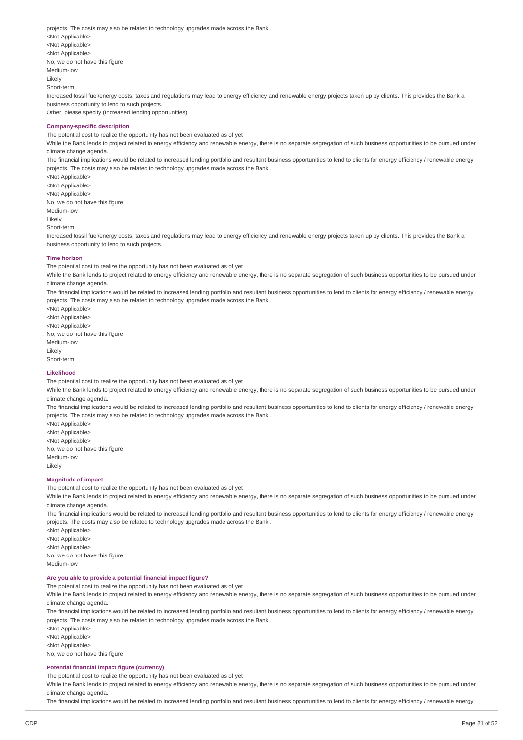projects. The costs may also be related to technology upgrades made across the Bank . <Not Applicable> <Not Applicable> <Not Applicable> No, we do not have this figure Medium-low Likely Short-term Increased fossil fuel/energy costs, taxes and regulations may lead to energy efficiency and renewable energy projects taken up by clients. This provides the Bank a business opportunity to lend to such projects. Other, please specify (Increased lending opportunities) **Company-specific description** The potential cost to realize the opportunity has not been evaluated as of yet While the Bank lends to project related to energy efficiency and renewable energy, there is no separate segregation of such business opportunities to be pursued under climate change agenda. The financial implications would be related to increased lending portfolio and resultant business opportunities to lend to clients for energy efficiency / renewable energy

projects. The costs may also be related to technology upgrades made across the Bank . <Not Applicable>

<Not Applicable> <Not Applicable> No, we do not have this figure Medium-low Likely Short-term

Increased fossil fuel/energy costs, taxes and regulations may lead to energy efficiency and renewable energy projects taken up by clients. This provides the Bank a business opportunity to lend to such projects.

#### **Time horizon**

The potential cost to realize the opportunity has not been evaluated as of yet

While the Bank lends to project related to energy efficiency and renewable energy, there is no separate segregation of such business opportunities to be pursued under climate change agenda.

The financial implications would be related to increased lending portfolio and resultant business opportunities to lend to clients for energy efficiency / renewable energy projects. The costs may also be related to technology upgrades made across the Bank .

<Not Applicable> <Not Applicable> <Not Applicable> No, we do not have this figure Medium-low Likely Short-term

#### **Likelihood**

The potential cost to realize the opportunity has not been evaluated as of yet

While the Bank lends to project related to energy efficiency and renewable energy, there is no separate segregation of such business opportunities to be pursued under climate change agenda.

The financial implications would be related to increased lending portfolio and resultant business opportunities to lend to clients for energy efficiency / renewable energy projects. The costs may also be related to technology upgrades made across the Bank .

<Not Applicable> <Not Applicable> <Not Applicable> No, we do not have this figure Medium-low Likely

#### **Magnitude of impact**

The potential cost to realize the opportunity has not been evaluated as of yet

While the Bank lends to project related to energy efficiency and renewable energy, there is no separate segregation of such business opportunities to be pursued under climate change agenda.

The financial implications would be related to increased lending portfolio and resultant business opportunities to lend to clients for energy efficiency / renewable energy projects. The costs may also be related to technology upgrades made across the Bank .

<Not Applicable> <Not Applicable> <Not Applicable> No, we do not have this figure Medium-low

### **Are you able to provide a potential financial impact figure?**

The potential cost to realize the opportunity has not been evaluated as of yet

While the Bank lends to project related to energy efficiency and renewable energy, there is no separate segregation of such business opportunities to be pursued under climate change agenda.

The financial implications would be related to increased lending portfolio and resultant business opportunities to lend to clients for energy efficiency / renewable energy projects. The costs may also be related to technology upgrades made across the Bank .

<Not Applicable> <Not Applicable> <Not Applicable> No, we do not have this figure

#### **Potential financial impact figure (currency)**

The potential cost to realize the opportunity has not been evaluated as of yet

While the Bank lends to project related to energy efficiency and renewable energy, there is no separate segregation of such business opportunities to be pursued under climate change agenda.

The financial implications would be related to increased lending portfolio and resultant business opportunities to lend to clients for energy efficiency / renewable energy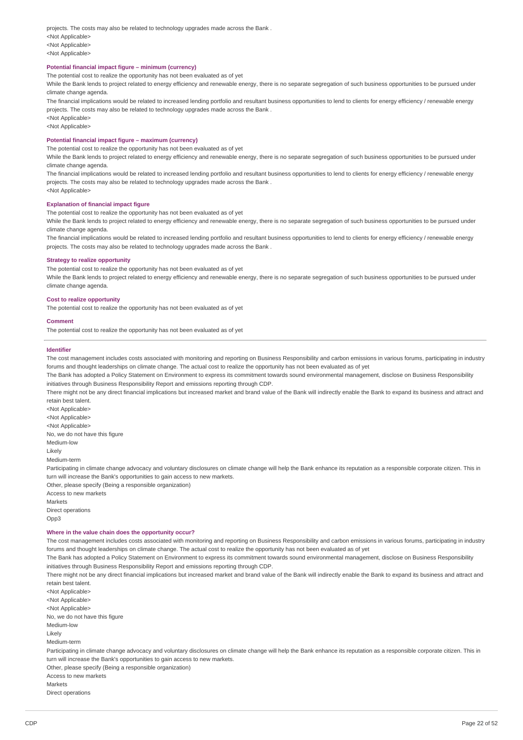projects. The costs may also be related to technology upgrades made across the Bank . <Not Applicable> <Not Applicable> <Not Applicable>

### **Potential financial impact figure – minimum (currency)**

The potential cost to realize the opportunity has not been evaluated as of yet

While the Bank lends to project related to energy efficiency and renewable energy, there is no separate segregation of such business opportunities to be pursued under climate change agenda.

The financial implications would be related to increased lending portfolio and resultant business opportunities to lend to clients for energy efficiency / renewable energy projects. The costs may also be related to technology upgrades made across the Bank .

<Not Applicable>

<Not Applicable>

<Not Applicable>

### **Potential financial impact figure – maximum (currency)**

The potential cost to realize the opportunity has not been evaluated as of yet

While the Bank lends to project related to energy efficiency and renewable energy, there is no separate segregation of such business opportunities to be pursued under climate change agenda.

The financial implications would be related to increased lending portfolio and resultant business opportunities to lend to clients for energy efficiency / renewable energy projects. The costs may also be related to technology upgrades made across the Bank .

**Explanation of financial impact figure** The potential cost to realize the opportunity has not been evaluated as of yet

While the Bank lends to project related to energy efficiency and renewable energy, there is no separate segregation of such business opportunities to be pursued under climate change agenda.

The financial implications would be related to increased lending portfolio and resultant business opportunities to lend to clients for energy efficiency / renewable energy projects. The costs may also be related to technology upgrades made across the Bank .

#### **Strategy to realize opportunity**

The potential cost to realize the opportunity has not been evaluated as of yet

While the Bank lends to project related to energy efficiency and renewable energy, there is no separate segregation of such business opportunities to be pursued under climate change agenda.

#### **Cost to realize opportunity**

The potential cost to realize the opportunity has not been evaluated as of yet

#### **Comment**

The potential cost to realize the opportunity has not been evaluated as of yet

#### **Identifier**

The cost management includes costs associated with monitoring and reporting on Business Responsibility and carbon emissions in various forums, participating in industry forums and thought leaderships on climate change. The actual cost to realize the opportunity has not been evaluated as of yet

The Bank has adopted a Policy Statement on Environment to express its commitment towards sound environmental management, disclose on Business Responsibility initiatives through Business Responsibility Report and emissions reporting through CDP.

There might not be any direct financial implications but increased market and brand value of the Bank will indirectly enable the Bank to expand its business and attract and retain best talent.

<Not Applicable> <Not Applicable> <Not Applicable> No, we do not have this figure Medium-low

Likely

Medium-term

Participating in climate change advocacy and voluntary disclosures on climate change will help the Bank enhance its reputation as a responsible corporate citizen. This in turn will increase the Bank's opportunities to gain access to new markets.

Other, please specify (Being a responsible organization)

- Access to new markets Markets Direct operations
- $Onn3$

### **Where in the value chain does the opportunity occur?**

The cost management includes costs associated with monitoring and reporting on Business Responsibility and carbon emissions in various forums, participating in industry forums and thought leaderships on climate change. The actual cost to realize the opportunity has not been evaluated as of yet

The Bank has adopted a Policy Statement on Environment to express its commitment towards sound environmental management, disclose on Business Responsibility initiatives through Business Responsibility Report and emissions reporting through CDP.

There might not be any direct financial implications but increased market and brand value of the Bank will indirectly enable the Bank to expand its business and attract and retain best talent.

<Not Applicable> <Not Applicable> <Not Applicable> No, we do not have this figure Medium-low Likely Medium-term Participating in climate change advocacy and voluntary disclosures on climate change will help the Bank enhance its reputation as a responsible corporate citizen. This in turn will increase the Bank's opportunities to gain access to new markets. Other, please specify (Being a responsible organization)

Access to new markets

Markets

Direct operations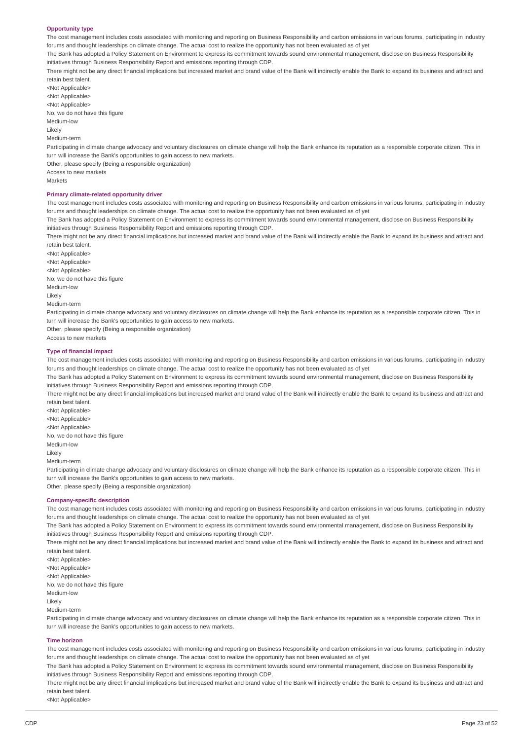#### **Opportunity type**

The cost management includes costs associated with monitoring and reporting on Business Responsibility and carbon emissions in various forums, participating in industry forums and thought leaderships on climate change. The actual cost to realize the opportunity has not been evaluated as of yet

The Bank has adopted a Policy Statement on Environment to express its commitment towards sound environmental management, disclose on Business Responsibility initiatives through Business Responsibility Report and emissions reporting through CDP.

There might not be any direct financial implications but increased market and brand value of the Bank will indirectly enable the Bank to expand its business and attract and retain best talent.

<Not Annlicable> <Not Applicable> <Not Applicable> No, we do not have this figure Medium-low

Likely

Medium-term

Participating in climate change advocacy and voluntary disclosures on climate change will help the Bank enhance its reputation as a responsible corporate citizen. This in turn will increase the Bank's opportunities to gain access to new markets.

Other, please specify (Being a responsible organization)

Access to new markets Markets

#### **Primary climate-related opportunity driver**

The cost management includes costs associated with monitoring and reporting on Business Responsibility and carbon emissions in various forums, participating in industry forums and thought leaderships on climate change. The actual cost to realize the opportunity has not been evaluated as of yet

The Bank has adopted a Policy Statement on Environment to express its commitment towards sound environmental management, disclose on Business Responsibility initiatives through Business Responsibility Report and emissions reporting through CDP.

There might not be any direct financial implications but increased market and brand value of the Bank will indirectly enable the Bank to expand its business and attract and retain best talent.

<Not Applicable> <Not Applicable> <Not Applicable> No, we do not have this figure Medium-low Likely Medium-term

Participating in climate change advocacy and voluntary disclosures on climate change will help the Bank enhance its reputation as a responsible corporate citizen. This in turn will increase the Bank's opportunities to gain access to new markets.

Other, please specify (Being a responsible organization)

# **Type of financial impact**

Access to new markets

The cost management includes costs associated with monitoring and reporting on Business Responsibility and carbon emissions in various forums, participating in industry forums and thought leaderships on climate change. The actual cost to realize the opportunity has not been evaluated as of yet

The Bank has adopted a Policy Statement on Environment to express its commitment towards sound environmental management, disclose on Business Responsibility initiatives through Business Responsibility Report and emissions reporting through CDP.

There might not be any direct financial implications but increased market and brand value of the Bank will indirectly enable the Bank to expand its business and attract and retain best talent.

<Not Applicable> <Not Applicable> <Not Applicable> No, we do not have this figure Medium-low Likely

Medium-term

Participating in climate change advocacy and voluntary disclosures on climate change will help the Bank enhance its reputation as a responsible corporate citizen. This in turn will increase the Bank's opportunities to gain access to new markets.

Other, please specify (Being a responsible organization)

#### **Company-specific description**

The cost management includes costs associated with monitoring and reporting on Business Responsibility and carbon emissions in various forums, participating in industry forums and thought leaderships on climate change. The actual cost to realize the opportunity has not been evaluated as of yet

The Bank has adopted a Policy Statement on Environment to express its commitment towards sound environmental management, disclose on Business Responsibility initiatives through Business Responsibility Report and emissions reporting through CDP.

There might not be any direct financial implications but increased market and brand value of the Bank will indirectly enable the Bank to expand its business and attract and retain best talent.

<Not Applicable> <Not Applicable> <Not Applicable> No, we do not have this figure Medium-low **Likely** 

Medium-term

Participating in climate change advocacy and voluntary disclosures on climate change will help the Bank enhance its reputation as a responsible corporate citizen. This in turn will increase the Bank's opportunities to gain access to new markets.

#### **Time horizon**

The cost management includes costs associated with monitoring and reporting on Business Responsibility and carbon emissions in various forums, participating in industry forums and thought leaderships on climate change. The actual cost to realize the opportunity has not been evaluated as of yet

The Bank has adopted a Policy Statement on Environment to express its commitment towards sound environmental management, disclose on Business Responsibility initiatives through Business Responsibility Report and emissions reporting through CDP.

There might not be any direct financial implications but increased market and brand value of the Bank will indirectly enable the Bank to expand its business and attract and retain best talent.

<Not Applicable>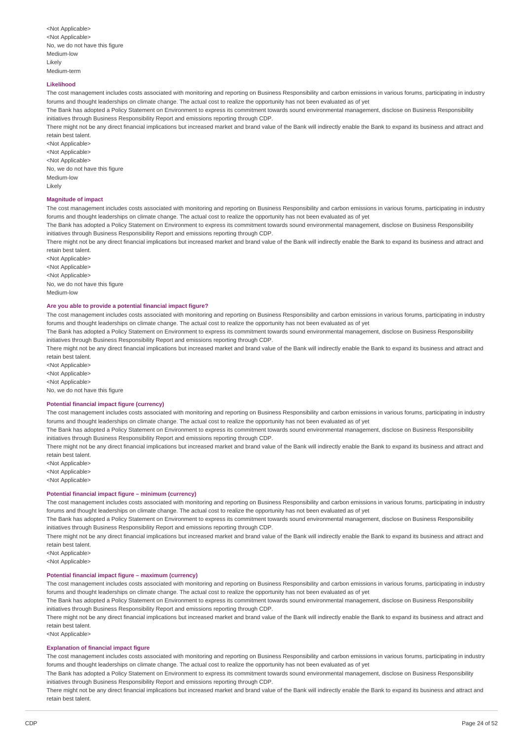#### **Likelihood**

The cost management includes costs associated with monitoring and reporting on Business Responsibility and carbon emissions in various forums, participating in industry forums and thought leaderships on climate change. The actual cost to realize the opportunity has not been evaluated as of yet

The Bank has adopted a Policy Statement on Environment to express its commitment towards sound environmental management, disclose on Business Responsibility initiatives through Business Responsibility Report and emissions reporting through CDP.

There might not be any direct financial implications but increased market and brand value of the Bank will indirectly enable the Bank to expand its business and attract and retain best talent.

<Not Applicable> <Not Applicable> <Not Applicable> No, we do not have this figure Medium-low Likely

#### **Magnitude of impact**

The cost management includes costs associated with monitoring and reporting on Business Responsibility and carbon emissions in various forums, participating in industry forums and thought leaderships on climate change. The actual cost to realize the opportunity has not been evaluated as of yet

The Bank has adopted a Policy Statement on Environment to express its commitment towards sound environmental management, disclose on Business Responsibility initiatives through Business Responsibility Report and emissions reporting through CDP.

There might not be any direct financial implications but increased market and brand value of the Bank will indirectly enable the Bank to expand its business and attract and retain best talent.

<Not Applicable> <Not Annlicable> <Not Applicable> No, we do not have this figure Medium-low

#### **Are you able to provide a potential financial impact figure?**

The cost management includes costs associated with monitoring and reporting on Business Responsibility and carbon emissions in various forums, participating in industry forums and thought leaderships on climate change. The actual cost to realize the opportunity has not been evaluated as of yet

The Bank has adopted a Policy Statement on Environment to express its commitment towards sound environmental management, disclose on Business Responsibility initiatives through Business Responsibility Report and emissions reporting through CDP.

There might not be any direct financial implications but increased market and brand value of the Bank will indirectly enable the Bank to expand its business and attract and retain best talent.

<Not Applicable> <Not Applicable>

<Not Applicable>

No, we do not have this figure

#### **Potential financial impact figure (currency)**

The cost management includes costs associated with monitoring and reporting on Business Responsibility and carbon emissions in various forums, participating in industry forums and thought leaderships on climate change. The actual cost to realize the opportunity has not been evaluated as of yet

The Bank has adopted a Policy Statement on Environment to express its commitment towards sound environmental management, disclose on Business Responsibility initiatives through Business Responsibility Report and emissions reporting through CDP.

There might not be any direct financial implications but increased market and brand value of the Bank will indirectly enable the Bank to expand its business and attract and retain best talent.

<Not Applicable>

<Not Applicable>

# <Not Applicable>

**Potential financial impact figure – minimum (currency)**

The cost management includes costs associated with monitoring and reporting on Business Responsibility and carbon emissions in various forums, participating in industry forums and thought leaderships on climate change. The actual cost to realize the opportunity has not been evaluated as of yet

The Bank has adopted a Policy Statement on Environment to express its commitment towards sound environmental management, disclose on Business Responsibility initiatives through Business Responsibility Report and emissions reporting through CDP.

There might not be any direct financial implications but increased market and brand value of the Bank will indirectly enable the Bank to expand its business and attract and retain best talent.

<Not Applicable>

<Not Applicable>

# **Potential financial impact figure – maximum (currency)**

The cost management includes costs associated with monitoring and reporting on Business Responsibility and carbon emissions in various forums, participating in industry forums and thought leaderships on climate change. The actual cost to realize the opportunity has not been evaluated as of yet

The Bank has adopted a Policy Statement on Environment to express its commitment towards sound environmental management, disclose on Business Responsibility initiatives through Business Responsibility Report and emissions reporting through CDP.

There might not be any direct financial implications but increased market and brand value of the Bank will indirectly enable the Bank to expand its business and attract and retain best talent.

<Not Applicable>

#### **Explanation of financial impact figure**

The cost management includes costs associated with monitoring and reporting on Business Responsibility and carbon emissions in various forums, participating in industry forums and thought leaderships on climate change. The actual cost to realize the opportunity has not been evaluated as of yet

The Bank has adopted a Policy Statement on Environment to express its commitment towards sound environmental management, disclose on Business Responsibility initiatives through Business Responsibility Report and emissions reporting through CDP.

There might not be any direct financial implications but increased market and brand value of the Bank will indirectly enable the Bank to expand its business and attract and retain best talent.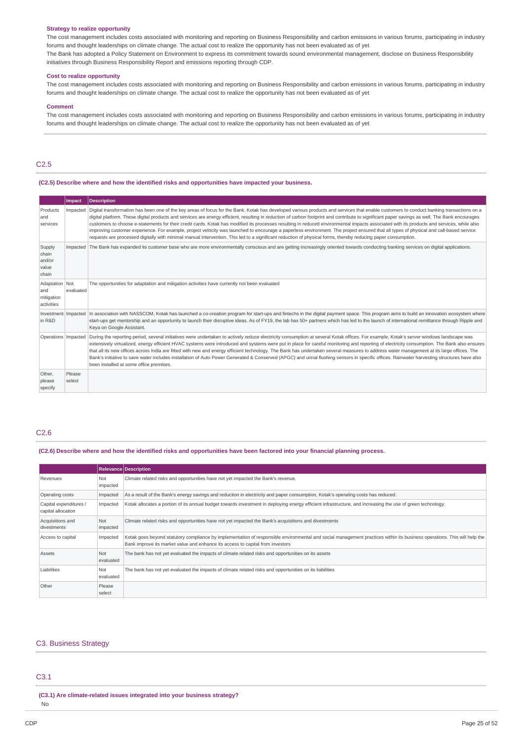#### **Strategy to realize opportunity**

The cost management includes costs associated with monitoring and reporting on Business Responsibility and carbon emissions in various forums, participating in industry forums and thought leaderships on climate change. The actual cost to realize the opportunity has not been evaluated as of yet

The Bank has adopted a Policy Statement on Environment to express its commitment towards sound environmental management, disclose on Business Responsibility initiatives through Business Responsibility Report and emissions reporting through CDP.

#### **Cost to realize opportunity**

The cost management includes costs associated with monitoring and reporting on Business Responsibility and carbon emissions in various forums, participating in industry forums and thought leaderships on climate change. The actual cost to realize the opportunity has not been evaluated as of yet

#### **Comment**

The cost management includes costs associated with monitoring and reporting on Business Responsibility and carbon emissions in various forums, participating in industry forums and thought leaderships on climate change. The actual cost to realize the opportunity has not been evaluated as of yet

# C2.5

#### **(C2.5) Describe where and how the identified risks and opportunities have impacted your business.**

|                                                   | Impact           | <b>Description</b>                                                                                                                                                                                                                                                                                                                                                                                                                                                                                                                                                                                                                                                                                                                                                                                                                                                                                                                                  |
|---------------------------------------------------|------------------|-----------------------------------------------------------------------------------------------------------------------------------------------------------------------------------------------------------------------------------------------------------------------------------------------------------------------------------------------------------------------------------------------------------------------------------------------------------------------------------------------------------------------------------------------------------------------------------------------------------------------------------------------------------------------------------------------------------------------------------------------------------------------------------------------------------------------------------------------------------------------------------------------------------------------------------------------------|
| Products<br>and<br>services                       | Impacted         | Digital transformation has been one of the key areas of focus for the Bank. Kotak has developed various products and services that enable customers to conduct banking transactions on a<br>digital platform. These digital products and services are energy efficient, resulting in reduction of carbon footprint and contribute to significant paper savings as well. The Bank encourages<br>customers to choose e-statements for their credit cards. Kotak has modified its processes resulting in reduced environmental impacts associated with its products and services, while also<br>improving customer experience. For example, project velocity was launched to encourage a paperless environment. The project ensured that all types of physical and call-based service<br>requests are processed digitally with minimal manual intervention. This led to a significant reduction of physical forms, thereby reducing paper consumption. |
| Supply<br>chain<br>and/or<br>value<br>chain       | Impacted         | The Bank has expanded its customer base who are more environmentally conscious and are getting increasingly oriented towards conducting banking services on digital applications.                                                                                                                                                                                                                                                                                                                                                                                                                                                                                                                                                                                                                                                                                                                                                                   |
| Adaptation Not<br>and<br>mitigation<br>activities | evaluated        | The opportunities for adaptation and mitigation activities have currently not been evaluated                                                                                                                                                                                                                                                                                                                                                                                                                                                                                                                                                                                                                                                                                                                                                                                                                                                        |
| in R&D                                            |                  | Investment   Impacted   In association with NASSCOM, Kotak has launched a co-creation program for start-ups and fintechs in the digital payment space. This program aims to build an innovation ecosystem where<br>start-ups get mentorship and an opportunity to launch their disruptive ideas. As of FY19, the lab has 50+ partners which has led to the launch of international remittance through Ripple and<br>Keya on Google Assistant.                                                                                                                                                                                                                                                                                                                                                                                                                                                                                                       |
| Operations   Impacted                             |                  | During the reporting period, several initiatives were undertaken to actively reduce electricity consumption at several Kotak offices. For example, Kotak's server windows landscape was<br>extensively virtualized, energy efficient HVAC systems were introduced and systems were put in place for careful monitoring and reporting of electricity consumption. The Bank also ensures<br>that all its new offices across India are fitted with new and energy efficient technology. The Bank has undertaken several measures to address water management at its large offices. The<br>Bank's initiative to save water includes installation of Auto Power Generated & Conserved (APGC) and urinal flushing sensors in specific offices. Rainwater harvesting structures have also<br>been installed at some office premises.                                                                                                                       |
| Other,<br>please<br>specify                       | Please<br>select |                                                                                                                                                                                                                                                                                                                                                                                                                                                                                                                                                                                                                                                                                                                                                                                                                                                                                                                                                     |

#### C2.6

(C2.6) Describe where and how the identified risks and opportunities have been factored into your financial planning process.

|                                              |                  | <b>Relevance Description</b>                                                                                                                                                                                                                               |
|----------------------------------------------|------------------|------------------------------------------------------------------------------------------------------------------------------------------------------------------------------------------------------------------------------------------------------------|
| Revenues                                     | Not<br>impacted  | Climate related risks and opportunities have not yet impacted the Bank's revenue.                                                                                                                                                                          |
| Operating costs                              | Impacted         | As a result of the Bank's energy savings and reduction in electricity and paper consumption, Kotak's operating costs has reduced.                                                                                                                          |
| Capital expenditures /<br>capital allocation | Impacted         | Kotak allocates a portion of its annual budget towards investment in deploying energy efficient infrastructure, and increasing the use of green technology.                                                                                                |
| Acquisitions and<br>divestments              | Not<br>impacted  | Climate related risks and opportunities have not yet impacted the Bank's acquisitions and divestments                                                                                                                                                      |
| Access to capital                            | Impacted         | Kotak goes beyond statutory compliance by implementation of responsible environmental and social management practices within its business operations. This will help the<br>Bank improve its market value and enhance its access to capital from investors |
| Assets                                       | Not<br>evaluated | The bank has not yet evaluated the impacts of climate related risks and opportunities on its assets                                                                                                                                                        |
| Liabilities                                  | Not<br>evaluated | The bank has not yet evaluated the impacts of climate related risks and opportunities on its liabilities                                                                                                                                                   |
| Other                                        | Please<br>select |                                                                                                                                                                                                                                                            |

#### C3. Business Strategy

### C3.1

**(C3.1) Are climate-related issues integrated into your business strategy?** No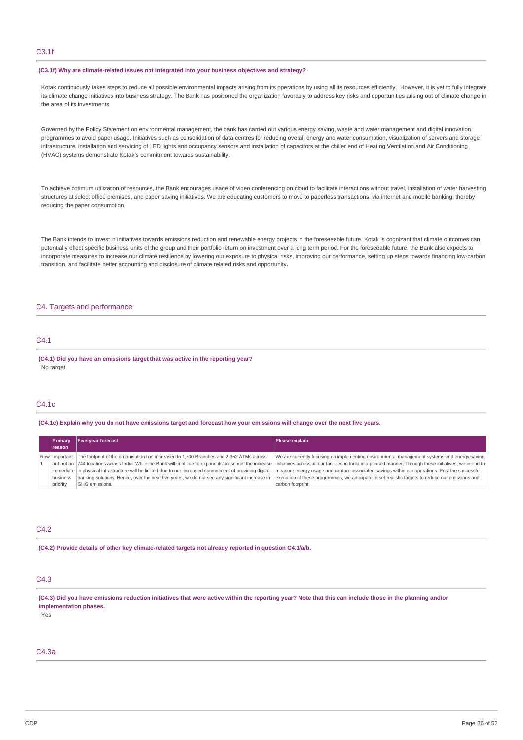# C3.1f

#### **(C3.1f) Why are climate-related issues not integrated into your business objectives and strategy?**

Kotak continuously takes steps to reduce all possible environmental impacts arising from its operations by using all its resources efficiently. However, it is yet to fully integrate its climate change initiatives into business strategy. The Bank has positioned the organization favorably to address key risks and opportunities arising out of climate change in the area of its investments.

Governed by the Policy Statement on environmental management, the bank has carried out various energy saving, waste and water management and digital innovation programmes to avoid paper usage. Initiatives such as consolidation of data centres for reducing overall energy and water consumption, visualization of servers and storage infrastructure, installation and servicing of LED lights and occupancy sensors and installation of capacitors at the chiller end of Heating Ventilation and Air Conditioning (HVAC) systems demonstrate Kotak's commitment towards sustainability.

To achieve optimum utilization of resources, the Bank encourages usage of video conferencing on cloud to facilitate interactions without travel, installation of water harvesting structures at select office premises, and paper saving initiatives. We are educating customers to move to paperless transactions, via internet and mobile banking, thereby reducing the paper consumption.

The Bank intends to invest in initiatives towards emissions reduction and renewable energy projects in the foreseeable future. Kotak is cognizant that climate outcomes can potentially effect specific business units of the group and their portfolio return on investment over a long term period. For the foreseeable future, the Bank also expects to incorporate measures to increase our climate resilience by lowering our exposure to physical risks, improving our performance, setting up steps towards financing low-carbon transition, and facilitate better accounting and disclosure of climate related risks and opportunity**.**

### C4. Targets and performance

### C4.1

**(C4.1) Did you have an emissions target that was active in the reporting year?** No target

### C4.1c

(C4.1c) Explain why you do not have emissions target and forecast how your emissions will change over the next five years.

| <b>IPrimary</b> | <b>Five-year forecast</b>                                                                                  | Please explain                                                                                             |  |
|-----------------|------------------------------------------------------------------------------------------------------------|------------------------------------------------------------------------------------------------------------|--|
| <b>Ireason</b>  |                                                                                                            |                                                                                                            |  |
| Row Important   | The footprint of the organisation has increased to 1,500 Branches and 2,352 ATMs across                    | We are currently focusing on implementing environmental management systems and energy saving               |  |
|                 | but not an   744 locations across India. While the Bank will continue to expand its presence, the increase | initiatives across all our facilities in India in a phased manner. Through these initiatives, we intend to |  |
|                 | immediate in physical infrastructure will be limited due to our increased commitment of providing digital  | measure energy usage and capture associated savings within our operations. Post the successful             |  |
| business        | banking solutions. Hence, over the next five years, we do not see any significant increase in              | execution of these programmes, we anticipate to set realistic targets to reduce our emissions and          |  |
| priority        | GHG emissions.                                                                                             | carbon footprint.                                                                                          |  |

### $C4.2$

**(C4.2) Provide details of other key climate-related targets not already reported in question C4.1/a/b.**

### C4.3

(C4.3) Did you have emissions reduction initiatives that were active within the reporting year? Note that this can include those in the planning and/or **implementation phases.**

Yes

### C4.3a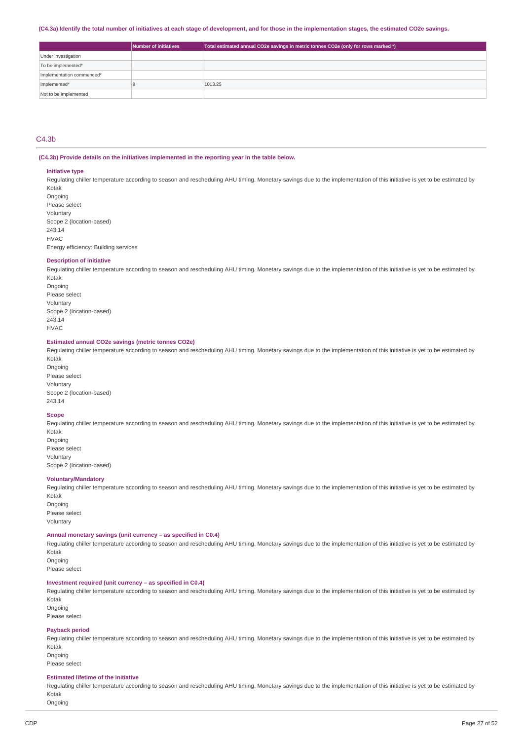#### (C4.3a) Identify the total number of initiatives at each stage of development, and for those in the implementation stages, the estimated CO2e savings.

|                           | Number of initiatives | Total estimated annual CO2e savings in metric tonnes CO2e (only for rows marked *) |
|---------------------------|-----------------------|------------------------------------------------------------------------------------|
| Under investigation       |                       |                                                                                    |
| To be implemented*        |                       |                                                                                    |
| Implementation commenced* |                       |                                                                                    |
| Implemented*              |                       | 1013.25                                                                            |
| Not to be implemented     |                       |                                                                                    |

### $C4.3<sub>b</sub>$

#### **(C4.3b) Provide details on the initiatives implemented in the reporting year in the table below.**

#### **Initiative type**

Regulating chiller temperature according to season and rescheduling AHU timing. Monetary savings due to the implementation of this initiative is yet to be estimated by Kotak

**Ongoing** Please select Voluntary Scope 2 (location-based) 243.14  $HVAC$ Energy efficiency: Building services

#### **Description of initiative**

Regulating chiller temperature according to season and rescheduling AHU timing. Monetary savings due to the implementation of this initiative is yet to be estimated by Kotak

Ongoing Please select Voluntary Scope 2 (location-based) 243.14 HVAC

#### **Estimated annual CO2e savings (metric tonnes CO2e)**

Regulating chiller temperature according to season and rescheduling AHU timing. Monetary savings due to the implementation of this initiative is yet to be estimated by Kotak

Ongoing Please select Voluntary Scope 2 (location-based) 243.14

#### **Scope**

Regulating chiller temperature according to season and rescheduling AHU timing. Monetary savings due to the implementation of this initiative is yet to be estimated by Kotak Ongoing

Please select Voluntary Scope 2 (location-based)

### **Voluntary/Mandatory**

Regulating chiller temperature according to season and rescheduling AHU timing. Monetary savings due to the implementation of this initiative is yet to be estimated by Kotak

Ongoing Please select Voluntary

#### **Annual monetary savings (unit currency – as specified in C0.4)**

Regulating chiller temperature according to season and rescheduling AHU timing. Monetary savings due to the implementation of this initiative is yet to be estimated by Kotak

**Ongoing** Please select

### **Investment required (unit currency – as specified in C0.4)**

Regulating chiller temperature according to season and rescheduling AHU timing. Monetary savings due to the implementation of this initiative is yet to be estimated by Kotak

Ongoing Please select

#### **Payback period**

Regulating chiller temperature according to season and rescheduling AHU timing. Monetary savings due to the implementation of this initiative is yet to be estimated by Kotak

Ongoing Please select

#### **Estimated lifetime of the initiative**

Regulating chiller temperature according to season and rescheduling AHU timing. Monetary savings due to the implementation of this initiative is yet to be estimated by Kotak

Ongoing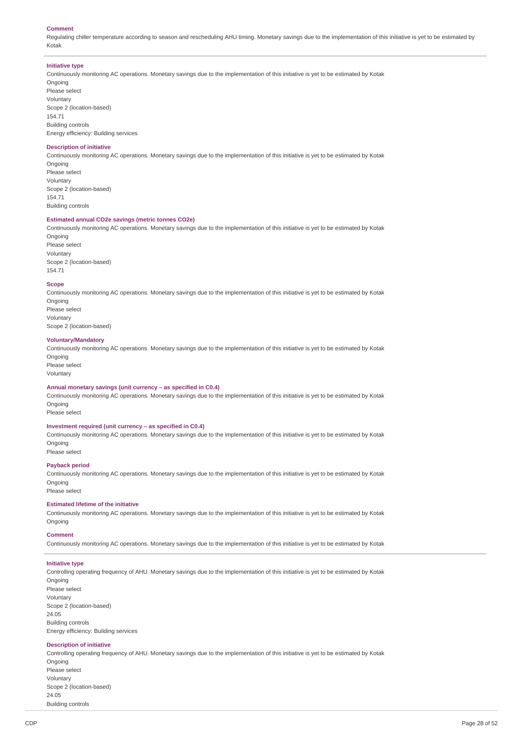#### **Comment**

Regulating chiller temperature according to season and rescheduling AHU timing. Monetary savings due to the implementation of this initiative is yet to be estimated by Kotak

#### **Initiative type**

Continuously monitoring AC operations. Monetary savings due to the implementation of this initiative is yet to be estimated by Kotak Ongoing

Please select Voluntary Scope 2 (location-based) 154.71 Building controls Energy efficiency: Building services

### **Description of initiative**

Continuously monitoring AC operations. Monetary savings due to the implementation of this initiative is yet to be estimated by Kotak **Ongoing** Please select Voluntary

Scope 2 (location-based) 154.71 Building controls

### **Estimated annual CO2e savings (metric tonnes CO2e)**

Continuously monitoring AC operations. Monetary savings due to the implementation of this initiative is yet to be estimated by Kotak Ongoing

Please select Voluntary Scope 2 (location-based) 154.71

#### **Scope**

Continuously monitoring AC operations. Monetary savings due to the implementation of this initiative is yet to be estimated by Kotak Ongoing Please select Voluntary Scope 2 (location-based)

### **Voluntary/Mandatory**

Continuously monitoring AC operations. Monetary savings due to the implementation of this initiative is yet to be estimated by Kotak Ongoing

Please select Voluntary

### **Annual monetary savings (unit currency – as specified in C0.4)**

Continuously monitoring AC operations. Monetary savings due to the implementation of this initiative is yet to be estimated by Kotak **Ongoing** 

Please select

### **Investment required (unit currency – as specified in C0.4)**

Continuously monitoring AC operations. Monetary savings due to the implementation of this initiative is yet to be estimated by Kotak Ongoing

Please select

### **Payback period**

Continuously monitoring AC operations. Monetary savings due to the implementation of this initiative is yet to be estimated by Kotak **Ongoing** Please select

#### **Estimated lifetime of the initiative**

Continuously monitoring AC operations. Monetary savings due to the implementation of this initiative is yet to be estimated by Kotak Ongoing

#### **Comment**

Continuously monitoring AC operations. Monetary savings due to the implementation of this initiative is yet to be estimated by Kotak

#### **Initiative type**

Controlling operating frequency of AHU. Monetary savings due to the implementation of this initiative is yet to be estimated by Kotak **Ongoing** Please select Voluntary Scope 2 (location-based) 24.05 Building controls Energy efficiency: Building services

# **Description of initiative**

Controlling operating frequency of AHU. Monetary savings due to the implementation of this initiative is yet to be estimated by Kotak Ongoing Please select Voluntary Scope 2 (location-based) 24.05

Building controls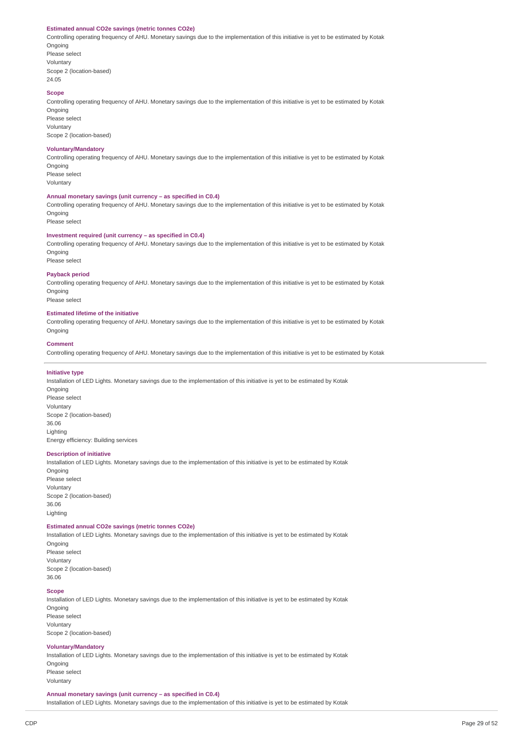#### **Estimated annual CO2e savings (metric tonnes CO2e)**

Controlling operating frequency of AHU. Monetary savings due to the implementation of this initiative is yet to be estimated by Kotak **Ongoing** 

Please select Voluntary Scope 2 (location-based) 24.05

### **Scope**

Controlling operating frequency of AHU. Monetary savings due to the implementation of this initiative is yet to be estimated by Kotak Ongoing

Please select Voluntary Scope 2 (location-based)

#### **Voluntary/Mandatory**

Controlling operating frequency of AHU. Monetary savings due to the implementation of this initiative is yet to be estimated by Kotak **Ongoing** 

Please select Voluntary

### **Annual monetary savings (unit currency – as specified in C0.4)**

Controlling operating frequency of AHU. Monetary savings due to the implementation of this initiative is yet to be estimated by Kotak **Ongoing** 

Please select

### **Investment required (unit currency – as specified in C0.4)**

Controlling operating frequency of AHU. Monetary savings due to the implementation of this initiative is yet to be estimated by Kotak **Ongoing** Please select

### **Payback period**

Controlling operating frequency of AHU. Monetary savings due to the implementation of this initiative is yet to be estimated by Kotak Ongoing

Please select

### **Estimated lifetime of the initiative**

Controlling operating frequency of AHU. Monetary savings due to the implementation of this initiative is yet to be estimated by Kotak Ongoing

#### **Comment**

Controlling operating frequency of AHU. Monetary savings due to the implementation of this initiative is yet to be estimated by Kotak

### **Initiative type**

Installation of LED Lights. Monetary savings due to the implementation of this initiative is yet to be estimated by Kotak Ongoing Please select Voluntary Scope 2 (location-based) 36.06 Lighting Energy efficiency: Building services

#### **Description of initiative**

Installation of LED Lights. Monetary savings due to the implementation of this initiative is yet to be estimated by Kotak Ongoing Please select Voluntary Scope 2 (location-based) 36.06 Lighting

### **Estimated annual CO2e savings (metric tonnes CO2e)**

Installation of LED Lights. Monetary savings due to the implementation of this initiative is yet to be estimated by Kotak **Ongoing** Please select Voluntary Scope 2 (location-based) 36.06

#### **Scope**

Installation of LED Lights. Monetary savings due to the implementation of this initiative is yet to be estimated by Kotak Ongoing Please select Voluntary Scope 2 (location-based)

#### **Voluntary/Mandatory**

Installation of LED Lights. Monetary savings due to the implementation of this initiative is yet to be estimated by Kotak **Ongoing** Please select

Voluntary

**Annual monetary savings (unit currency – as specified in C0.4)**

Installation of LED Lights. Monetary savings due to the implementation of this initiative is yet to be estimated by Kotak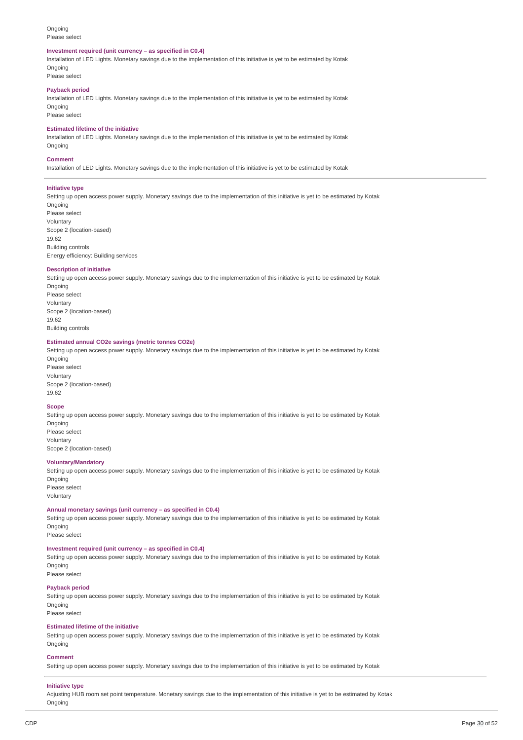#### Ongoing Please select

#### **Investment required (unit currency – as specified in C0.4)**

Installation of LED Lights. Monetary savings due to the implementation of this initiative is yet to be estimated by Kotak **Ongoing** 

Please select

### **Payback period**

Installation of LED Lights. Monetary savings due to the implementation of this initiative is yet to be estimated by Kotak Ongoing

Please select

# **Estimated lifetime of the initiative**

Installation of LED Lights. Monetary savings due to the implementation of this initiative is yet to be estimated by Kotak **Ongoing** 

#### **Comment**

Installation of LED Lights. Monetary savings due to the implementation of this initiative is yet to be estimated by Kotak

#### **Initiative type**

Setting up open access power supply. Monetary savings due to the implementation of this initiative is yet to be estimated by Kotak Ongoing Please select

Voluntary Scope 2 (location-based) 19.62 Building controls Energy efficiency: Building services

#### **Description of initiative**

Setting up open access power supply. Monetary savings due to the implementation of this initiative is yet to be estimated by Kotak Ongoing Please select Voluntary Scope 2 (location-based) 19.62 Building controls

#### **Estimated annual CO2e savings (metric tonnes CO2e)**

Setting up open access power supply. Monetary savings due to the implementation of this initiative is yet to be estimated by Kotak Ongoing

Please select Voluntary Scope 2 (location-based) 19.62

#### **Scope**

Setting up open access power supply. Monetary savings due to the implementation of this initiative is yet to be estimated by Kotak Ongoing Please select Voluntary

Scope 2 (location-based)

#### **Voluntary/Mandatory**

Setting up open access power supply. Monetary savings due to the implementation of this initiative is yet to be estimated by Kotak **Ongoing** Please select Voluntary

#### **Annual monetary savings (unit currency – as specified in C0.4)**

Setting up open access power supply. Monetary savings due to the implementation of this initiative is yet to be estimated by Kotak Ongoing

Please select

### **Investment required (unit currency – as specified in C0.4)**

Setting up open access power supply. Monetary savings due to the implementation of this initiative is yet to be estimated by Kotak Ongoing Please select

#### **Payback period**

Setting up open access power supply. Monetary savings due to the implementation of this initiative is yet to be estimated by Kotak **Ongoing** Please select

#### **Estimated lifetime of the initiative**

Setting up open access power supply. Monetary savings due to the implementation of this initiative is yet to be estimated by Kotak Ongoing

#### **Comment**

Setting up open access power supply. Monetary savings due to the implementation of this initiative is yet to be estimated by Kotak

### **Initiative type**

Adjusting HUB room set point temperature. Monetary savings due to the implementation of this initiative is yet to be estimated by Kotak Ongoing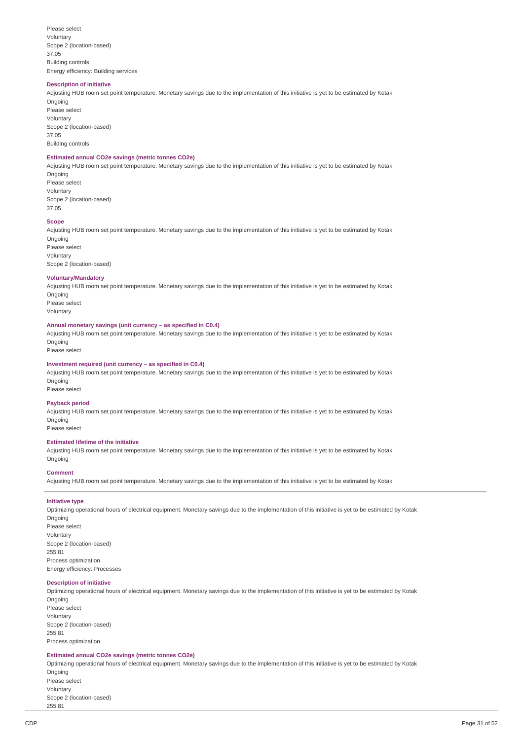Please select Voluntary Scope 2 (location-based) 37.05 Building controls Energy efficiency: Building services

#### **Description of initiative**

Adjusting HUB room set point temperature. Monetary savings due to the implementation of this initiative is yet to be estimated by Kotak Ongoing Please select Voluntary Scope 2 (location-based) 37.05

Building controls

### **Estimated annual CO2e savings (metric tonnes CO2e)**

Adjusting HUB room set point temperature. Monetary savings due to the implementation of this initiative is yet to be estimated by Kotak Ongoing

Please select Voluntary Scope 2 (location-based) 37.05

#### **Scope**

Adjusting HUB room set point temperature. Monetary savings due to the implementation of this initiative is yet to be estimated by Kotak Ongoing Please select

Voluntary Scope 2 (location-based)

### **Voluntary/Mandatory**

Adjusting HUB room set point temperature. Monetary savings due to the implementation of this initiative is yet to be estimated by Kotak **Ongoing** Please select

Voluntary

#### **Annual monetary savings (unit currency – as specified in C0.4)**

Adjusting HUB room set point temperature. Monetary savings due to the implementation of this initiative is yet to be estimated by Kotak Ongoing

Please select

#### **Investment required (unit currency – as specified in C0.4)**

Adjusting HUB room set point temperature. Monetary savings due to the implementation of this initiative is yet to be estimated by Kotak Ongoing Please select

# **Payback period**

Adjusting HUB room set point temperature. Monetary savings due to the implementation of this initiative is yet to be estimated by Kotak Ongoing

Please select

### **Estimated lifetime of the initiative**

Adjusting HUB room set point temperature. Monetary savings due to the implementation of this initiative is yet to be estimated by Kotak Ongoing

#### **Comment**

Adjusting HUB room set point temperature. Monetary savings due to the implementation of this initiative is yet to be estimated by Kotak

### **Initiative type**

Optimizing operational hours of electrical equipment. Monetary savings due to the implementation of this initiative is yet to be estimated by Kotak Ongoing Please select Voluntary Scope 2 (location-based) 255.81 Process optimization Energy efficiency: Processes

### **Description of initiative**

Optimizing operational hours of electrical equipment. Monetary savings due to the implementation of this initiative is yet to be estimated by Kotak Ongoing Please select

Voluntary Scope 2 (location-based) 255.81 Process optimization

#### **Estimated annual CO2e savings (metric tonnes CO2e)**

Optimizing operational hours of electrical equipment. Monetary savings due to the implementation of this initiative is yet to be estimated by Kotak Ongoing Please select Voluntary Scope 2 (location-based)

255.81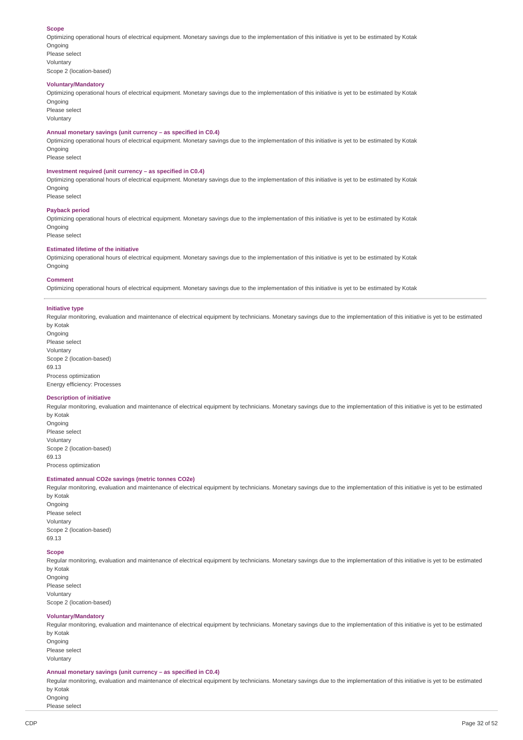#### **Scope**

Optimizing operational hours of electrical equipment. Monetary savings due to the implementation of this initiative is yet to be estimated by Kotak **Ongoing** 

Please select Voluntary Scope 2 (location-based)

#### **Voluntary/Mandatory**

Optimizing operational hours of electrical equipment. Monetary savings due to the implementation of this initiative is yet to be estimated by Kotak Ongoing

Please select Voluntary

#### **Annual monetary savings (unit currency – as specified in C0.4)**

Optimizing operational hours of electrical equipment. Monetary savings due to the implementation of this initiative is yet to be estimated by Kotak Ongoing

Please select

### **Investment required (unit currency – as specified in C0.4)**

Optimizing operational hours of electrical equipment. Monetary savings due to the implementation of this initiative is yet to be estimated by Kotak Ongoing Please select

#### **Payback period**

Optimizing operational hours of electrical equipment. Monetary savings due to the implementation of this initiative is yet to be estimated by Kotak Ongoing

Please select

### **Estimated lifetime of the initiative**

Optimizing operational hours of electrical equipment. Monetary savings due to the implementation of this initiative is yet to be estimated by Kotak Ongoing

#### **Comment**

Optimizing operational hours of electrical equipment. Monetary savings due to the implementation of this initiative is yet to be estimated by Kotak

#### **Initiative type**

Regular monitoring, evaluation and maintenance of electrical equipment by technicians. Monetary savings due to the implementation of this initiative is yet to be estimated by Kotak

**Ongoing** Please select Voluntary Scope 2 (location-based) 69.13 Process optimization Energy efficiency: Processes

#### **Description of initiative**

Regular monitoring, evaluation and maintenance of electrical equipment by technicians. Monetary savings due to the implementation of this initiative is yet to be estimated by Kotak Ongoing

Please select Voluntary Scope 2 (location-based) 69.13 Process optimization

#### **Estimated annual CO2e savings (metric tonnes CO2e)**

Regular monitoring, evaluation and maintenance of electrical equipment by technicians. Monetary savings due to the implementation of this initiative is yet to be estimated by Kotak

Ongoing Please select Voluntary Scope 2 (location-based) 69.13

### **Scope**

Regular monitoring, evaluation and maintenance of electrical equipment by technicians. Monetary savings due to the implementation of this initiative is yet to be estimated by Kotak Ongoing

Please select Voluntary Scope 2 (location-based)

#### **Voluntary/Mandatory**

Regular monitoring, evaluation and maintenance of electrical equipment by technicians. Monetary savings due to the implementation of this initiative is yet to be estimated by Kotak Ongoing Please select Voluntary

#### **Annual monetary savings (unit currency – as specified in C0.4)**

Regular monitoring, evaluation and maintenance of electrical equipment by technicians. Monetary savings due to the implementation of this initiative is yet to be estimated by Kotak

Ongoing Please select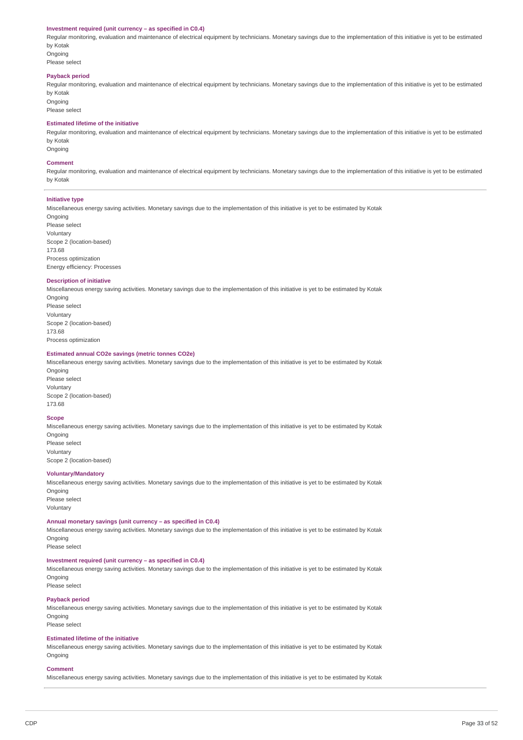#### **Investment required (unit currency – as specified in C0.4)**

Regular monitoring, evaluation and maintenance of electrical equipment by technicians. Monetary savings due to the implementation of this initiative is yet to be estimated by Kotak

Ongoing Please select

#### **Payback period**

Regular monitoring, evaluation and maintenance of electrical equipment by technicians. Monetary savings due to the implementation of this initiative is yet to be estimated by Kotak

Ongoing Please select

### **Estimated lifetime of the initiative**

Regular monitoring, evaluation and maintenance of electrical equipment by technicians. Monetary savings due to the implementation of this initiative is yet to be estimated by Kotak **Ongoing** 

#### **Comment**

Regular monitoring, evaluation and maintenance of electrical equipment by technicians. Monetary savings due to the implementation of this initiative is yet to be estimated by Kotak

### **Initiative type**

Miscellaneous energy saving activities. Monetary savings due to the implementation of this initiative is yet to be estimated by Kotak

Ongoing Please select Voluntary Scope 2 (location-based) 173.68 Process optimization Energy efficiency: Processes

#### **Description of initiative**

Miscellaneous energy saving activities. Monetary savings due to the implementation of this initiative is yet to be estimated by Kotak Ongoing Please select Voluntary Scope 2 (location-based) 173.68 Process optimization

### **Estimated annual CO2e savings (metric tonnes CO2e)**

Miscellaneous energy saving activities. Monetary savings due to the implementation of this initiative is yet to be estimated by Kotak **Ongoing** Please select Voluntary

Scope 2 (location-based) 173.68

#### **Scope**

Miscellaneous energy saving activities. Monetary savings due to the implementation of this initiative is yet to be estimated by Kotak **Ongoing** Please select

Voluntary Scope 2 (location-based)

#### **Voluntary/Mandatory**

Miscellaneous energy saving activities. Monetary savings due to the implementation of this initiative is yet to be estimated by Kotak Ongoing Please select

Voluntary

#### **Annual monetary savings (unit currency – as specified in C0.4)**

Miscellaneous energy saving activities. Monetary savings due to the implementation of this initiative is yet to be estimated by Kotak Ongoing

Please select

### **Investment required (unit currency – as specified in C0.4)**

Miscellaneous energy saving activities. Monetary savings due to the implementation of this initiative is yet to be estimated by Kotak Ongoing

Please select

### **Payback period**

Miscellaneous energy saving activities. Monetary savings due to the implementation of this initiative is yet to be estimated by Kotak Ongoing Please select

#### **Estimated lifetime of the initiative**

Miscellaneous energy saving activities. Monetary savings due to the implementation of this initiative is yet to be estimated by Kotak Ongoing

#### **Comment**

Miscellaneous energy saving activities. Monetary savings due to the implementation of this initiative is yet to be estimated by Kotak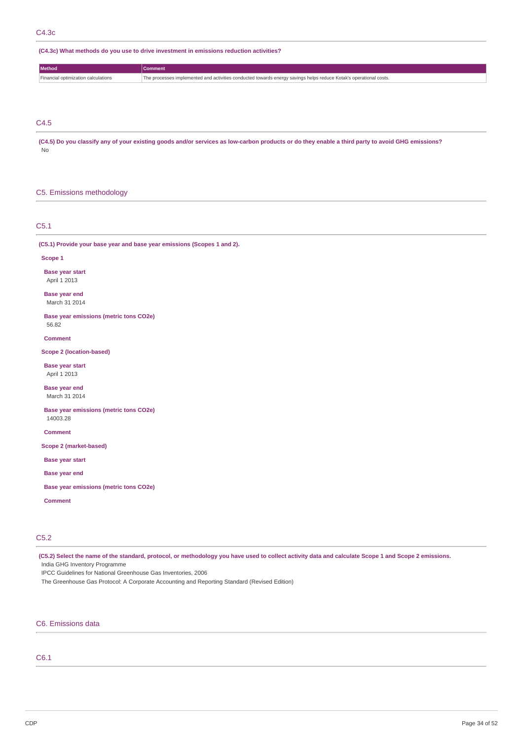**(C4.3c) What methods do you use to drive investment in emissions reduction activities?**

| wietnod <b>a</b>                         | omment                                                                                                            |
|------------------------------------------|-------------------------------------------------------------------------------------------------------------------|
| d ontimization calculations<br>Financial | The processes implemented and activities conducted towards energy savings helps reduce Kotak's operational costs. |

C4.5

(C4.5) Do you classify any of your existing goods and/or services as low-carbon products or do they enable a third party to avoid GHG emissions?

No

### C5. Emissions methodology

C5.1

**(C5.1) Provide your base year and base year emissions (Scopes 1 and 2).**

#### **Scope 1**

**Base year start**

April 1 2013

**Base year end** March 31 2014

**Base year emissions (metric tons CO2e)** 56.82

**Comment**

### **Scope 2 (location-based)**

**Base year start** April 1 2013

**Base year end** March 31 2014

**Base year emissions (metric tons CO2e)** 14003.28

**Comment**

**Scope 2 (market-based)**

**Base year start**

**Base year end**

**Base year emissions (metric tons CO2e)**

**Comment**

# C5.2

(C5.2) Select the name of the standard, protocol, or methodology you have used to collect activity data and calculate Scope 1 and Scope 2 emissions. India GHG Inventory Programme

IPCC Guidelines for National Greenhouse Gas Inventories, 2006

The Greenhouse Gas Protocol: A Corporate Accounting and Reporting Standard (Revised Edition)

# C6. Emissions data

# C6.1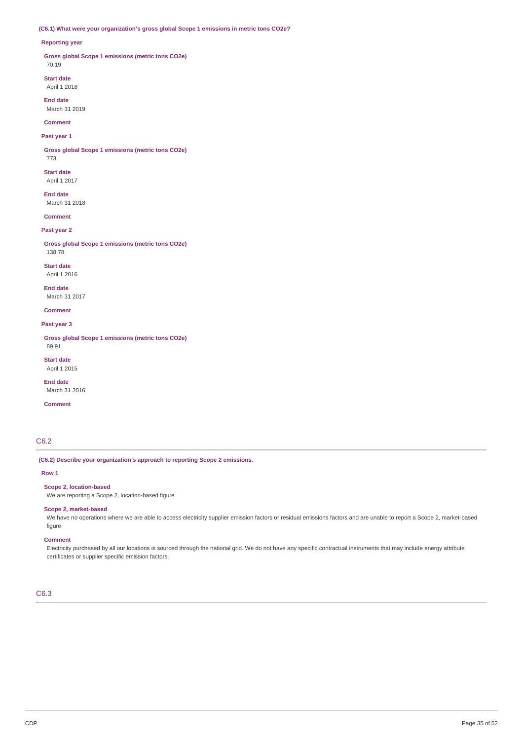### **(C6.1) What were your organization's gross global Scope 1 emissions in metric tons CO2e?**

#### **Reporting year**

**Gross global Scope 1 emissions (metric tons CO2e)** 70.19

**Start date** April 1 2018

**End date** March 31 2019

**Comment**

# **Past year 1**

**Gross global Scope 1 emissions (metric tons CO2e)**

773

**Start date** April 1 2017

**End date** March 31 2018

**Comment**

## **Past year 2**

**Gross global Scope 1 emissions (metric tons CO2e)**

138.78 **Start date**

April 1 2016 **End date**

March 31 2017

**Comment**

**Past year 3**

**Gross global Scope 1 emissions (metric tons CO2e)** 89.91

**Start date** April 1 2015

**End date** March 31 2016

**Comment**

# C6.2

**(C6.2) Describe your organization's approach to reporting Scope 2 emissions.**

### **Row 1**

**Scope 2, location-based**

We are reporting a Scope 2, location-based figure

### **Scope 2, market-based**

We have no operations where we are able to access electricity supplier emission factors or residual emissions factors and are unable to report a Scope 2, market-based figure

#### **Comment**

Electricity purchased by all our locations is sourced through the national grid. We do not have any specific contractual instruments that may include energy attribute certificates or supplier specific emission factors.

# C6.3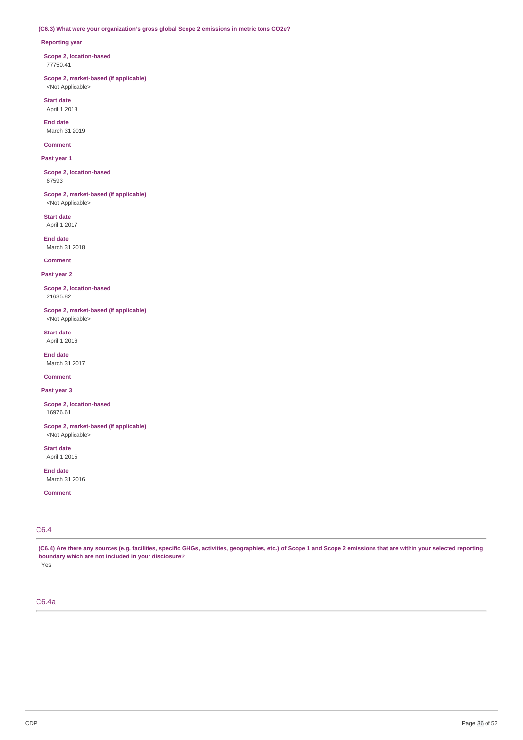### **(C6.3) What were your organization's gross global Scope 2 emissions in metric tons CO2e?**

### **Reporting year**

**Scope 2, location-based** 77750.41

**Scope 2, market-based (if applicable)** <Not Applicable>

**Start date** April 1 2018

**End date** March 31 2019

**Comment**

**Past year 1**

**Scope 2, location-based** 67593

**Scope 2, market-based (if applicable)** <Not Applicable>

**Start date** April 1 2017

**End date** March 31 2018

**Comment**

**Past year 2**

**Scope 2, location-based** 21635.82

**Scope 2, market-based (if applicable)** <Not Applicable>

**Start date** April 1 2016

**End date** March 31 2017

**Comment**

**Past year 3**

**Scope 2, location-based** 16976.61

**Scope 2, market-based (if applicable)** <Not Applicable>

**Start date** April 1 2015

**End date** March 31 2016

**Comment**

# C6.4

(C6.4) Are there any sources (e.g. facilities, specific GHGs, activities, geographies, etc.) of Scope 1 and Scope 2 emissions that are within your selected reporting **boundary which are not included in your disclosure?** Yes

C6.4a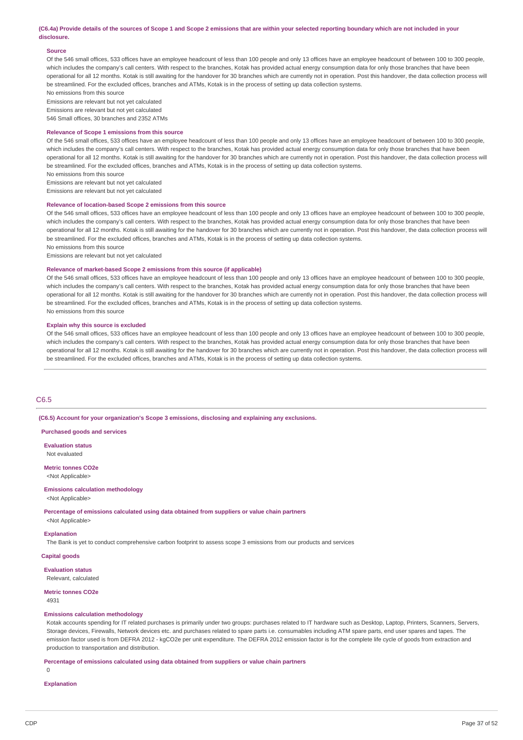#### (C6.4a) Provide details of the sources of Scope 1 and Scope 2 emissions that are within your selected reporting boundary which are not included in your **disclosure.**

#### **Source**

Of the 546 small offices, 533 offices have an employee headcount of less than 100 people and only 13 offices have an employee headcount of between 100 to 300 people, which includes the company's call centers. With respect to the branches, Kotak has provided actual energy consumption data for only those branches that have been operational for all 12 months. Kotak is still awaiting for the handover for 30 branches which are currently not in operation. Post this handover, the data collection process will be streamlined. For the excluded offices, branches and ATMs, Kotak is in the process of setting up data collection systems.

No emissions from this source

Emissions are relevant but not yet calculated Emissions are relevant but not yet calculated

546 Small offices, 30 branches and 2352 ATMs

#### **Relevance of Scope 1 emissions from this source**

Of the 546 small offices, 533 offices have an employee headcount of less than 100 people and only 13 offices have an employee headcount of between 100 to 300 people, which includes the company's call centers. With respect to the branches, Kotak has provided actual energy consumption data for only those branches that have been operational for all 12 months. Kotak is still awaiting for the handover for 30 branches which are currently not in operation. Post this handover, the data collection process will be streamlined. For the excluded offices, branches and ATMs, Kotak is in the process of setting up data collection systems.

No emissions from this source

Emissions are relevant but not yet calculated

Emissions are relevant but not yet calculated

### **Relevance of location-based Scope 2 emissions from this source**

Of the 546 small offices, 533 offices have an employee headcount of less than 100 people and only 13 offices have an employee headcount of between 100 to 300 people, which includes the company's call centers. With respect to the branches, Kotak has provided actual energy consumption data for only those branches that have been operational for all 12 months. Kotak is still awaiting for the handover for 30 branches which are currently not in operation. Post this handover, the data collection process will be streamlined. For the excluded offices, branches and ATMs, Kotak is in the process of setting up data collection systems. No emissions from this source

Emissions are relevant but not yet calculated

#### **Relevance of market-based Scope 2 emissions from this source (if applicable)**

Of the 546 small offices, 533 offices have an employee headcount of less than 100 people and only 13 offices have an employee headcount of between 100 to 300 people, which includes the company's call centers. With respect to the branches, Kotak has provided actual energy consumption data for only those branches that have been operational for all 12 months. Kotak is still awaiting for the handover for 30 branches which are currently not in operation. Post this handover, the data collection process will be streamlined. For the excluded offices, branches and ATMs, Kotak is in the process of setting up data collection systems. No emissions from this source

#### **Explain why this source is excluded**

Of the 546 small offices, 533 offices have an employee headcount of less than 100 people and only 13 offices have an employee headcount of between 100 to 300 people, which includes the company's call centers. With respect to the branches, Kotak has provided actual energy consumption data for only those branches that have been operational for all 12 months. Kotak is still awaiting for the handover for 30 branches which are currently not in operation. Post this handover, the data collection process will be streamlined. For the excluded offices, branches and ATMs, Kotak is in the process of setting up data collection systems.

### C6.5

**(C6.5) Account for your organization's Scope 3 emissions, disclosing and explaining any exclusions.**

#### **Purchased goods and services**

**Evaluation status** Not evaluated

**Metric tonnes CO2e** <Not Applicable>

#### **Emissions calculation methodology**

<Not Applicable>

**Percentage of emissions calculated using data obtained from suppliers or value chain partners**

<Not Applicable>

**Explanation**

The Bank is yet to conduct comprehensive carbon footprint to assess scope 3 emissions from our products and services

#### **Capital goods**

**Evaluation status**

Relevant, calculated

**Metric tonnes CO2e**

4931

#### **Emissions calculation methodology**

Kotak accounts spending for IT related purchases is primarily under two groups: purchases related to IT hardware such as Desktop, Laptop, Printers, Scanners, Servers, Storage devices, Firewalls, Network devices etc. and purchases related to spare parts i.e. consumables including ATM spare parts, end user spares and tapes. The emission factor used is from DEFRA 2012 - kgCO2e per unit expenditure. The DEFRA 2012 emission factor is for the complete life cycle of goods from extraction and production to transportation and distribution.

**Percentage of emissions calculated using data obtained from suppliers or value chain partners**

 $\Omega$ 

**Explanation**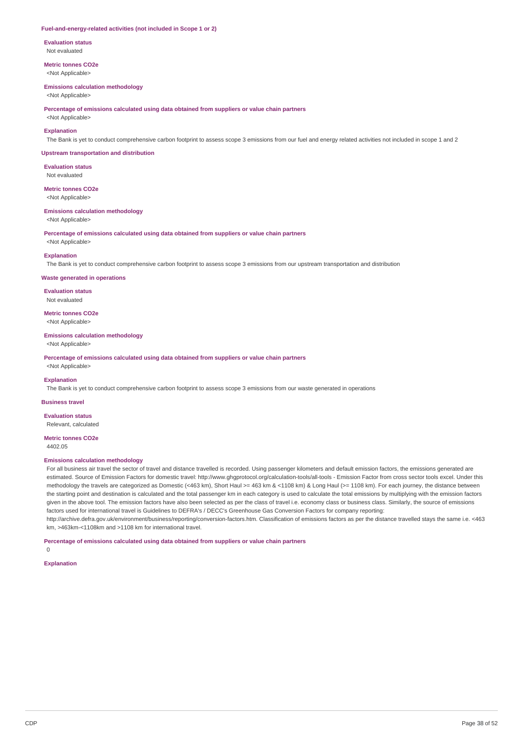#### **Fuel-and-energy-related activities (not included in Scope 1 or 2)**

**Evaluation status** Not evaluated

**Metric tonnes CO2e** <Not Applicable>

#### **Emissions calculation methodology**

<Not Applicable>

**Percentage of emissions calculated using data obtained from suppliers or value chain partners**

# <Not Applicable> **Explanation**

The Bank is yet to conduct comprehensive carbon footprint to assess scope 3 emissions from our fuel and energy related activities not included in scope 1 and 2

#### **Upstream transportation and distribution**

**Evaluation status** Not evaluated

**Metric tonnes CO2e** <Not Applicable>

### **Emissions calculation methodology**

<Not Applicable>

**Percentage of emissions calculated using data obtained from suppliers or value chain partners**

<Not Applicable>

#### **Explanation**

The Bank is yet to conduct comprehensive carbon footprint to assess scope 3 emissions from our upstream transportation and distribution

#### **Waste generated in operations**

**Evaluation status** Not evaluated

**Metric tonnes CO2e** <Not Applicable>

**Emissions calculation methodology**

<Not Applicable>

<Not Applicable>

**Percentage of emissions calculated using data obtained from suppliers or value chain partners**

#### **Explanation**

The Bank is yet to conduct comprehensive carbon footprint to assess scope 3 emissions from our waste generated in operations

#### **Business travel**

**Evaluation status**

Relevant, calculated

**Metric tonnes CO2e**

4402.05

#### **Emissions calculation methodology**

For all business air travel the sector of travel and distance travelled is recorded. Using passenger kilometers and default emission factors, the emissions generated are estimated. Source of Emission Factors for domestic travel: http://www.ghgprotocol.org/calculation-tools/all-tools - Emission Factor from cross sector tools excel. Under this methodology the travels are categorized as Domestic (<463 km), Short Haul >= 463 km & <1108 km) & Long Haul (>= 1108 km). For each journey, the distance between the starting point and destination is calculated and the total passenger km in each category is used to calculate the total emissions by multiplying with the emission factors given in the above tool. The emission factors have also been selected as per the class of travel i.e. economy class or business class. Similarly, the source of emissions factors used for international travel is Guidelines to DEFRA's / DECC's Greenhouse Gas Conversion Factors for company reporting: http://archive.defra.gov.uk/environment/business/reporting/conversion-factors.htm. Classification of emissions factors as per the distance travelled stays the same i.e. <463 km, >463km-<1108km and >1108 km for international travel.

**Percentage of emissions calculated using data obtained from suppliers or value chain partners**

0

# **Explanation**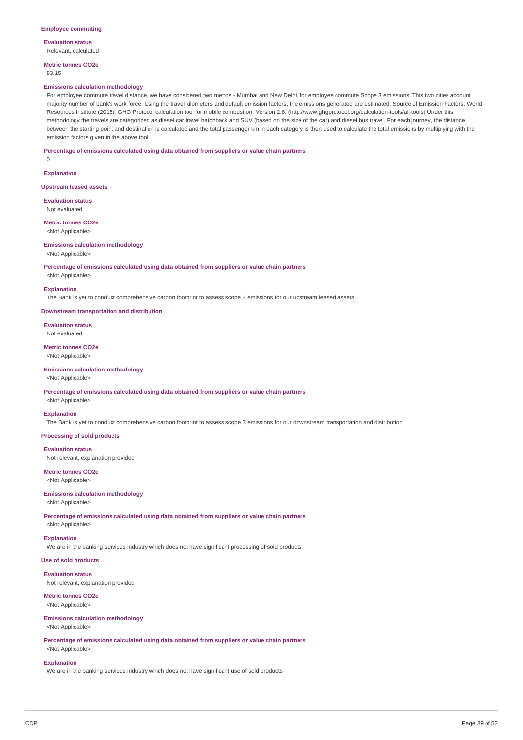**Evaluation status** Relevant, calculated

**Metric tonnes CO2e** 83.15

#### **Emissions calculation methodology**

For employee commute travel distance, we have considered two metros - Mumbai and New Delhi, for employee commute Scope 3 emissions. This two cities account majority number of bank's work force. Using the travel kilometers and default emission factors, the emissions generated are estimated. Source of Emission Factors: World Resources Institute (2015). GHG Protocol calculation tool for mobile combustion. Version 2.6, (http://www.ghgprotocol.org/calculation-tools/all-tools) Under this methodology the travels are categorized as diesel car travel hatchback and SUV (based on the size of the car) and diesel bus travel. For each journey, the distance between the starting point and destination is calculated and the total passenger km in each category is then used to calculate the total emissions by multiplying with the emission factors given in the above tool.

#### **Percentage of emissions calculated using data obtained from suppliers or value chain partners**

 $\Omega$ 

**Explanation**

**Upstream leased assets**

**Evaluation status** Not evaluated

**Metric tonnes CO2e**

<Not Applicable>

### **Emissions calculation methodology**

<Not Applicable>

<Not Applicable>

**Percentage of emissions calculated using data obtained from suppliers or value chain partners**

**Explanation**

The Bank is yet to conduct comprehensive carbon footprint to assess scope 3 emissions for our upstream leased assets

**Downstream transportation and distribution**

**Evaluation status** Not evaluated

**Metric tonnes CO2e** <Not Applicable>

#### **Emissions calculation methodology** <Not Applicable>

**Percentage of emissions calculated using data obtained from suppliers or value chain partners** <Not Applicable>

### **Explanation**

The Bank is yet to conduct comprehensive carbon footprint to assess scope 3 emissions for our downstream transportation and distribution

**Processing of sold products**

#### **Evaluation status**

Not relevant, explanation provided

**Metric tonnes CO2e** <Not Applicable>

### **Emissions calculation methodology**

### <Not Applicable>

**Percentage of emissions calculated using data obtained from suppliers or value chain partners** <Not Applicable>

#### **Explanation**

We are in the banking services industry which does not have significant processing of sold products

### **Use of sold products**

**Evaluation status** Not relevant, explanation provided

#### **Metric tonnes CO2e**

<Not Applicable>

### **Emissions calculation methodology**

<Not Applicable>

**Percentage of emissions calculated using data obtained from suppliers or value chain partners** <Not Applicable>

#### **Explanation**

We are in the banking services industry which does not have significant use of sold products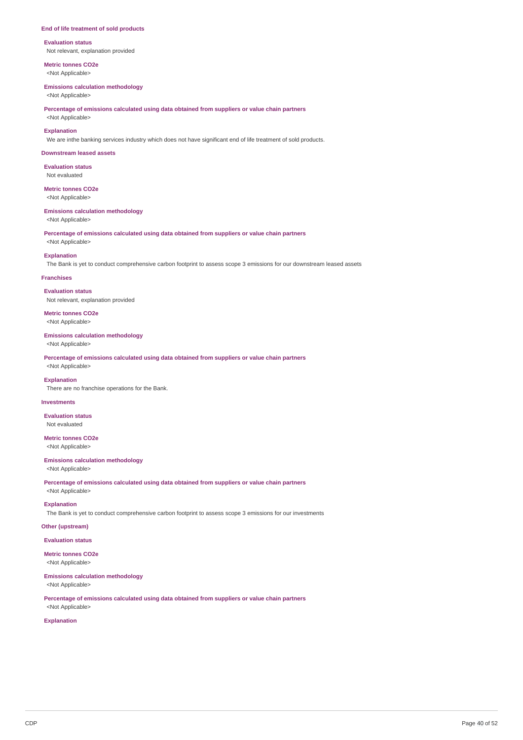#### **End of life treatment of sold products**

**Evaluation status** Not relevant, explanation provided

**Metric tonnes CO2e** <Not Applicable>

#### **Emissions calculation methodology**

<Not Applicable>

**Percentage of emissions calculated using data obtained from suppliers or value chain partners**

# <Not Applicable> **Explanation**

We are inthe banking services industry which does not have significant end of life treatment of sold products.

#### **Downstream leased assets**

**Evaluation status** Not evaluated

# **Metric tonnes CO2e**

<Not Applicable>

#### **Emissions calculation methodology**

<Not Applicable>

**Percentage of emissions calculated using data obtained from suppliers or value chain partners**

# <Not Applicable> **Explanation**

The Bank is yet to conduct comprehensive carbon footprint to assess scope 3 emissions for our downstream leased assets

#### **Franchises**

**Evaluation status** Not relevant, explanation provided

**Metric tonnes CO2e** <Not Applicable>

#### **Emissions calculation methodology**

<Not Applicable>

**Percentage of emissions calculated using data obtained from suppliers or value chain partners** <Not Applicable>

#### **Explanation**

There are no franchise operations for the Bank.

### **Investments**

**Evaluation status** Not evaluated

**Metric tonnes CO2e** <Not Applicable>

### **Emissions calculation methodology**

<Not Applicable>

**Percentage of emissions calculated using data obtained from suppliers or value chain partners** <Not Applicable>

# **Explanation**

The Bank is yet to conduct comprehensive carbon footprint to assess scope 3 emissions for our investments

### **Other (upstream)**

**Evaluation status**

**Metric tonnes CO2e** <Not Applicable>

# **Emissions calculation methodology**

<Not Applicable>

**Percentage of emissions calculated using data obtained from suppliers or value chain partners** <Not Applicable>

#### **Explanation**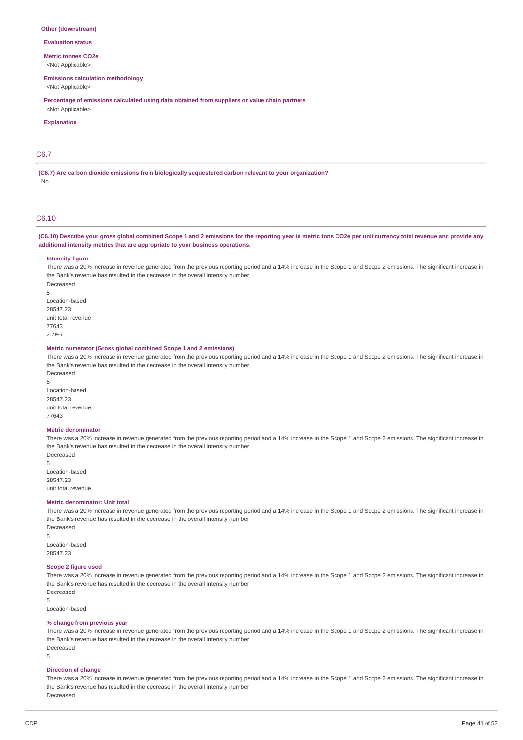#### **Other (downstream)**

#### **Evaluation status**

**Metric tonnes CO2e**

<Not Applicable>

### **Emissions calculation methodology**

<Not Applicable>

**Percentage of emissions calculated using data obtained from suppliers or value chain partners** <Not Applicable>

#### **Explanation**

### C6.7

**(C6.7) Are carbon dioxide emissions from biologically sequestered carbon relevant to your organization?** No

#### C6.10

### (C6.10) Describe your gross global combined Scope 1 and 2 emissions for the reporting year in metric tons CO2e per unit currency total revenue and provide any **additional intensity metrics that are appropriate to your business operations.**

#### **Intensity figure**

There was a 20% increase in revenue generated from the previous reporting period and a 14% increase in the Scope 1 and Scope 2 emissions. The significant increase in the Bank's revenue has resulted in the decrease in the overall intensity number Decreased

5 Location-based 28547.23 unit total revenue 77643 2.7e-7

#### **Metric numerator (Gross global combined Scope 1 and 2 emissions)**

There was a 20% increase in revenue generated from the previous reporting period and a 14% increase in the Scope 1 and Scope 2 emissions. The significant increase in the Bank's revenue has resulted in the decrease in the overall intensity number Decreased

5 Location-based 28547.23 unit total revenue 77643

#### **Metric denominator**

There was a 20% increase in revenue generated from the previous reporting period and a 14% increase in the Scope 1 and Scope 2 emissions. The significant increase in the Bank's revenue has resulted in the decrease in the overall intensity number Decreased

5 Location-based 28547.23 unit total revenue

#### **Metric denominator: Unit total**

There was a 20% increase in revenue generated from the previous reporting period and a 14% increase in the Scope 1 and Scope 2 emissions. The significant increase in the Bank's revenue has resulted in the decrease in the overall intensity number Decreased

5

Location-based 28547.23

### **Scope 2 figure used**

There was a 20% increase in revenue generated from the previous reporting period and a 14% increase in the Scope 1 and Scope 2 emissions. The significant increase in the Bank's revenue has resulted in the decrease in the overall intensity number Decreased

5 Location-based

#### **% change from previous year**

There was a 20% increase in revenue generated from the previous reporting period and a 14% increase in the Scope 1 and Scope 2 emissions. The significant increase in the Bank's revenue has resulted in the decrease in the overall intensity number Decreased

5

### **Direction of change**

There was a 20% increase in revenue generated from the previous reporting period and a 14% increase in the Scope 1 and Scope 2 emissions. The significant increase in the Bank's revenue has resulted in the decrease in the overall intensity number Decreased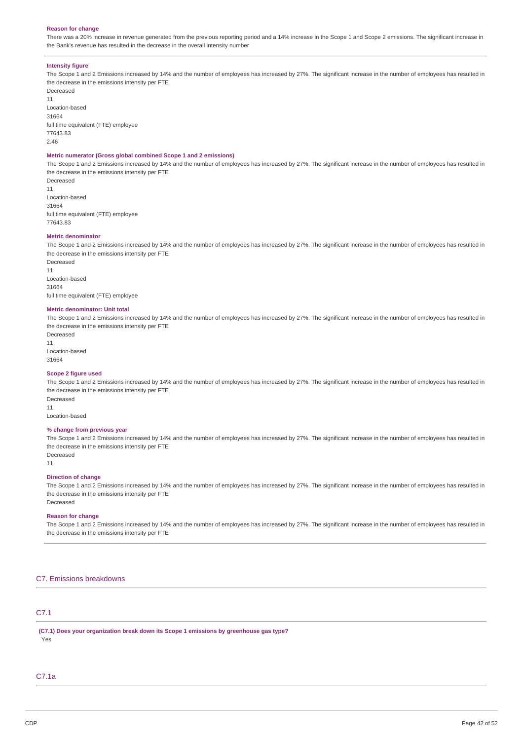#### **Reason for change**

There was a 20% increase in revenue generated from the previous reporting period and a 14% increase in the Scope 1 and Scope 2 emissions. The significant increase in the Bank's revenue has resulted in the decrease in the overall intensity number

#### **Intensity figure**

The Scope 1 and 2 Emissions increased by 14% and the number of employees has increased by 27%. The significant increase in the number of employees has resulted in the decrease in the emissions intensity per FTE

Decreased 11 Location-based 31664 full time equivalent (FTE) employee 77643.83 2.46

#### **Metric numerator (Gross global combined Scope 1 and 2 emissions)**

The Scope 1 and 2 Emissions increased by 14% and the number of employees has increased by 27%. The significant increase in the number of employees has resulted in the decrease in the emissions intensity per FTE

Decreased 11 Location-based 31664 full time equivalent (FTE) employee 77643.83

#### **Metric denominator**

The Scope 1 and 2 Emissions increased by 14% and the number of employees has increased by 27%. The significant increase in the number of employees has resulted in the decrease in the emissions intensity per FTE

Decreased 11 Location-based 31664 full time equivalent (FTE) employee

#### **Metric denominator: Unit total**

The Scope 1 and 2 Emissions increased by 14% and the number of employees has increased by 27%. The significant increase in the number of employees has resulted in the decrease in the emissions intensity per FTE

Decreased 11 Location-based 31664

#### **Scope 2 figure used**

The Scope 1 and 2 Emissions increased by 14% and the number of employees has increased by 27%. The significant increase in the number of employees has resulted in the decrease in the emissions intensity per FTE Decreased

11

Location-based

#### **% change from previous year**

The Scope 1 and 2 Emissions increased by 14% and the number of employees has increased by 27%. The significant increase in the number of employees has resulted in the decrease in the emissions intensity per FTE Decreased

11

#### **Direction of change**

The Scope 1 and 2 Emissions increased by 14% and the number of employees has increased by 27%. The significant increase in the number of employees has resulted in the decrease in the emissions intensity per FTE Decreased

#### **Reason for change**

The Scope 1 and 2 Emissions increased by 14% and the number of employees has increased by 27%. The significant increase in the number of employees has resulted in the decrease in the emissions intensity per FTE

#### C7. Emissions breakdowns

# C7.1

**(C7.1) Does your organization break down its Scope 1 emissions by greenhouse gas type?** Yes

### C7.1a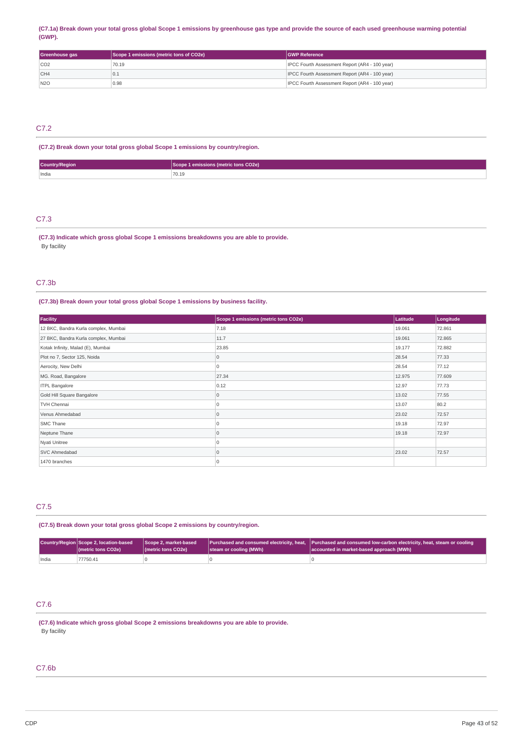### (C7.1a) Break down your total gross global Scope 1 emissions by greenhouse gas type and provide the source of each used greenhouse warming potential **(GWP).**

| Greenhouse gas | Scope 1 emissions (metric tons of CO2e) | <b>IGWP Reference</b>                                 |
|----------------|-----------------------------------------|-------------------------------------------------------|
| CO2            | 70.19                                   | <b>IPCC Fourth Assessment Report (AR4 - 100 year)</b> |
| CH4            | 1 U.L                                   | <b>IPCC Fourth Assessment Report (AR4 - 100 year)</b> |
| N2O            | 0.98                                    | IPCC Fourth Assessment Report (AR4 - 100 year)        |

### C7.2

# **(C7.2) Break down your total gross global Scope 1 emissions by country/region.**

| <b>Country/Region</b> | ons (metric tons CO2e)<br><b>AMICCIO</b> |
|-----------------------|------------------------------------------|
| India                 | 70.19                                    |

### C7.3

**(C7.3) Indicate which gross global Scope 1 emissions breakdowns you are able to provide.** By facility

### C7.3b

# **(C7.3b) Break down your total gross global Scope 1 emissions by business facility.**

| Facility                             | Scope 1 emissions (metric tons CO2e) | Latitude | Longitude |
|--------------------------------------|--------------------------------------|----------|-----------|
| 12 BKC, Bandra Kurla complex, Mumbai | 7.18                                 | 19.061   | 72.861    |
| 27 BKC, Bandra Kurla complex, Mumbai | 11.7                                 | 19.061   | 72.865    |
| Kotak Infinity, Malad (E), Mumbai    | 23.85                                | 19.177   | 72.882    |
| Plot no 7, Sector 125, Noida         |                                      | 28.54    | 77.33     |
| Aerocity, New Delhi                  | 0                                    | 28.54    | 77.12     |
| MG. Road, Bangalore                  | 27.34                                | 12.975   | 77.609    |
| <b>ITPL Bangalore</b>                | 0.12                                 | 12.97    | 77.73     |
| Gold Hill Square Bangalore           | 0                                    | 13.02    | 77.55     |
| TVH Chennai                          | $\Omega$                             | 13.07    | 80.2      |
| Venus Ahmedabad                      | $\Omega$                             | 23.02    | 72.57     |
| SMC Thane                            |                                      | 19.18    | 72.97     |
| Neptune Thane                        | $\Omega$                             | 19.18    | 72.97     |
| Nyati Unitree                        |                                      |          |           |
| SVC Ahmedabad                        | $\Omega$                             | 23.02    | 72.57     |
| 1470 branches                        | $\Omega$                             |          |           |

# C7.5

### **(C7.5) Break down your total gross global Scope 2 emissions by country/region.**

|       | Country/Region Scope 2, location-based Scope 2, market-based<br>(metric tons CO2e) | I (metric tons CO2e) | steam or cooling (MWh) | $\mid$ Purchased and consumed electricity, heat, $\mid$ Purchased and consumed low-carbon electricity, heat, steam or cooling $\mid$<br>accounted in market-based approach (MWh) |
|-------|------------------------------------------------------------------------------------|----------------------|------------------------|----------------------------------------------------------------------------------------------------------------------------------------------------------------------------------|
| India | 77750.41                                                                           |                      |                        |                                                                                                                                                                                  |

# C7.6

**(C7.6) Indicate which gross global Scope 2 emissions breakdowns you are able to provide.** By facility

### C7.6b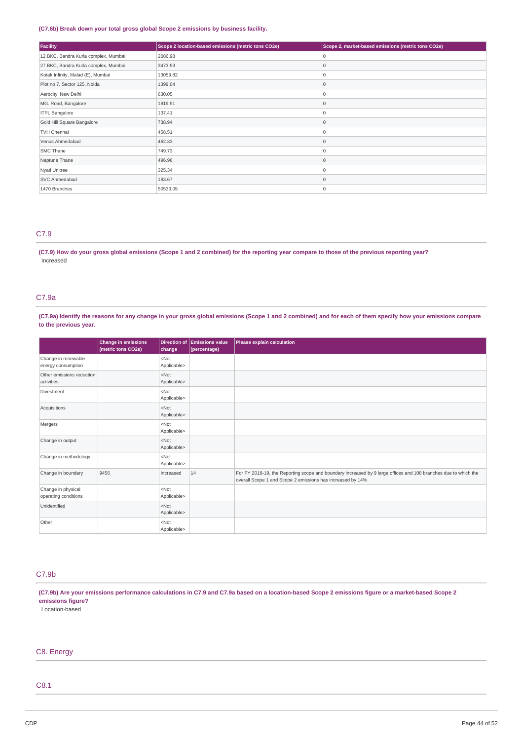### **(C7.6b) Break down your total gross global Scope 2 emissions by business facility.**

| Facility                             | Scope 2 location-based emissions (metric tons CO2e) | Scope 2, market-based emissions (metric tons CO2e) |
|--------------------------------------|-----------------------------------------------------|----------------------------------------------------|
| 12 BKC, Bandra Kurla complex, Mumbai | 2086.98                                             | 0                                                  |
| 27 BKC, Bandra Kurla complex, Mumbai | 3473.93                                             | $\mathbf 0$                                        |
| Kotak Infinity, Malad (E), Mumbai    | 13059.82                                            | $\Omega$                                           |
| Plot no 7, Sector 125, Noida         | 1399.04                                             | $\Omega$                                           |
| Aerocity, New Delhi                  | 630.05                                              | $\Omega$                                           |
| MG. Road, Bangalore                  | 1819.91                                             | $\Omega$                                           |
| <b>ITPL Bangalore</b>                | 137.41                                              | $\Omega$                                           |
| Gold Hill Square Bangalore           | 738.94                                              | $\Omega$                                           |
| <b>TVH Chennai</b>                   | 458.51                                              | $\Omega$                                           |
| Venus Ahmedabad                      | 462.33                                              | $\Omega$                                           |
| SMC Thane                            | 749.73                                              | $\Omega$                                           |
| Neptune Thane                        | 496.96                                              | $\Omega$                                           |
| Nyati Unitree                        | 325.34                                              | $\Omega$                                           |
| SVC Ahmedabad                        | 183.67                                              | $\mathbf 0$                                        |
| 1470 Branches                        | 50533.05                                            | $\Omega$                                           |

### C7.9

(C7.9) How do your gross global emissions (Scope 1 and 2 combined) for the reporting year compare to those of the previous reporting year? Increased

### C7.9a

(C7.9a) Identify the reasons for any change in your gross global emissions (Scope 1 and 2 combined) and for each of them specify how your emissions compare **to the previous year.**

|                                            | <b>Change in emissions</b><br>(metric tons CO2e) | <b>Direction of</b><br>change | <b>Emissions value</b><br>(percentage) | Please explain calculation                                                                                                                                                    |
|--------------------------------------------|--------------------------------------------------|-------------------------------|----------------------------------------|-------------------------------------------------------------------------------------------------------------------------------------------------------------------------------|
| Change in renewable<br>energy consumption  |                                                  | $<$ Not<br>Applicable>        |                                        |                                                                                                                                                                               |
| Other emissions reduction<br>activities    |                                                  | $<$ Not<br>Applicable>        |                                        |                                                                                                                                                                               |
| Divestment                                 |                                                  | $<$ Not<br>Applicable>        |                                        |                                                                                                                                                                               |
| Acquisitions                               |                                                  | $<$ Not<br>Applicable>        |                                        |                                                                                                                                                                               |
| Mergers                                    |                                                  | $<$ Not<br>Applicable>        |                                        |                                                                                                                                                                               |
| Change in output                           |                                                  | $<$ Not<br>Applicable>        |                                        |                                                                                                                                                                               |
| Change in methodology                      |                                                  | $<$ Not<br>Applicable>        |                                        |                                                                                                                                                                               |
| Change in boundary                         | 9456                                             | Increased                     | 14                                     | For FY 2018-19, the Reporting scope and boundary increased by 9 large offices and 108 branches due to which the<br>overall Scope 1 and Scope 2 emissions has increased by 14% |
| Change in physical<br>operating conditions |                                                  | $<$ Not<br>Applicable>        |                                        |                                                                                                                                                                               |
| Unidentified                               |                                                  | $<$ Not<br>Applicable>        |                                        |                                                                                                                                                                               |
| Other                                      |                                                  | $<$ Not<br>Applicable>        |                                        |                                                                                                                                                                               |

# C7.9b

(C7.9b) Are your emissions performance calculations in C7.9 and C7.9a based on a location-based Scope 2 emissions figure or a market-based Scope 2 **emissions figure?**

Location-based

# C8. Energy

# C8.1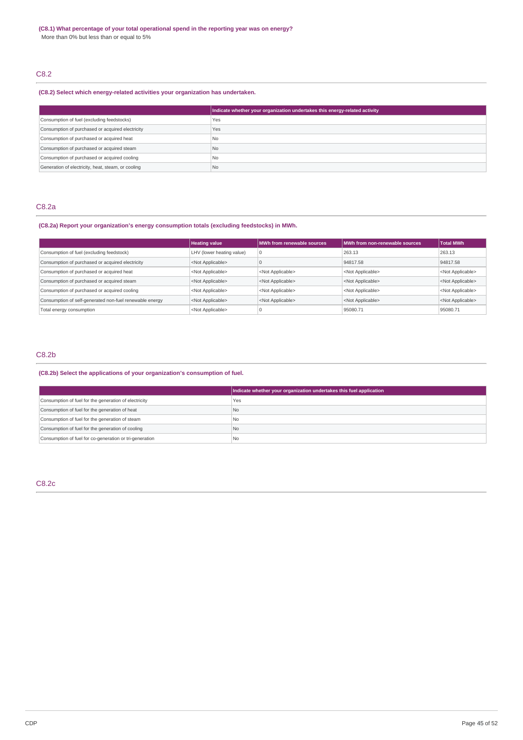# C8.2

### **(C8.2) Select which energy-related activities your organization has undertaken.**

|                                                    | Indicate whether your organization undertakes this energy-related activity |
|----------------------------------------------------|----------------------------------------------------------------------------|
| Consumption of fuel (excluding feedstocks)         | Yes                                                                        |
| Consumption of purchased or acquired electricity   | Yes                                                                        |
| Consumption of purchased or acquired heat          | No.                                                                        |
| Consumption of purchased or acquired steam         | <b>No</b>                                                                  |
| Consumption of purchased or acquired cooling       | No                                                                         |
| Generation of electricity, heat, steam, or cooling | I No                                                                       |

# C8.2a

# **(C8.2a) Report your organization's energy consumption totals (excluding feedstocks) in MWh.**

|                                                         | <b>Heating value</b>      | MWh from renewable sources | MWh from non-renewable sources | <b>Total MWh</b>          |
|---------------------------------------------------------|---------------------------|----------------------------|--------------------------------|---------------------------|
| Consumption of fuel (excluding feedstock)               | LHV (lower heating value) | $\Omega$                   | 263.13                         | 263.13                    |
| Consumption of purchased or acquired electricity        | <not applicable=""></not> |                            | 94817.58                       | 94817.58                  |
| Consumption of purchased or acquired heat               | <not applicable=""></not> | <not applicable=""></not>  | <not applicable=""></not>      | <not applicable=""></not> |
| Consumption of purchased or acquired steam              | <not applicable=""></not> | <not applicable=""></not>  | <not applicable=""></not>      | <not applicable=""></not> |
| Consumption of purchased or acquired cooling            | <not applicable=""></not> | <not applicable=""></not>  | <not applicable=""></not>      | <not applicable=""></not> |
| Consumption of self-generated non-fuel renewable energy | <not applicable=""></not> | <not applicable=""></not>  | <not applicable=""></not>      | <not applicable=""></not> |
| Total energy consumption                                | <not applicable=""></not> |                            | 95080.71                       | 95080.71                  |

# C8.2b

**(C8.2b) Select the applications of your organization's consumption of fuel.**

|                                                         | Indicate whether your organization undertakes this fuel application |
|---------------------------------------------------------|---------------------------------------------------------------------|
| Consumption of fuel for the generation of electricity   | Yes                                                                 |
| Consumption of fuel for the generation of heat          | l No                                                                |
| Consumption of fuel for the generation of steam         | l No                                                                |
| Consumption of fuel for the generation of cooling       | No.                                                                 |
| Consumption of fuel for co-generation or tri-generation | <sup>1</sup> No                                                     |

### C8.2c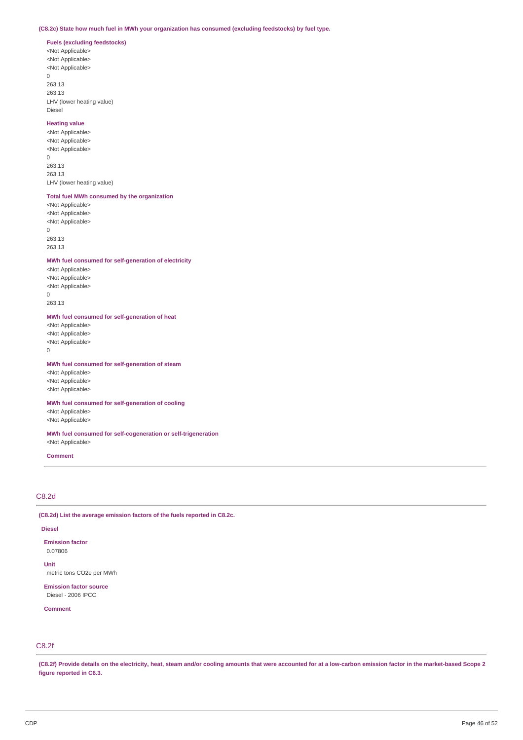### **(C8.2c) State how much fuel in MWh your organization has consumed (excluding feedstocks) by fuel type.**

**Fuels (excluding feedstocks)** <Not Applicable> <Not Applicable> <Not Applicable>

0 263.13 263.13 LHV (lower heating value) Diesel

#### **Heating value**

<Not Applicable> <Not Applicable> <Not Applicable>  $\overline{0}$ 263.13 263.13 LHV (lower heating value)

### **Total fuel MWh consumed by the organization**

<Not Applicable> <Not Applicable> <Not Applicable>  $\Omega$ 263.13

263.13

#### **MWh fuel consumed for self-generation of electricity**

<Not Applicable> <Not Applicable> <Not Applicable>  $\Omega$ 263.13

### **MWh fuel consumed for self-generation of heat**

<Not Applicable> <Not Applicable> <Not Applicable>

0

### **MWh fuel consumed for self-generation of steam**

<Not Applicable> <Not Applicable> <Not Applicable>

### **MWh fuel consumed for self-generation of cooling**

<Not Applicable> <Not Applicable>

#### **MWh fuel consumed for self-cogeneration or self-trigeneration** <Not Applicable>

**Comment**

### C8.2d

**(C8.2d) List the average emission factors of the fuels reported in C8.2c.**

#### **Diesel**

**Emission factor** 0.07806

**Unit** metric tons CO2e per MWh

**Emission factor source** Diesel - 2006 IPCC

**Comment**

# C8.2f

(C8.2f) Provide details on the electricity, heat, steam and/or cooling amounts that were accounted for at a low-carbon emission factor in the market-based Scope 2 **figure reported in C6.3.**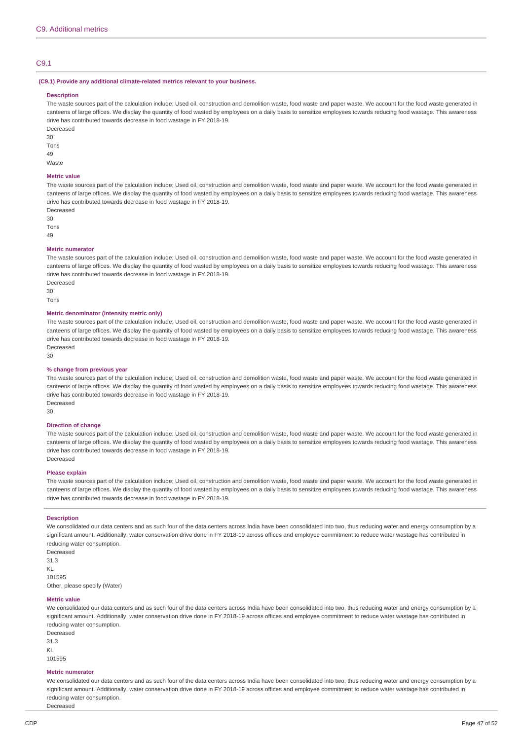### C9.1

#### **(C9.1) Provide any additional climate-related metrics relevant to your business.**

#### **Description**

The waste sources part of the calculation include; Used oil, construction and demolition waste, food waste and paper waste. We account for the food waste generated in canteens of large offices. We display the quantity of food wasted by employees on a daily basis to sensitize employees towards reducing food wastage. This awareness drive has contributed towards decrease in food wastage in FY 2018-19.

Decreased 30 Tons  $\overline{A}Q$ 

Waste

# **Metric value**

The waste sources part of the calculation include; Used oil, construction and demolition waste, food waste and paper waste. We account for the food waste generated in canteens of large offices. We display the quantity of food wasted by employees on a daily basis to sensitize employees towards reducing food wastage. This awareness drive has contributed towards decrease in food wastage in FY 2018-19.

Decreased 30

Tons

49

### **Metric numerator**

The waste sources part of the calculation include; Used oil, construction and demolition waste, food waste and paper waste. We account for the food waste generated in canteens of large offices. We display the quantity of food wasted by employees on a daily basis to sensitize employees towards reducing food wastage. This awareness drive has contributed towards decrease in food wastage in FY 2018-19.

Decreased 30

Tons

### **Metric denominator (intensity metric only)**

The waste sources part of the calculation include; Used oil, construction and demolition waste, food waste and paper waste. We account for the food waste generated in canteens of large offices. We display the quantity of food wasted by employees on a daily basis to sensitize employees towards reducing food wastage. This awareness drive has contributed towards decrease in food wastage in FY 2018-19. Decreased

30

#### **% change from previous year**

The waste sources part of the calculation include; Used oil, construction and demolition waste, food waste and paper waste. We account for the food waste generated in canteens of large offices. We display the quantity of food wasted by employees on a daily basis to sensitize employees towards reducing food wastage. This awareness drive has contributed towards decrease in food wastage in FY 2018-19. Decreased

30

#### **Direction of change**

The waste sources part of the calculation include; Used oil, construction and demolition waste, food waste and paper waste. We account for the food waste generated in canteens of large offices. We display the quantity of food wasted by employees on a daily basis to sensitize employees towards reducing food wastage. This awareness drive has contributed towards decrease in food wastage in FY 2018-19. Decreased

#### **Please explain**

The waste sources part of the calculation include; Used oil, construction and demolition waste, food waste and paper waste. We account for the food waste generated in canteens of large offices. We display the quantity of food wasted by employees on a daily basis to sensitize employees towards reducing food wastage. This awareness drive has contributed towards decrease in food wastage in FY 2018-19.

#### **Description**

We consolidated our data centers and as such four of the data centers across India have been consolidated into two, thus reducing water and energy consumption by a significant amount. Additionally, water conservation drive done in FY 2018-19 across offices and employee commitment to reduce water wastage has contributed in reducing water consumption.

Decreased 31.3 KL 101595

Other, please specify (Water)

#### **Metric value**

We consolidated our data centers and as such four of the data centers across India have been consolidated into two, thus reducing water and energy consumption by a significant amount. Additionally, water conservation drive done in FY 2018-19 across offices and employee commitment to reduce water wastage has contributed in reducing water consumption.

Decreased 31.3 KL 101595

#### **Metric numerator**

Decreased

We consolidated our data centers and as such four of the data centers across India have been consolidated into two, thus reducing water and energy consumption by a significant amount. Additionally, water conservation drive done in FY 2018-19 across offices and employee commitment to reduce water wastage has contributed in reducing water consumption.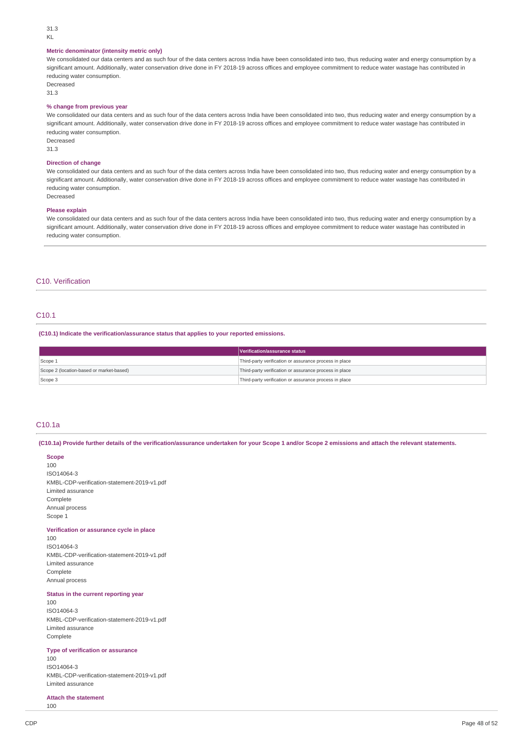#### 31.3 KL

#### **Metric denominator (intensity metric only)**

We consolidated our data centers and as such four of the data centers across India have been consolidated into two, thus reducing water and energy consumption by a significant amount. Additionally, water conservation drive done in FY 2018-19 across offices and employee commitment to reduce water wastage has contributed in reducing water consumption.

Decreased

31.3

### **% change from previous year**

We consolidated our data centers and as such four of the data centers across India have been consolidated into two, thus reducing water and energy consumption by a significant amount. Additionally, water conservation drive done in FY 2018-19 across offices and employee commitment to reduce water wastage has contributed in reducing water consumption.

Decreased 31.3

#### **Direction of change**

We consolidated our data centers and as such four of the data centers across India have been consolidated into two, thus reducing water and energy consumption by a significant amount. Additionally, water conservation drive done in FY 2018-19 across offices and employee commitment to reduce water wastage has contributed in reducing water consumption. Decreased

#### **Please explain**

We consolidated our data centers and as such four of the data centers across India have been consolidated into two, thus reducing water and energy consumption by a significant amount. Additionally, water conservation drive done in FY 2018-19 across offices and employee commitment to reduce water wastage has contributed in reducing water consumption.

### C10. Verification

# C10.1

**(C10.1) Indicate the verification/assurance status that applies to your reported emissions.**

|                                          | Verification/assurance status                          |
|------------------------------------------|--------------------------------------------------------|
| Scope 1                                  | Third-party verification or assurance process in place |
| Scope 2 (location-based or market-based) | Third-party verification or assurance process in place |
| Scope 3                                  | Third-party verification or assurance process in place |

### C10.1a

(C10.1a) Provide further details of the verification/assurance undertaken for your Scope 1 and/or Scope 2 emissions and attach the relevant statements.

**Scope** 100 ISO14064-3 KMBL-CDP-verification-statement-2019-v1.pdf Limited assurance Complete Annual process Scope 1

#### **Verification or assurance cycle in place**

100 ISO14064-3 KMBL-CDP-verification-statement-2019-v1.pdf Limited assurance Complete Annual process

### **Status in the current reporting year**

100 ISO14064-3 KMBL-CDP-verification-statement-2019-v1.pdf Limited assurance Complete

#### **Type of verification or assurance**

100

ISO14064-3 KMBL-CDP-verification-statement-2019-v1.pdf Limited assurance

### **Attach the statement**

100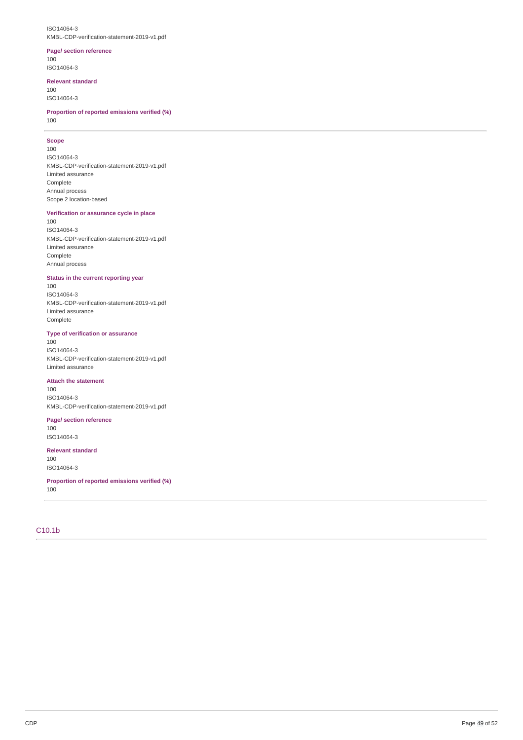#### ISO14064-3 KMBL-CDP-verification-statement-2019-v1.pdf

### **Page/ section reference**

100 ISO14064-3

### **Relevant standard**

100 ISO14064-3

**Proportion of reported emissions verified (%)** 100

### **Scope**

100

ISO14064-3 KMBL-CDP-verification-statement-2019-v1.pdf Limited assurance Complete Annual process Scope 2 location-based

### **Verification or assurance cycle in place**

100 ISO14064-3 KMBL-CDP-verification-statement-2019-v1.pdf Limited assurance Complete Annual process

### **Status in the current reporting year**

100 ISO14064-3 KMBL-CDP-verification-statement-2019-v1.pdf Limited assurance Complete

### **Type of verification or assurance**

100 ISO14064-3 KMBL-CDP-verification-statement-2019-v1.pdf Limited assurance

#### **Attach the statement**

100 ISO14064-3 KMBL-CDP-verification-statement-2019-v1.pdf

### **Page/ section reference**

100 ISO14064-3

### **Relevant standard**

100 ISO14064-3

**Proportion of reported emissions verified (%)** 100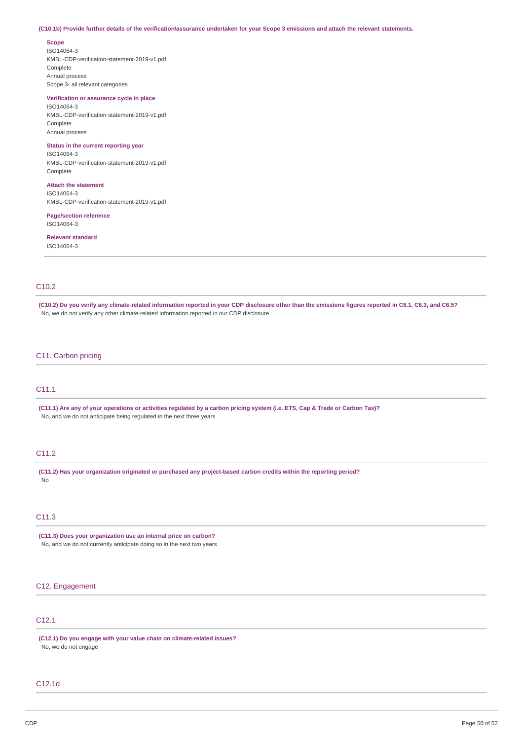#### (C10.1b) Provide further details of the verification/assurance undertaken for your Scope 3 emissions and attach the relevant statements.

#### **Scope**

ISO14064-3 KMBL-CDP-verification-statement-2019-v1.pdf **Complete** Annual process Scope 3- all relevant categories

### **Verification or assurance cycle in place**

ISO14064-3 KMBL-CDP-verification-statement-2019-v1.pdf Complete Annual process

### **Status in the current reporting year**

ISO14064-3 KMBL-CDP-verification-statement-2019-v1.pdf **Complete** 

# **Attach the statement**

ISO14064-3 KMBL-CDP-verification-statement-2019-v1.pdf

### **Page/section reference** ISO14064-3

### **Relevant standard** ISO14064-3

# C10.2

(C10.2) Do you verify any climate-related information reported in your CDP disclosure other than the emissions figures reported in C6.1, C6.3, and C6.5? No, we do not verify any other climate-related information reported in our CDP disclosure

### C11. Carbon pricing

### C11.1

(C11.1) Are any of your operations or activities regulated by a carbon pricing system (i.e. ETS, Cap & Trade or Carbon Tax)? No, and we do not anticipate being regulated in the next three years

### C11.2

**(C11.2) Has your organization originated or purchased any project-based carbon credits within the reporting period?** No

# C11.3

**(C11.3) Does your organization use an internal price on carbon?** No, and we do not currently anticipate doing so in the next two years

### C12. Engagement

# C12.1

**(C12.1) Do you engage with your value chain on climate-related issues?** No, we do not engage

### C12.1d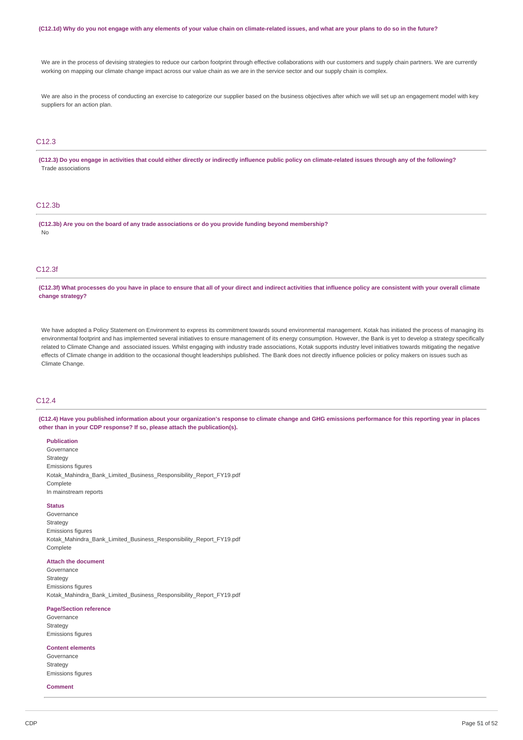#### (C12.1d) Why do you not engage with any elements of your value chain on climate-related issues, and what are your plans to do so in the future?

We are in the process of devising strategies to reduce our carbon footprint through effective collaborations with our customers and supply chain partners. We are currently working on mapping our climate change impact across our value chain as we are in the service sector and our supply chain is complex.

We are also in the process of conducting an exercise to categorize our supplier based on the business objectives after which we will set up an engagement model with key suppliers for an action plan.

# C12.3

(C12.3) Do you engage in activities that could either directly or indirectly influence public policy on climate-related issues through any of the following? Trade associations

### C12.3b

**(C12.3b) Are you on the board of any trade associations or do you provide funding beyond membership?** No

### C12.3f

(C12.3f) What processes do you have in place to ensure that all of your direct and indirect activities that influence policy are consistent with your overall climate **change strategy?**

We have adopted a Policy Statement on Environment to express its commitment towards sound environmental management. Kotak has initiated the process of managing its environmental footprint and has implemented several initiatives to ensure management of its energy consumption. However, the Bank is yet to develop a strategy specifically related to Climate Change and associated issues. Whilst engaging with industry trade associations, Kotak supports industry level initiatives towards mitigating the negative effects of Climate change in addition to the occasional thought leaderships published. The Bank does not directly influence policies or policy makers on issues such as Climate Change

# C12.4

(C12.4) Have you published information about your organization's response to climate change and GHG emissions performance for this reporting year in places **other than in your CDP response? If so, please attach the publication(s).**

### **Publication**

Governance Strategy Emissions figures Kotak\_Mahindra\_Bank\_Limited\_Business\_Responsibility\_Report\_FY19.pdf Complete In mainstream reports

### **Status**

Governance Strategy Emissions figures Kotak\_Mahindra\_Bank\_Limited\_Business\_Responsibility\_Report\_FY19.pdf Complete

#### **Attach the document**

Governance Strategy Emissions figures Kotak\_Mahindra\_Bank\_Limited\_Business\_Responsibility\_Report\_FY19.pdf

### **Page/Section reference**

Governance Strategy Emissions figures

### **Content elements**

Governance **Strategy** Emissions figures

### **Comment**